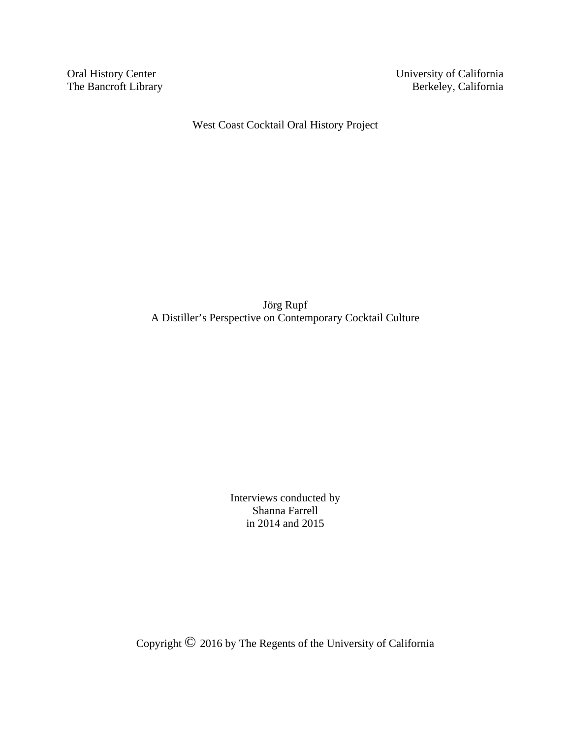The Bancroft Library

Oral History Center University of California<br>
The Bancroft Library Berkeley, California

West Coast Cocktail Oral History Project

Jörg Rupf A Distiller's Perspective on Contemporary Cocktail Culture

> Interviews conducted by Shanna Farrell in 2014 and 2015

Copyright © 2016 by The Regents of the University of California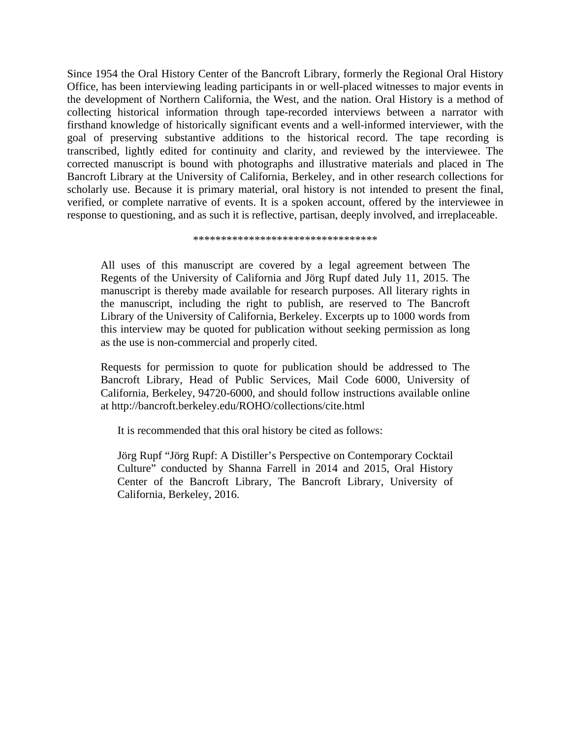Since 1954 the Oral History Center of the Bancroft Library, formerly the Regional Oral History Office, has been interviewing leading participants in or well-placed witnesses to major events in the development of Northern California, the West, and the nation. Oral History is a method of collecting historical information through tape-recorded interviews between a narrator with firsthand knowledge of historically significant events and a well-informed interviewer, with the goal of preserving substantive additions to the historical record. The tape recording is transcribed, lightly edited for continuity and clarity, and reviewed by the interviewee. The corrected manuscript is bound with photographs and illustrative materials and placed in The Bancroft Library at the University of California, Berkeley, and in other research collections for scholarly use. Because it is primary material, oral history is not intended to present the final, verified, or complete narrative of events. It is a spoken account, offered by the interviewee in response to questioning, and as such it is reflective, partisan, deeply involved, and irreplaceable.

\*\*\*\*\*\*\*\*\*\*\*\*\*\*\*\*\*\*\*\*\*\*\*\*\*\*\*\*\*\*\*\*\*

All uses of this manuscript are covered by a legal agreement between The Regents of the University of California and Jörg Rupf dated July 11, 2015. The manuscript is thereby made available for research purposes. All literary rights in the manuscript, including the right to publish, are reserved to The Bancroft Library of the University of California, Berkeley. Excerpts up to 1000 words from this interview may be quoted for publication without seeking permission as long as the use is non-commercial and properly cited.

Requests for permission to quote for publication should be addressed to The Bancroft Library, Head of Public Services, Mail Code 6000, University of California, Berkeley, 94720-6000, and should follow instructions available online at http://bancroft.berkeley.edu/ROHO/collections/cite.html

It is recommended that this oral history be cited as follows:

Jörg Rupf "Jörg Rupf: A Distiller's Perspective on Contemporary Cocktail Culture" conducted by Shanna Farrell in 2014 and 2015, Oral History Center of the Bancroft Library, The Bancroft Library, University of California, Berkeley, 2016.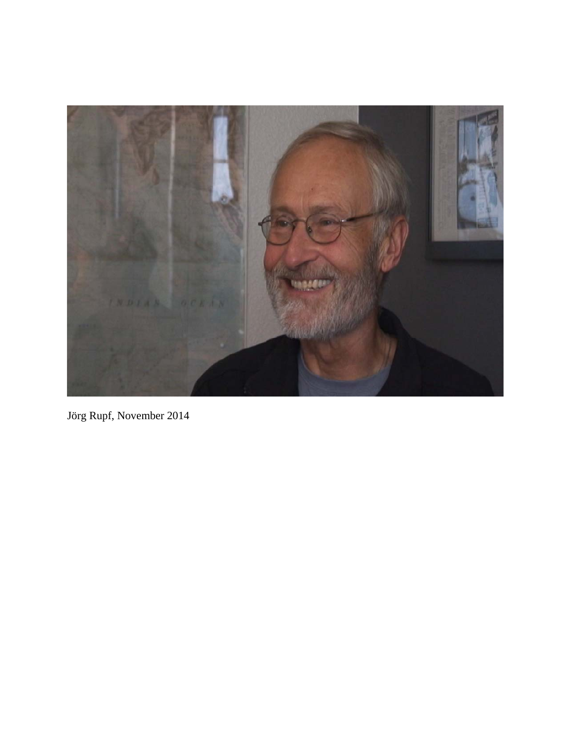

Jörg Rupf, November 2014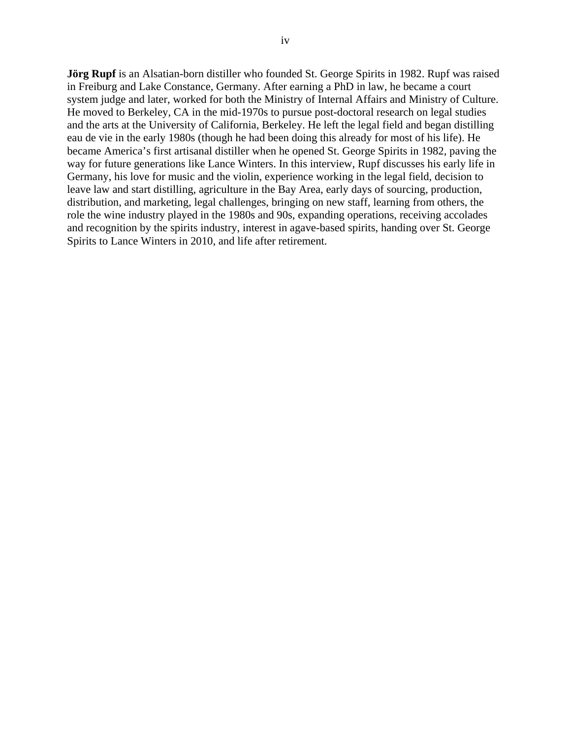**Jörg Rupf** is an Alsatian-born distiller who founded St. George Spirits in 1982. Rupf was raised in Freiburg and Lake Constance, Germany. After earning a PhD in law, he became a court system judge and later, worked for both the Ministry of Internal Affairs and Ministry of Culture. He moved to Berkeley, CA in the mid-1970s to pursue post-doctoral research on legal studies and the arts at the University of California, Berkeley. He left the legal field and began distilling eau de vie in the early 1980s (though he had been doing this already for most of his life). He became America's first artisanal distiller when he opened St. George Spirits in 1982, paving the way for future generations like Lance Winters. In this interview, Rupf discusses his early life in Germany, his love for music and the violin, experience working in the legal field, decision to leave law and start distilling, agriculture in the Bay Area, early days of sourcing, production, distribution, and marketing, legal challenges, bringing on new staff, learning from others, the role the wine industry played in the 1980s and 90s, expanding operations, receiving accolades and recognition by the spirits industry, interest in agave-based spirits, handing over St. George Spirits to Lance Winters in 2010, and life after retirement.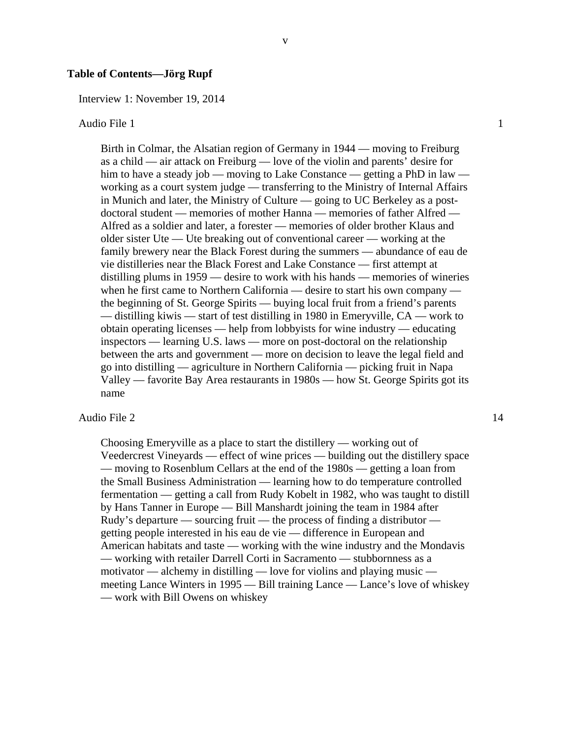#### **Table of Contents—Jörg Rupf**

Interview 1: November 19, 2014

#### Audio File 1 1

Birth in Colmar, the Alsatian region of Germany in 1944 — moving to Freiburg as a child — air attack on Freiburg — love of the violin and parents' desire for him to have a steady job — moving to Lake Constance — getting a PhD in law working as a court system judge — transferring to the Ministry of Internal Affairs in Munich and later, the Ministry of Culture — going to UC Berkeley as a postdoctoral student — memories of mother Hanna — memories of father Alfred — Alfred as a soldier and later, a forester — memories of older brother Klaus and older sister Ute — Ute breaking out of conventional career — working at the family brewery near the Black Forest during the summers — abundance of eau de vie distilleries near the Black Forest and Lake Constance — first attempt at distilling plums in 1959 — desire to work with his hands — memories of wineries when he first came to Northern California — desire to start his own company the beginning of St. George Spirits — buying local fruit from a friend's parents — distilling kiwis — start of test distilling in 1980 in Emeryville, CA — work to obtain operating licenses — help from lobbyists for wine industry — educating inspectors — learning U.S. laws — more on post-doctoral on the relationship between the arts and government — more on decision to leave the legal field and go into distilling — agriculture in Northern California — picking fruit in Napa Valley — favorite Bay Area restaurants in 1980s — how St. George Spirits got its name

v

#### Audio File 2 14

Choosing Emeryville as a place to start the distillery — working out of Veedercrest Vineyards — effect of wine prices — building out the distillery space — moving to Rosenblum Cellars at the end of the 1980s — getting a loan from the Small Business Administration — learning how to do temperature controlled fermentation — getting a call from Rudy Kobelt in 1982, who was taught to distill by Hans Tanner in Europe — Bill Manshardt joining the team in 1984 after Rudy's departure — sourcing fruit — the process of finding a distributor getting people interested in his eau de vie — difference in European and American habitats and taste — working with the wine industry and the Mondavis — working with retailer Darrell Corti in Sacramento — stubbornness as a motivator — alchemy in distilling — love for violins and playing music meeting Lance Winters in 1995 — Bill training Lance — Lance's love of whiskey — work with Bill Owens on whiskey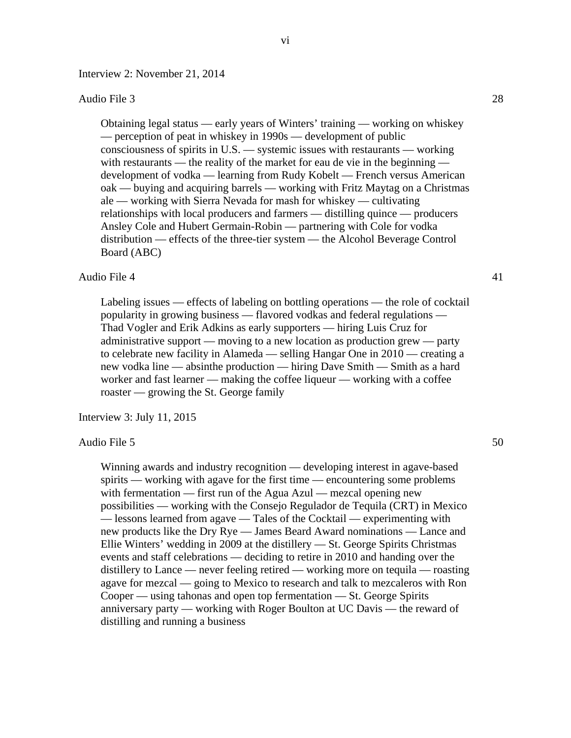Interview 2: November 21, 2014

#### Audio File 3 28

Obtaining legal status — early years of Winters' training — working on whiskey — perception of peat in whiskey in 1990s — development of public consciousness of spirits in U.S. — systemic issues with restaurants — working with restaurants — the reality of the market for eau de vie in the beginning development of vodka — learning from Rudy Kobelt — French versus American oak — buying and acquiring barrels — working with Fritz Maytag on a Christmas ale — working with Sierra Nevada for mash for whiskey — cultivating relationships with local producers and farmers — distilling quince — producers Ansley Cole and Hubert Germain-Robin — partnering with Cole for vodka distribution — effects of the three-tier system — the Alcohol Beverage Control Board (ABC)

#### Audio File 4 41

Labeling issues — effects of labeling on bottling operations — the role of cocktail popularity in growing business — flavored vodkas and federal regulations — Thad Vogler and Erik Adkins as early supporters — hiring Luis Cruz for administrative support — moving to a new location as production grew — party to celebrate new facility in Alameda — selling Hangar One in 2010 — creating a new vodka line — absinthe production — hiring Dave Smith — Smith as a hard worker and fast learner — making the coffee liqueur — working with a coffee roaster — growing the St. George family

Interview 3: July 11, 2015

#### Audio File 5 50

Winning awards and industry recognition — developing interest in agave-based spirits — working with agave for the first time — encountering some problems with fermentation — first run of the Agua Azul — mezcal opening new possibilities — working with the Consejo Regulador de Tequila (CRT) in Mexico — lessons learned from agave — Tales of the Cocktail — experimenting with new products like the Dry Rye — James Beard Award nominations — Lance and Ellie Winters' wedding in 2009 at the distillery — St. George Spirits Christmas events and staff celebrations — deciding to retire in 2010 and handing over the distillery to Lance — never feeling retired — working more on tequila — roasting agave for mezcal — going to Mexico to research and talk to mezcaleros with Ron Cooper — using tahonas and open top fermentation — St. George Spirits anniversary party — working with Roger Boulton at UC Davis — the reward of distilling and running a business

vi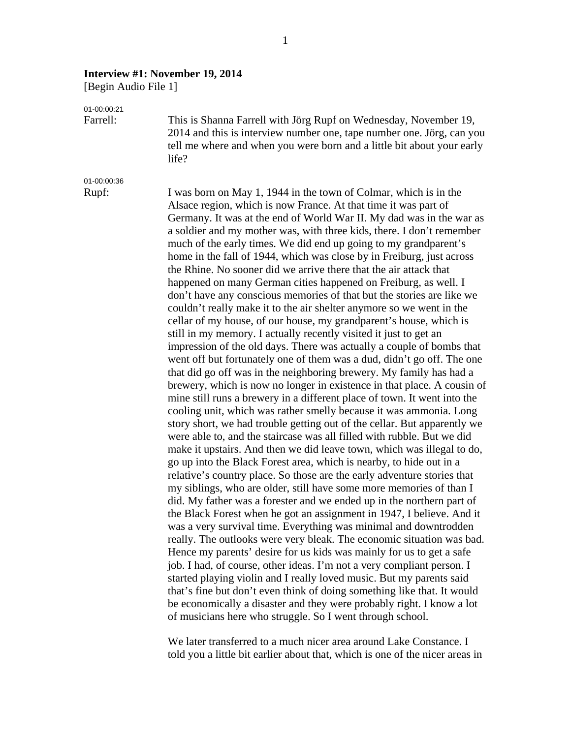#### **Interview #1: November 19, 2014**

[Begin Audio File 1]

01-00:00:21

Farrell: This is Shanna Farrell with Jörg Rupf on Wednesday, November 19, 2014 and this is interview number one, tape number one. Jörg, can you tell me where and when you were born and a little bit about your early life?

01-00:00:36

Rupf: I was born on May 1, 1944 in the town of Colmar, which is in the Alsace region, which is now France. At that time it was part of Germany. It was at the end of World War II. My dad was in the war as a soldier and my mother was, with three kids, there. I don't remember much of the early times. We did end up going to my grandparent's home in the fall of 1944, which was close by in Freiburg, just across the Rhine. No sooner did we arrive there that the air attack that happened on many German cities happened on Freiburg, as well. I don't have any conscious memories of that but the stories are like we couldn't really make it to the air shelter anymore so we went in the cellar of my house, of our house, my grandparent's house, which is still in my memory. I actually recently visited it just to get an impression of the old days. There was actually a couple of bombs that went off but fortunately one of them was a dud, didn't go off. The one that did go off was in the neighboring brewery. My family has had a brewery, which is now no longer in existence in that place. A cousin of mine still runs a brewery in a different place of town. It went into the cooling unit, which was rather smelly because it was ammonia. Long story short, we had trouble getting out of the cellar. But apparently we were able to, and the staircase was all filled with rubble. But we did make it upstairs. And then we did leave town, which was illegal to do, go up into the Black Forest area, which is nearby, to hide out in a relative's country place. So those are the early adventure stories that my siblings, who are older, still have some more memories of than I did. My father was a forester and we ended up in the northern part of the Black Forest when he got an assignment in 1947, I believe. And it was a very survival time. Everything was minimal and downtrodden really. The outlooks were very bleak. The economic situation was bad. Hence my parents' desire for us kids was mainly for us to get a safe job. I had, of course, other ideas. I'm not a very compliant person. I started playing violin and I really loved music. But my parents said that's fine but don't even think of doing something like that. It would be economically a disaster and they were probably right. I know a lot of musicians here who struggle. So I went through school.

> We later transferred to a much nicer area around Lake Constance. I told you a little bit earlier about that, which is one of the nicer areas in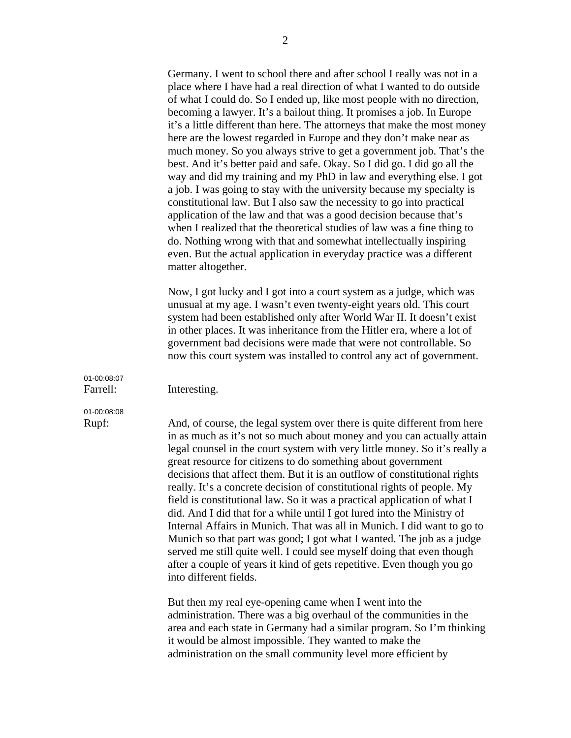Germany. I went to school there and after school I really was not in a place where I have had a real direction of what I wanted to do outside of what I could do. So I ended up, like most people with no direction, becoming a lawyer. It's a bailout thing. It promises a job. In Europe it's a little different than here. The attorneys that make the most money here are the lowest regarded in Europe and they don't make near as much money. So you always strive to get a government job. That's the best. And it's better paid and safe. Okay. So I did go. I did go all the way and did my training and my PhD in law and everything else. I got a job. I was going to stay with the university because my specialty is constitutional law. But I also saw the necessity to go into practical application of the law and that was a good decision because that's when I realized that the theoretical studies of law was a fine thing to do. Nothing wrong with that and somewhat intellectually inspiring even. But the actual application in everyday practice was a different matter altogether.

Now, I got lucky and I got into a court system as a judge, which was unusual at my age. I wasn't even twenty-eight years old. This court system had been established only after World War II. It doesn't exist in other places. It was inheritance from the Hitler era, where a lot of government bad decisions were made that were not controllable. So now this court system was installed to control any act of government.

01-00:08:07

Farrell: Interesting.

# 01-00:08:08

Rupf: And, of course, the legal system over there is quite different from here in as much as it's not so much about money and you can actually attain legal counsel in the court system with very little money. So it's really a great resource for citizens to do something about government decisions that affect them. But it is an outflow of constitutional rights really. It's a concrete decision of constitutional rights of people. My field is constitutional law. So it was a practical application of what I did. And I did that for a while until I got lured into the Ministry of Internal Affairs in Munich. That was all in Munich. I did want to go to Munich so that part was good; I got what I wanted. The job as a judge served me still quite well. I could see myself doing that even though after a couple of years it kind of gets repetitive. Even though you go into different fields.

> But then my real eye-opening came when I went into the administration. There was a big overhaul of the communities in the area and each state in Germany had a similar program. So I'm thinking it would be almost impossible. They wanted to make the administration on the small community level more efficient by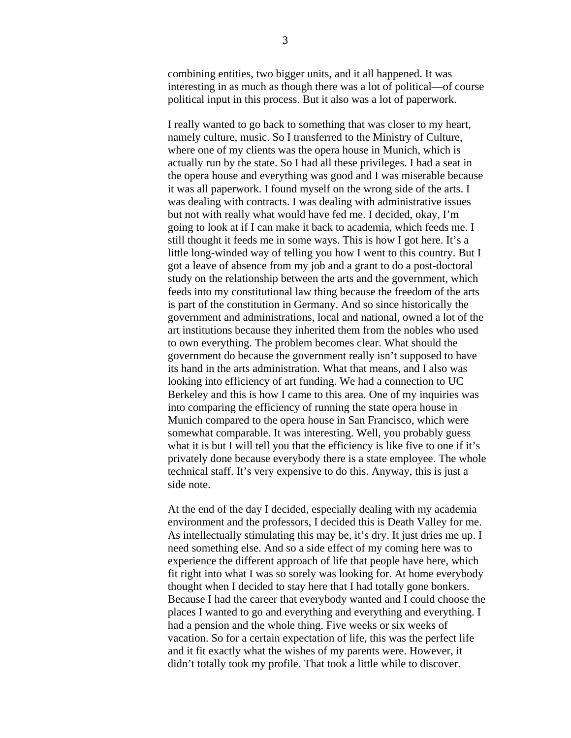combining entities, two bigger units, and it all happened. It was interesting in as much as though there was a lot of political—of course political input in this process. But it also was a lot of paperwork.

I really wanted to go back to something that was closer to my heart, namely culture, music. So I transferred to the Ministry of Culture, where one of my clients was the opera house in Munich, which is actually run by the state. So I had all these privileges. I had a seat in the opera house and everything was good and I was miserable because it was all paperwork. I found myself on the wrong side of the arts. I was dealing with contracts. I was dealing with administrative issues but not with really what would have fed me. I decided, okay, I'm going to look at if I can make it back to academia, which feeds me. I still thought it feeds me in some ways. This is how I got here. It's a little long-winded way of telling you how I went to this country. But I got a leave of absence from my job and a grant to do a post-doctoral study on the relationship between the arts and the government, which feeds into my constitutional law thing because the freedom of the arts is part of the constitution in Germany. And so since historically the government and administrations, local and national, owned a lot of the art institutions because they inherited them from the nobles who used to own everything. The problem becomes clear. What should the government do because the government really isn't supposed to have its hand in the arts administration. What that means, and I also was looking into efficiency of art funding. We had a connection to UC Berkeley and this is how I came to this area. One of my inquiries was into comparing the efficiency of running the state opera house in Munich compared to the opera house in San Francisco, which were somewhat comparable. It was interesting. Well, you probably guess what it is but I will tell you that the efficiency is like five to one if it's privately done because everybody there is a state employee. The whole technical staff. It's very expensive to do this. Anyway, this is just a side note.

 At the end of the day I decided, especially dealing with my academia environment and the professors, I decided this is Death Valley for me. As intellectually stimulating this may be, it's dry. It just dries me up. I need something else. And so a side effect of my coming here was to experience the different approach of life that people have here, which fit right into what I was so sorely was looking for. At home everybody thought when I decided to stay here that I had totally gone bonkers. Because I had the career that everybody wanted and I could choose the places I wanted to go and everything and everything and everything. I had a pension and the whole thing. Five weeks or six weeks of vacation. So for a certain expectation of life, this was the perfect life and it fit exactly what the wishes of my parents were. However, it didn't totally took my profile. That took a little while to discover.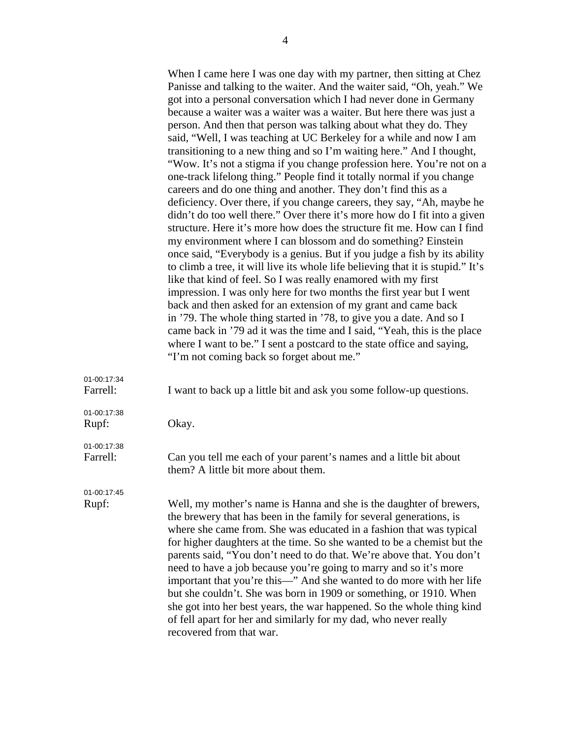|                         | When I came here I was one day with my partner, then sitting at Chez<br>Panisse and talking to the waiter. And the waiter said, "Oh, yeah." We<br>got into a personal conversation which I had never done in Germany<br>because a waiter was a waiter was a waiter. But here there was just a<br>person. And then that person was talking about what they do. They<br>said, "Well, I was teaching at UC Berkeley for a while and now I am<br>transitioning to a new thing and so I'm waiting here." And I thought, |
|-------------------------|--------------------------------------------------------------------------------------------------------------------------------------------------------------------------------------------------------------------------------------------------------------------------------------------------------------------------------------------------------------------------------------------------------------------------------------------------------------------------------------------------------------------|
|                         | "Wow. It's not a stigma if you change profession here. You're not on a<br>one-track lifelong thing." People find it totally normal if you change<br>careers and do one thing and another. They don't find this as a                                                                                                                                                                                                                                                                                                |
|                         | deficiency. Over there, if you change careers, they say, "Ah, maybe he<br>didn't do too well there." Over there it's more how do I fit into a given<br>structure. Here it's more how does the structure fit me. How can I find<br>my environment where I can blossom and do something? Einstein<br>once said, "Everybody is a genius. But if you judge a fish by its ability                                                                                                                                       |
|                         | to climb a tree, it will live its whole life believing that it is stupid." It's<br>like that kind of feel. So I was really enamored with my first<br>impression. I was only here for two months the first year but I went                                                                                                                                                                                                                                                                                          |
|                         | back and then asked for an extension of my grant and came back<br>in '79. The whole thing started in '78, to give you a date. And so I<br>came back in '79 ad it was the time and I said, "Yeah, this is the place<br>where I want to be." I sent a postcard to the state office and saying,<br>"I'm not coming back so forget about me."                                                                                                                                                                          |
| 01-00:17:34<br>Farrell: | I want to back up a little bit and ask you some follow-up questions.                                                                                                                                                                                                                                                                                                                                                                                                                                               |
| 01-00:17:38<br>Rupf:    | Okay.                                                                                                                                                                                                                                                                                                                                                                                                                                                                                                              |
| 04.00147.20             |                                                                                                                                                                                                                                                                                                                                                                                                                                                                                                                    |

01-00:17:38 Farrell: Can you tell me each of your parent's names and a little bit about them? A little bit more about them.

01-00:17:45

Rupf: Well, my mother's name is Hanna and she is the daughter of brewers, the brewery that has been in the family for several generations, is where she came from. She was educated in a fashion that was typical for higher daughters at the time. So she wanted to be a chemist but the parents said, "You don't need to do that. We're above that. You don't need to have a job because you're going to marry and so it's more important that you're this—" And she wanted to do more with her life but she couldn't. She was born in 1909 or something, or 1910. When she got into her best years, the war happened. So the whole thing kind of fell apart for her and similarly for my dad, who never really recovered from that war.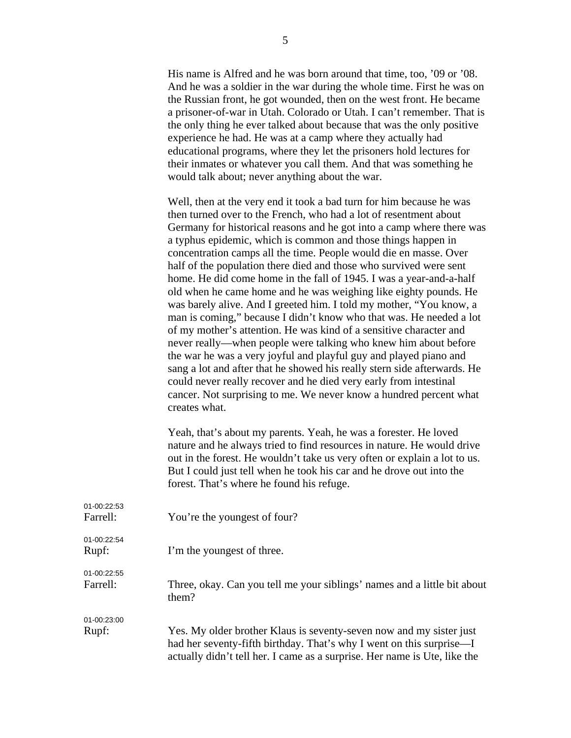His name is Alfred and he was born around that time, too, '09 or '08. And he was a soldier in the war during the whole time. First he was on the Russian front, he got wounded, then on the west front. He became a prisoner-of-war in Utah. Colorado or Utah. I can't remember. That is the only thing he ever talked about because that was the only positive experience he had. He was at a camp where they actually had educational programs, where they let the prisoners hold lectures for their inmates or whatever you call them. And that was something he would talk about; never anything about the war.

Well, then at the very end it took a bad turn for him because he was then turned over to the French, who had a lot of resentment about Germany for historical reasons and he got into a camp where there was a typhus epidemic, which is common and those things happen in concentration camps all the time. People would die en masse. Over half of the population there died and those who survived were sent home. He did come home in the fall of 1945. I was a year-and-a-half old when he came home and he was weighing like eighty pounds. He was barely alive. And I greeted him. I told my mother, "You know, a man is coming," because I didn't know who that was. He needed a lot of my mother's attention. He was kind of a sensitive character and never really—when people were talking who knew him about before the war he was a very joyful and playful guy and played piano and sang a lot and after that he showed his really stern side afterwards. He could never really recover and he died very early from intestinal cancer. Not surprising to me. We never know a hundred percent what creates what.

Yeah, that's about my parents. Yeah, he was a forester. He loved nature and he always tried to find resources in nature. He would drive out in the forest. He wouldn't take us very often or explain a lot to us. But I could just tell when he took his car and he drove out into the forest. That's where he found his refuge.

| 01-00:22:53<br>Farrell: | You're the youngest of four?                                                                                                                      |
|-------------------------|---------------------------------------------------------------------------------------------------------------------------------------------------|
| 01-00:22:54<br>Rupf:    | I'm the youngest of three.                                                                                                                        |
| 01-00:22:55<br>Farrell: | Three, okay. Can you tell me your siblings' names and a little bit about<br>them?                                                                 |
| 01-00:23:00<br>Rupf:    | Yes. My older brother Klaus is seventy-seven now and my sister just                                                                               |
|                         | had her seventy-fifth birthday. That's why I went on this surprise—I<br>actually didn't tell her. I came as a surprise. Her name is Ute, like the |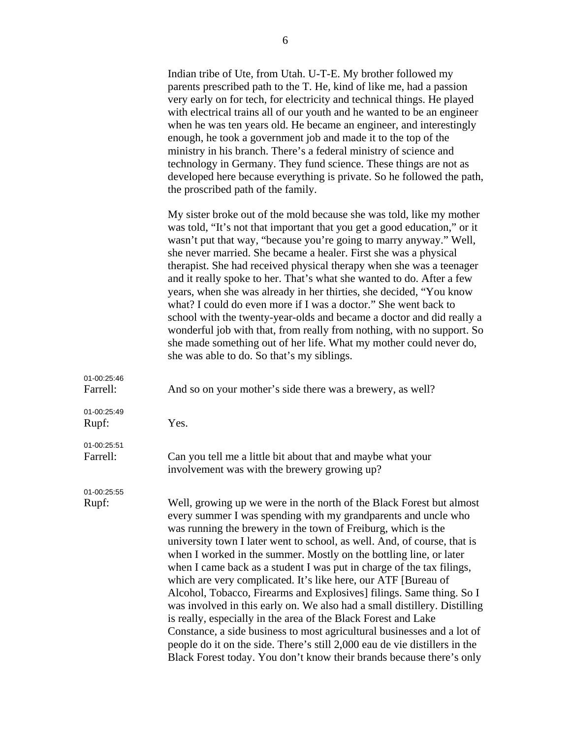|                         | Indian tribe of Ute, from Utah. U-T-E. My brother followed my<br>parents prescribed path to the T. He, kind of like me, had a passion<br>very early on for tech, for electricity and technical things. He played<br>with electrical trains all of our youth and he wanted to be an engineer<br>when he was ten years old. He became an engineer, and interestingly<br>enough, he took a government job and made it to the top of the<br>ministry in his branch. There's a federal ministry of science and<br>technology in Germany. They fund science. These things are not as<br>developed here because everything is private. So he followed the path,<br>the proscribed path of the family.                                                                                                                                                                                                                                                               |
|-------------------------|--------------------------------------------------------------------------------------------------------------------------------------------------------------------------------------------------------------------------------------------------------------------------------------------------------------------------------------------------------------------------------------------------------------------------------------------------------------------------------------------------------------------------------------------------------------------------------------------------------------------------------------------------------------------------------------------------------------------------------------------------------------------------------------------------------------------------------------------------------------------------------------------------------------------------------------------------------------|
|                         | My sister broke out of the mold because she was told, like my mother<br>was told, "It's not that important that you get a good education," or it<br>wasn't put that way, "because you're going to marry anyway." Well,<br>she never married. She became a healer. First she was a physical<br>therapist. She had received physical therapy when she was a teenager<br>and it really spoke to her. That's what she wanted to do. After a few<br>years, when she was already in her thirties, she decided, "You know<br>what? I could do even more if I was a doctor." She went back to<br>school with the twenty-year-olds and became a doctor and did really a<br>wonderful job with that, from really from nothing, with no support. So<br>she made something out of her life. What my mother could never do,<br>she was able to do. So that's my siblings.                                                                                                 |
| 01-00:25:46<br>Farrell: | And so on your mother's side there was a brewery, as well?                                                                                                                                                                                                                                                                                                                                                                                                                                                                                                                                                                                                                                                                                                                                                                                                                                                                                                   |
| 01-00:25:49<br>Rupf:    | Yes.                                                                                                                                                                                                                                                                                                                                                                                                                                                                                                                                                                                                                                                                                                                                                                                                                                                                                                                                                         |
| 01-00:25:51<br>Farrell: | Can you tell me a little bit about that and maybe what your<br>involvement was with the brewery growing up?                                                                                                                                                                                                                                                                                                                                                                                                                                                                                                                                                                                                                                                                                                                                                                                                                                                  |
| 01-00:25:55<br>Rupf:    | Well, growing up we were in the north of the Black Forest but almost<br>every summer I was spending with my grandparents and uncle who<br>was running the brewery in the town of Freiburg, which is the<br>university town I later went to school, as well. And, of course, that is<br>when I worked in the summer. Mostly on the bottling line, or later<br>when I came back as a student I was put in charge of the tax filings,<br>which are very complicated. It's like here, our ATF [Bureau of<br>Alcohol, Tobacco, Firearms and Explosives] filings. Same thing. So I<br>was involved in this early on. We also had a small distillery. Distilling<br>is really, especially in the area of the Black Forest and Lake<br>Constance, a side business to most agricultural businesses and a lot of<br>people do it on the side. There's still 2,000 eau de vie distillers in the<br>Black Forest today. You don't know their brands because there's only |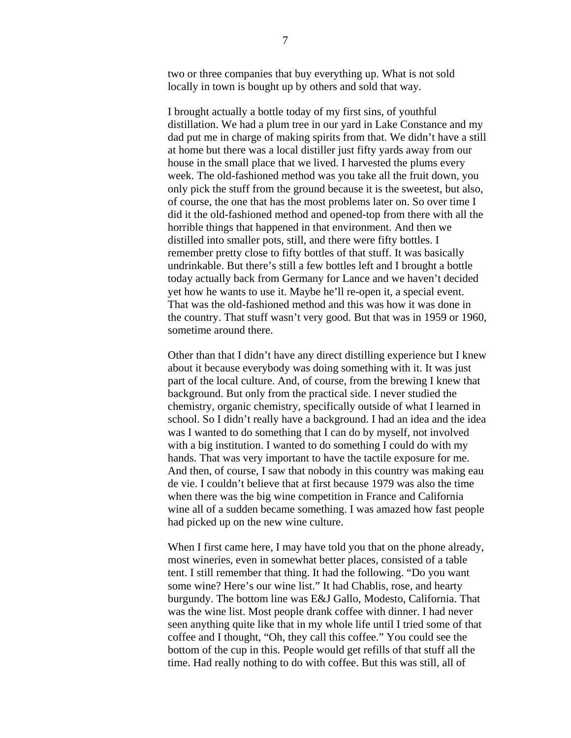two or three companies that buy everything up. What is not sold locally in town is bought up by others and sold that way.

 I brought actually a bottle today of my first sins, of youthful distillation. We had a plum tree in our yard in Lake Constance and my dad put me in charge of making spirits from that. We didn't have a still at home but there was a local distiller just fifty yards away from our house in the small place that we lived. I harvested the plums every week. The old-fashioned method was you take all the fruit down, you only pick the stuff from the ground because it is the sweetest, but also, of course, the one that has the most problems later on. So over time I did it the old-fashioned method and opened-top from there with all the horrible things that happened in that environment. And then we distilled into smaller pots, still, and there were fifty bottles. I remember pretty close to fifty bottles of that stuff. It was basically undrinkable. But there's still a few bottles left and I brought a bottle today actually back from Germany for Lance and we haven't decided yet how he wants to use it. Maybe he'll re-open it, a special event. That was the old-fashioned method and this was how it was done in the country. That stuff wasn't very good. But that was in 1959 or 1960, sometime around there.

 Other than that I didn't have any direct distilling experience but I knew about it because everybody was doing something with it. It was just part of the local culture. And, of course, from the brewing I knew that background. But only from the practical side. I never studied the chemistry, organic chemistry, specifically outside of what I learned in school. So I didn't really have a background. I had an idea and the idea was I wanted to do something that I can do by myself, not involved with a big institution. I wanted to do something I could do with my hands. That was very important to have the tactile exposure for me. And then, of course, I saw that nobody in this country was making eau de vie. I couldn't believe that at first because 1979 was also the time when there was the big wine competition in France and California wine all of a sudden became something. I was amazed how fast people had picked up on the new wine culture.

When I first came here, I may have told you that on the phone already, most wineries, even in somewhat better places, consisted of a table tent. I still remember that thing. It had the following. "Do you want some wine? Here's our wine list." It had Chablis, rose, and hearty burgundy. The bottom line was E&J Gallo, Modesto, California. That was the wine list. Most people drank coffee with dinner. I had never seen anything quite like that in my whole life until I tried some of that coffee and I thought, "Oh, they call this coffee." You could see the bottom of the cup in this. People would get refills of that stuff all the time. Had really nothing to do with coffee. But this was still, all of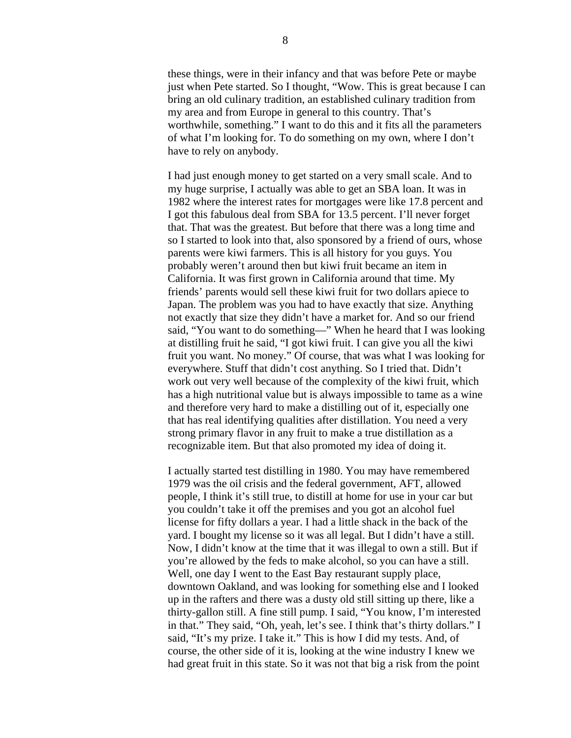these things, were in their infancy and that was before Pete or maybe just when Pete started. So I thought, "Wow. This is great because I can bring an old culinary tradition, an established culinary tradition from my area and from Europe in general to this country. That's worthwhile, something." I want to do this and it fits all the parameters of what I'm looking for. To do something on my own, where I don't have to rely on anybody.

I had just enough money to get started on a very small scale. And to my huge surprise, I actually was able to get an SBA loan. It was in 1982 where the interest rates for mortgages were like 17.8 percent and I got this fabulous deal from SBA for 13.5 percent. I'll never forget that. That was the greatest. But before that there was a long time and so I started to look into that, also sponsored by a friend of ours, whose parents were kiwi farmers. This is all history for you guys. You probably weren't around then but kiwi fruit became an item in California. It was first grown in California around that time. My friends' parents would sell these kiwi fruit for two dollars apiece to Japan. The problem was you had to have exactly that size. Anything not exactly that size they didn't have a market for. And so our friend said, "You want to do something—" When he heard that I was looking at distilling fruit he said, "I got kiwi fruit. I can give you all the kiwi fruit you want. No money." Of course, that was what I was looking for everywhere. Stuff that didn't cost anything. So I tried that. Didn't work out very well because of the complexity of the kiwi fruit, which has a high nutritional value but is always impossible to tame as a wine and therefore very hard to make a distilling out of it, especially one that has real identifying qualities after distillation. You need a very strong primary flavor in any fruit to make a true distillation as a recognizable item. But that also promoted my idea of doing it.

I actually started test distilling in 1980. You may have remembered 1979 was the oil crisis and the federal government, AFT, allowed people, I think it's still true, to distill at home for use in your car but you couldn't take it off the premises and you got an alcohol fuel license for fifty dollars a year. I had a little shack in the back of the yard. I bought my license so it was all legal. But I didn't have a still. Now, I didn't know at the time that it was illegal to own a still. But if you're allowed by the feds to make alcohol, so you can have a still. Well, one day I went to the East Bay restaurant supply place, downtown Oakland, and was looking for something else and I looked up in the rafters and there was a dusty old still sitting up there, like a thirty-gallon still. A fine still pump. I said, "You know, I'm interested in that." They said, "Oh, yeah, let's see. I think that's thirty dollars." I said, "It's my prize. I take it." This is how I did my tests. And, of course, the other side of it is, looking at the wine industry I knew we had great fruit in this state. So it was not that big a risk from the point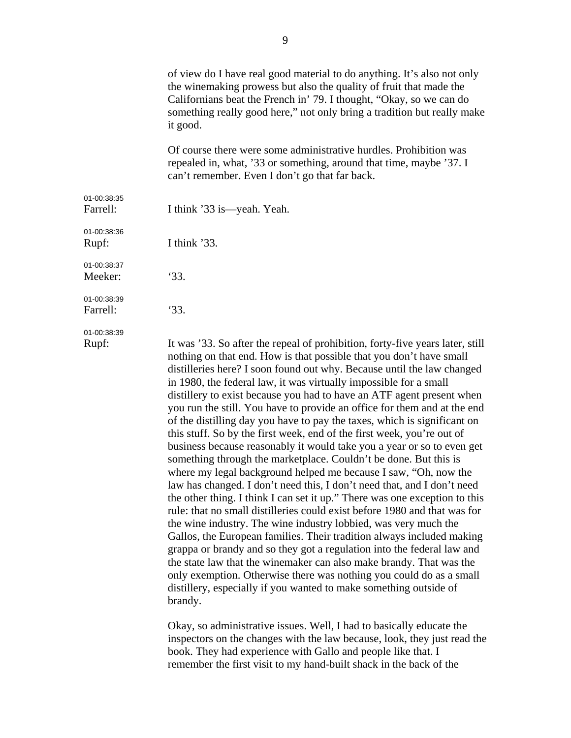|             | of view do I have real good material to do anything. It's also not only<br>the winemaking prowess but also the quality of fruit that made the<br>Californians beat the French in' 79. I thought, "Okay, so we can do<br>something really good here," not only bring a tradition but really make<br>it good. |
|-------------|-------------------------------------------------------------------------------------------------------------------------------------------------------------------------------------------------------------------------------------------------------------------------------------------------------------|
|             | Of course there were some administrative hurdles. Prohibition was<br>repealed in, what, '33 or something, around that time, maybe '37. I<br>can't remember. Even I don't go that far back.                                                                                                                  |
| 01-00:38:35 |                                                                                                                                                                                                                                                                                                             |
| Farrell:    | I think '33 is—yeah. Yeah.                                                                                                                                                                                                                                                                                  |
| 01-00:38:36 |                                                                                                                                                                                                                                                                                                             |
| Rupf:       | I think $'33$ .                                                                                                                                                                                                                                                                                             |
| 01-00:38:37 |                                                                                                                                                                                                                                                                                                             |
| Meeker:     | 33.                                                                                                                                                                                                                                                                                                         |
| 01-00:38:39 |                                                                                                                                                                                                                                                                                                             |
| Farrell:    | 33.                                                                                                                                                                                                                                                                                                         |
| 01-00:38:39 |                                                                                                                                                                                                                                                                                                             |
| Rupf:       | It was '33. So after the repeal of prohibition, forty-five years later, still<br>nothing on that end. How is that possible that you don't have small<br>distilleries here? I soon found out why. Because until the law changed<br>in 1980, the federal law, it was virtually impossible for a small         |

in 1980, the federal law, it was virtually impossible for a small distillery to exist because you had to have an ATF agent present when you run the still. You have to provide an office for them and at the end of the distilling day you have to pay the taxes, which is significant on this stuff. So by the first week, end of the first week, you're out of business because reasonably it would take you a year or so to even get something through the marketplace. Couldn't be done. But this is where my legal background helped me because I saw, "Oh, now the law has changed. I don't need this, I don't need that, and I don't need the other thing. I think I can set it up." There was one exception to this rule: that no small distilleries could exist before 1980 and that was for the wine industry. The wine industry lobbied, was very much the Gallos, the European families. Their tradition always included making grappa or brandy and so they got a regulation into the federal law and the state law that the winemaker can also make brandy. That was the only exemption. Otherwise there was nothing you could do as a small distillery, especially if you wanted to make something outside of brandy.

 Okay, so administrative issues. Well, I had to basically educate the inspectors on the changes with the law because, look, they just read the book. They had experience with Gallo and people like that. I remember the first visit to my hand-built shack in the back of the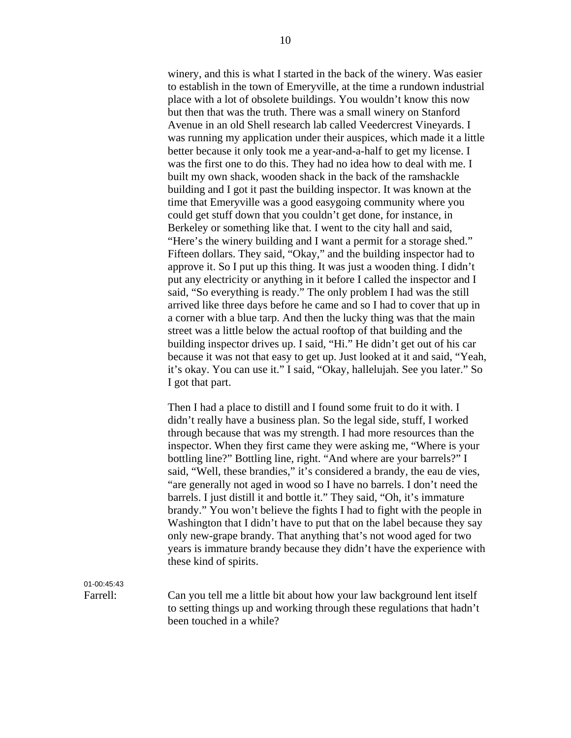winery, and this is what I started in the back of the winery. Was easier to establish in the town of Emeryville, at the time a rundown industrial place with a lot of obsolete buildings. You wouldn't know this now but then that was the truth. There was a small winery on Stanford Avenue in an old Shell research lab called Veedercrest Vineyards. I was running my application under their auspices, which made it a little better because it only took me a year-and-a-half to get my license. I was the first one to do this. They had no idea how to deal with me. I built my own shack, wooden shack in the back of the ramshackle building and I got it past the building inspector. It was known at the time that Emeryville was a good easygoing community where you could get stuff down that you couldn't get done, for instance, in Berkeley or something like that. I went to the city hall and said, "Here's the winery building and I want a permit for a storage shed." Fifteen dollars. They said, "Okay," and the building inspector had to approve it. So I put up this thing. It was just a wooden thing. I didn't put any electricity or anything in it before I called the inspector and I said, "So everything is ready." The only problem I had was the still arrived like three days before he came and so I had to cover that up in a corner with a blue tarp. And then the lucky thing was that the main street was a little below the actual rooftop of that building and the building inspector drives up. I said, "Hi." He didn't get out of his car because it was not that easy to get up. Just looked at it and said, "Yeah, it's okay. You can use it." I said, "Okay, hallelujah. See you later." So I got that part.

Then I had a place to distill and I found some fruit to do it with. I didn't really have a business plan. So the legal side, stuff, I worked through because that was my strength. I had more resources than the inspector. When they first came they were asking me, "Where is your bottling line?" Bottling line, right. "And where are your barrels?" I said, "Well, these brandies," it's considered a brandy, the eau de vies, "are generally not aged in wood so I have no barrels. I don't need the barrels. I just distill it and bottle it." They said, "Oh, it's immature brandy." You won't believe the fights I had to fight with the people in Washington that I didn't have to put that on the label because they say only new-grape brandy. That anything that's not wood aged for two years is immature brandy because they didn't have the experience with these kind of spirits.

01-00:45:43

Farrell: Can you tell me a little bit about how your law background lent itself to setting things up and working through these regulations that hadn't been touched in a while?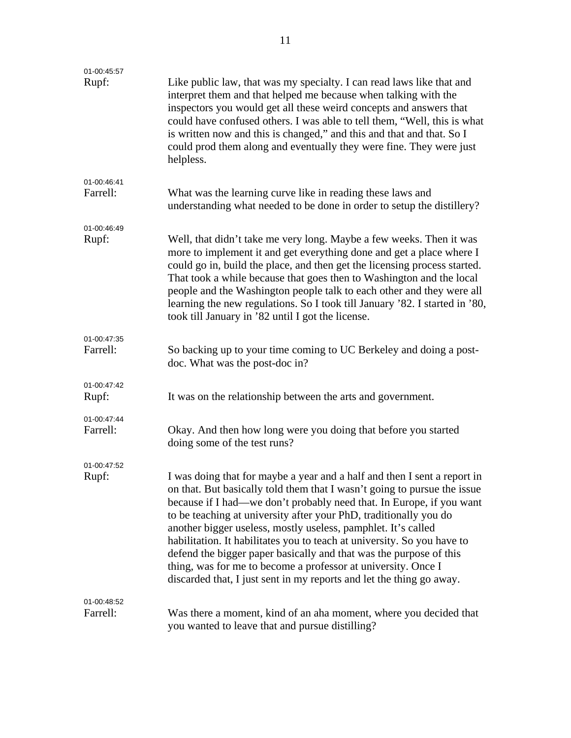| 01-00:45:57             |                                                                                                                                                                                                                                                                                                                                                                                                                                                                                                                                                                                                                                                              |
|-------------------------|--------------------------------------------------------------------------------------------------------------------------------------------------------------------------------------------------------------------------------------------------------------------------------------------------------------------------------------------------------------------------------------------------------------------------------------------------------------------------------------------------------------------------------------------------------------------------------------------------------------------------------------------------------------|
| Rupf:                   | Like public law, that was my specialty. I can read laws like that and<br>interpret them and that helped me because when talking with the<br>inspectors you would get all these weird concepts and answers that<br>could have confused others. I was able to tell them, "Well, this is what<br>is written now and this is changed," and this and that and that. So I<br>could prod them along and eventually they were fine. They were just<br>helpless.                                                                                                                                                                                                      |
| 01-00:46:41<br>Farrell: | What was the learning curve like in reading these laws and<br>understanding what needed to be done in order to setup the distillery?                                                                                                                                                                                                                                                                                                                                                                                                                                                                                                                         |
| 01-00:46:49             |                                                                                                                                                                                                                                                                                                                                                                                                                                                                                                                                                                                                                                                              |
| Rupf:                   | Well, that didn't take me very long. Maybe a few weeks. Then it was<br>more to implement it and get everything done and get a place where I<br>could go in, build the place, and then get the licensing process started.<br>That took a while because that goes then to Washington and the local<br>people and the Washington people talk to each other and they were all<br>learning the new regulations. So I took till January '82. I started in '80,<br>took till January in '82 until I got the license.                                                                                                                                                |
| 01-00:47:35<br>Farrell: | So backing up to your time coming to UC Berkeley and doing a post-<br>doc. What was the post-doc in?                                                                                                                                                                                                                                                                                                                                                                                                                                                                                                                                                         |
| 01-00:47:42<br>Rupf:    | It was on the relationship between the arts and government.                                                                                                                                                                                                                                                                                                                                                                                                                                                                                                                                                                                                  |
| 01-00:47:44<br>Farrell: | Okay. And then how long were you doing that before you started<br>doing some of the test runs?                                                                                                                                                                                                                                                                                                                                                                                                                                                                                                                                                               |
| 01-00:47:52             |                                                                                                                                                                                                                                                                                                                                                                                                                                                                                                                                                                                                                                                              |
| Rupf:                   | I was doing that for maybe a year and a half and then I sent a report in<br>on that. But basically told them that I wasn't going to pursue the issue<br>because if I had—we don't probably need that. In Europe, if you want<br>to be teaching at university after your PhD, traditionally you do<br>another bigger useless, mostly useless, pamphlet. It's called<br>habilitation. It habilitates you to teach at university. So you have to<br>defend the bigger paper basically and that was the purpose of this<br>thing, was for me to become a professor at university. Once I<br>discarded that, I just sent in my reports and let the thing go away. |
| 01-00:48:52             |                                                                                                                                                                                                                                                                                                                                                                                                                                                                                                                                                                                                                                                              |
| Farrell:                | Was there a moment, kind of an aha moment, where you decided that<br>you wanted to leave that and pursue distilling?                                                                                                                                                                                                                                                                                                                                                                                                                                                                                                                                         |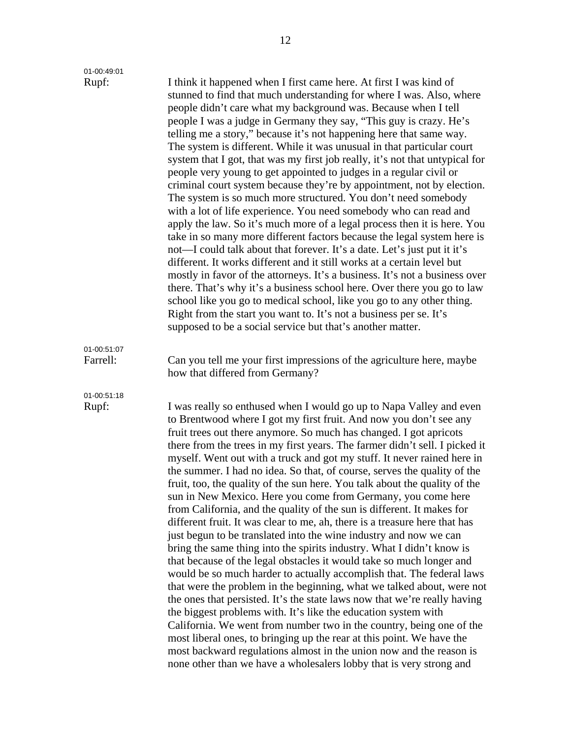| 01-00:49:01             |                                                                                                                                                                                                                                                                                                                                                                                                                                                                                                                                                                                                                                                                                                                                                                                                                                                                                                                                                                                                                                                                                                                                                                                                                                                                                                                                                                                                                                                                                                                                                                                    |
|-------------------------|------------------------------------------------------------------------------------------------------------------------------------------------------------------------------------------------------------------------------------------------------------------------------------------------------------------------------------------------------------------------------------------------------------------------------------------------------------------------------------------------------------------------------------------------------------------------------------------------------------------------------------------------------------------------------------------------------------------------------------------------------------------------------------------------------------------------------------------------------------------------------------------------------------------------------------------------------------------------------------------------------------------------------------------------------------------------------------------------------------------------------------------------------------------------------------------------------------------------------------------------------------------------------------------------------------------------------------------------------------------------------------------------------------------------------------------------------------------------------------------------------------------------------------------------------------------------------------|
| Rupf:                   | I think it happened when I first came here. At first I was kind of<br>stunned to find that much understanding for where I was. Also, where<br>people didn't care what my background was. Because when I tell<br>people I was a judge in Germany they say, "This guy is crazy. He's<br>telling me a story," because it's not happening here that same way.<br>The system is different. While it was unusual in that particular court<br>system that I got, that was my first job really, it's not that untypical for<br>people very young to get appointed to judges in a regular civil or<br>criminal court system because they're by appointment, not by election.<br>The system is so much more structured. You don't need somebody<br>with a lot of life experience. You need somebody who can read and<br>apply the law. So it's much more of a legal process then it is here. You<br>take in so many more different factors because the legal system here is<br>not—I could talk about that forever. It's a date. Let's just put it it's<br>different. It works different and it still works at a certain level but<br>mostly in favor of the attorneys. It's a business. It's not a business over<br>there. That's why it's a business school here. Over there you go to law<br>school like you go to medical school, like you go to any other thing.<br>Right from the start you want to. It's not a business per se. It's<br>supposed to be a social service but that's another matter.                                                                                    |
| 01-00:51:07<br>Farrell: | Can you tell me your first impressions of the agriculture here, maybe<br>how that differed from Germany?                                                                                                                                                                                                                                                                                                                                                                                                                                                                                                                                                                                                                                                                                                                                                                                                                                                                                                                                                                                                                                                                                                                                                                                                                                                                                                                                                                                                                                                                           |
| 01-00:51:18<br>Rupf:    | I was really so enthused when I would go up to Napa Valley and even<br>to Brentwood where I got my first fruit. And now you don't see any<br>fruit trees out there anymore. So much has changed. I got apricots<br>there from the trees in my first years. The farmer didn't sell. I picked it<br>myself. Went out with a truck and got my stuff. It never rained here in<br>the summer. I had no idea. So that, of course, serves the quality of the<br>fruit, too, the quality of the sun here. You talk about the quality of the<br>sun in New Mexico. Here you come from Germany, you come here<br>from California, and the quality of the sun is different. It makes for<br>different fruit. It was clear to me, ah, there is a treasure here that has<br>just begun to be translated into the wine industry and now we can<br>bring the same thing into the spirits industry. What I didn't know is<br>that because of the legal obstacles it would take so much longer and<br>would be so much harder to actually accomplish that. The federal laws<br>that were the problem in the beginning, what we talked about, were not<br>the ones that persisted. It's the state laws now that we're really having<br>the biggest problems with. It's like the education system with<br>California. We went from number two in the country, being one of the<br>most liberal ones, to bringing up the rear at this point. We have the<br>most backward regulations almost in the union now and the reason is<br>none other than we have a wholesalers lobby that is very strong and |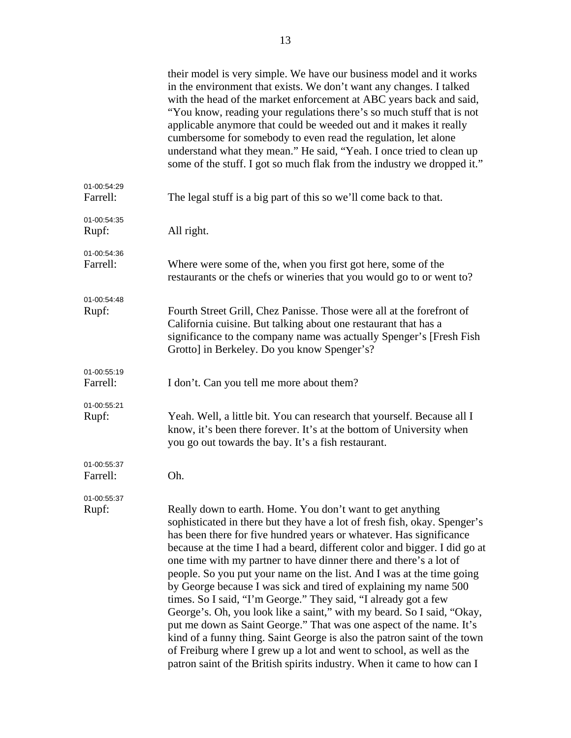|                         | their model is very simple. We have our business model and it works<br>in the environment that exists. We don't want any changes. I talked<br>with the head of the market enforcement at ABC years back and said,<br>"You know, reading your regulations there's so much stuff that is not<br>applicable anymore that could be weeded out and it makes it really<br>cumbersome for somebody to even read the regulation, let alone<br>understand what they mean." He said, "Yeah. I once tried to clean up<br>some of the stuff. I got so much flak from the industry we dropped it."                                                                                                                                                                                                                                                                                                                                                                              |
|-------------------------|--------------------------------------------------------------------------------------------------------------------------------------------------------------------------------------------------------------------------------------------------------------------------------------------------------------------------------------------------------------------------------------------------------------------------------------------------------------------------------------------------------------------------------------------------------------------------------------------------------------------------------------------------------------------------------------------------------------------------------------------------------------------------------------------------------------------------------------------------------------------------------------------------------------------------------------------------------------------|
| 01-00:54:29<br>Farrell: | The legal stuff is a big part of this so we'll come back to that.                                                                                                                                                                                                                                                                                                                                                                                                                                                                                                                                                                                                                                                                                                                                                                                                                                                                                                  |
| 01-00:54:35<br>Rupf:    | All right.                                                                                                                                                                                                                                                                                                                                                                                                                                                                                                                                                                                                                                                                                                                                                                                                                                                                                                                                                         |
| 01-00:54:36<br>Farrell: | Where were some of the, when you first got here, some of the<br>restaurants or the chefs or wineries that you would go to or went to?                                                                                                                                                                                                                                                                                                                                                                                                                                                                                                                                                                                                                                                                                                                                                                                                                              |
| 01-00:54:48<br>Rupf:    | Fourth Street Grill, Chez Panisse. Those were all at the forefront of<br>California cuisine. But talking about one restaurant that has a<br>significance to the company name was actually Spenger's [Fresh Fish<br>Grotto] in Berkeley. Do you know Spenger's?                                                                                                                                                                                                                                                                                                                                                                                                                                                                                                                                                                                                                                                                                                     |
| 01-00:55:19<br>Farrell: | I don't. Can you tell me more about them?                                                                                                                                                                                                                                                                                                                                                                                                                                                                                                                                                                                                                                                                                                                                                                                                                                                                                                                          |
| 01-00:55:21<br>Rupf:    | Yeah. Well, a little bit. You can research that yourself. Because all I<br>know, it's been there forever. It's at the bottom of University when<br>you go out towards the bay. It's a fish restaurant.                                                                                                                                                                                                                                                                                                                                                                                                                                                                                                                                                                                                                                                                                                                                                             |
| 01-00:55:37<br>Farrell: | Oh.                                                                                                                                                                                                                                                                                                                                                                                                                                                                                                                                                                                                                                                                                                                                                                                                                                                                                                                                                                |
| 01-00:55:37<br>Rupf:    | Really down to earth. Home. You don't want to get anything<br>sophisticated in there but they have a lot of fresh fish, okay. Spenger's<br>has been there for five hundred years or whatever. Has significance<br>because at the time I had a beard, different color and bigger. I did go at<br>one time with my partner to have dinner there and there's a lot of<br>people. So you put your name on the list. And I was at the time going<br>by George because I was sick and tired of explaining my name 500<br>times. So I said, "I'm George." They said, "I already got a few<br>George's. Oh, you look like a saint," with my beard. So I said, "Okay,<br>put me down as Saint George." That was one aspect of the name. It's<br>kind of a funny thing. Saint George is also the patron saint of the town<br>of Freiburg where I grew up a lot and went to school, as well as the<br>patron saint of the British spirits industry. When it came to how can I |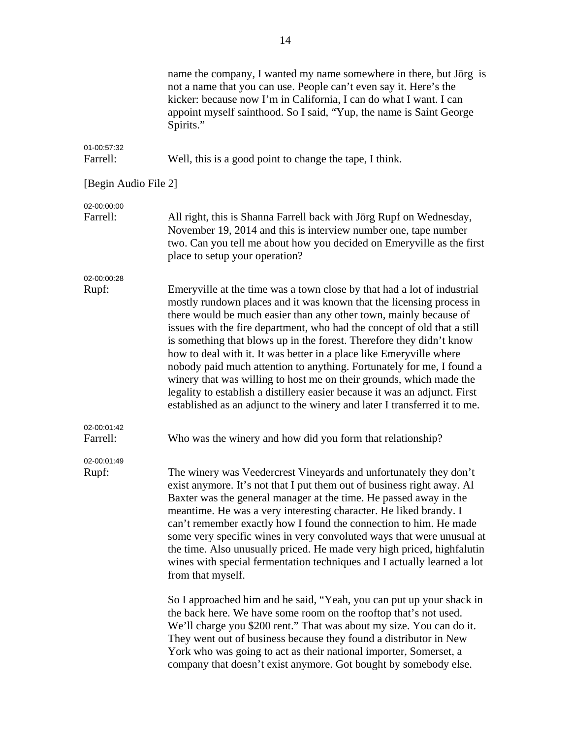| name the company, I wanted my name somewhere in there, but Jörg is<br>not a name that you can use. People can't even say it. Here's the<br>kicker: because now I'm in California, I can do what I want. I can<br>appoint myself sainthood. So I said, "Yup, the name is Saint George<br>Spirits."                                                                                                                                                                                                                                                                                                                                                                                                                                                                                                                                                                                                                                                                           |
|-----------------------------------------------------------------------------------------------------------------------------------------------------------------------------------------------------------------------------------------------------------------------------------------------------------------------------------------------------------------------------------------------------------------------------------------------------------------------------------------------------------------------------------------------------------------------------------------------------------------------------------------------------------------------------------------------------------------------------------------------------------------------------------------------------------------------------------------------------------------------------------------------------------------------------------------------------------------------------|
| Well, this is a good point to change the tape, I think.                                                                                                                                                                                                                                                                                                                                                                                                                                                                                                                                                                                                                                                                                                                                                                                                                                                                                                                     |
| [Begin Audio File 2]                                                                                                                                                                                                                                                                                                                                                                                                                                                                                                                                                                                                                                                                                                                                                                                                                                                                                                                                                        |
| All right, this is Shanna Farrell back with Jörg Rupf on Wednesday,<br>November 19, 2014 and this is interview number one, tape number<br>two. Can you tell me about how you decided on Emeryville as the first<br>place to setup your operation?                                                                                                                                                                                                                                                                                                                                                                                                                                                                                                                                                                                                                                                                                                                           |
| Emeryville at the time was a town close by that had a lot of industrial<br>mostly rundown places and it was known that the licensing process in<br>there would be much easier than any other town, mainly because of<br>issues with the fire department, who had the concept of old that a still<br>is something that blows up in the forest. Therefore they didn't know<br>how to deal with it. It was better in a place like Emeryville where<br>nobody paid much attention to anything. Fortunately for me, I found a<br>winery that was willing to host me on their grounds, which made the<br>legality to establish a distillery easier because it was an adjunct. First<br>established as an adjunct to the winery and later I transferred it to me.                                                                                                                                                                                                                  |
| Who was the winery and how did you form that relationship?                                                                                                                                                                                                                                                                                                                                                                                                                                                                                                                                                                                                                                                                                                                                                                                                                                                                                                                  |
| The winery was Veedercrest Vineyards and unfortunately they don't<br>exist anymore. It's not that I put them out of business right away. Al<br>Baxter was the general manager at the time. He passed away in the<br>meantime. He was a very interesting character. He liked brandy. I<br>can't remember exactly how I found the connection to him. He made<br>some very specific wines in very convoluted ways that were unusual at<br>the time. Also unusually priced. He made very high priced, highfalutin<br>wines with special fermentation techniques and I actually learned a lot<br>from that myself.<br>So I approached him and he said, "Yeah, you can put up your shack in<br>the back here. We have some room on the rooftop that's not used.<br>We'll charge you \$200 rent." That was about my size. You can do it.<br>They went out of business because they found a distributor in New<br>York who was going to act as their national importer, Somerset, a |
|                                                                                                                                                                                                                                                                                                                                                                                                                                                                                                                                                                                                                                                                                                                                                                                                                                                                                                                                                                             |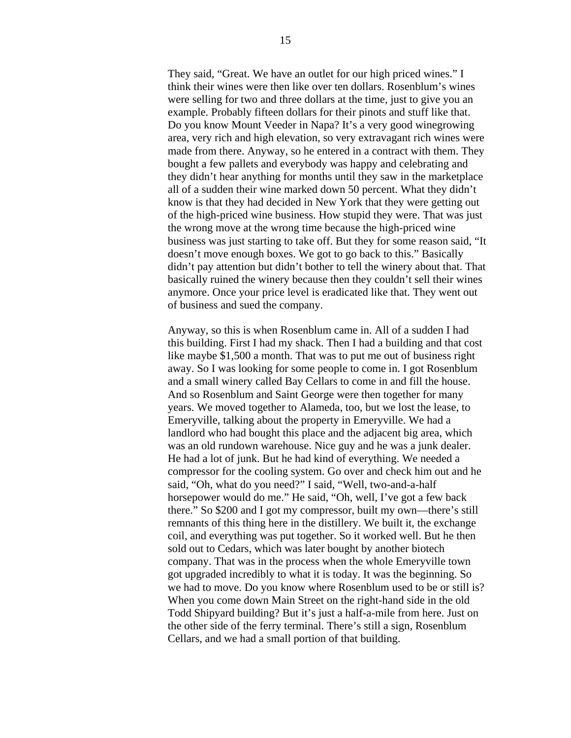They said, "Great. We have an outlet for our high priced wines." I think their wines were then like over ten dollars. Rosenblum's wines were selling for two and three dollars at the time, just to give you an example. Probably fifteen dollars for their pinots and stuff like that. Do you know Mount Veeder in Napa? It's a very good winegrowing area, very rich and high elevation, so very extravagant rich wines were made from there. Anyway, so he entered in a contract with them. They bought a few pallets and everybody was happy and celebrating and they didn't hear anything for months until they saw in the marketplace all of a sudden their wine marked down 50 percent. What they didn't know is that they had decided in New York that they were getting out of the high-priced wine business. How stupid they were. That was just the wrong move at the wrong time because the high-priced wine business was just starting to take off. But they for some reason said, "It doesn't move enough boxes. We got to go back to this." Basically didn't pay attention but didn't bother to tell the winery about that. That basically ruined the winery because then they couldn't sell their wines anymore. Once your price level is eradicated like that. They went out of business and sued the company.

 Anyway, so this is when Rosenblum came in. All of a sudden I had this building. First I had my shack. Then I had a building and that cost like maybe \$1,500 a month. That was to put me out of business right away. So I was looking for some people to come in. I got Rosenblum and a small winery called Bay Cellars to come in and fill the house. And so Rosenblum and Saint George were then together for many years. We moved together to Alameda, too, but we lost the lease, to Emeryville, talking about the property in Emeryville. We had a landlord who had bought this place and the adjacent big area, which was an old rundown warehouse. Nice guy and he was a junk dealer. He had a lot of junk. But he had kind of everything. We needed a compressor for the cooling system. Go over and check him out and he said, "Oh, what do you need?" I said, "Well, two-and-a-half horsepower would do me." He said, "Oh, well, I've got a few back there." So \$200 and I got my compressor, built my own—there's still remnants of this thing here in the distillery. We built it, the exchange coil, and everything was put together. So it worked well. But he then sold out to Cedars, which was later bought by another biotech company. That was in the process when the whole Emeryville town got upgraded incredibly to what it is today. It was the beginning. So we had to move. Do you know where Rosenblum used to be or still is? When you come down Main Street on the right-hand side in the old Todd Shipyard building? But it's just a half-a-mile from here. Just on the other side of the ferry terminal. There's still a sign, Rosenblum Cellars, and we had a small portion of that building.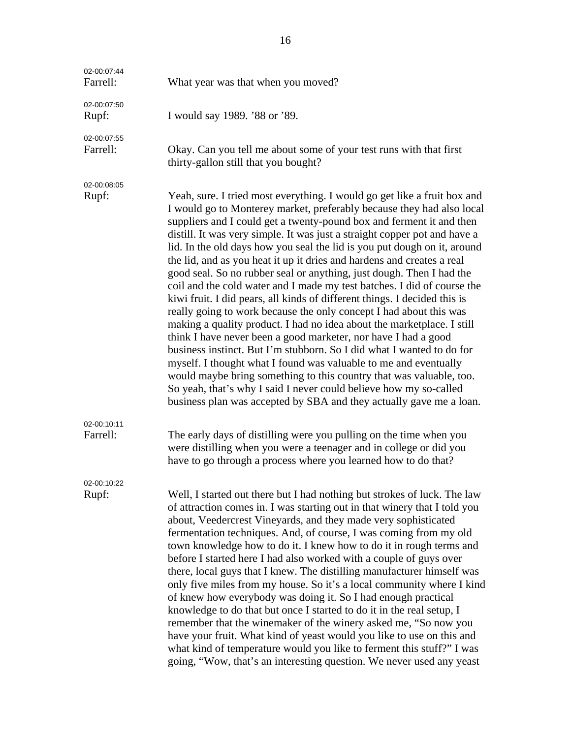| 02-00:07:44<br>Farrell: | What year was that when you moved?                                                                                                                                                                                                                                                                                                                                                                                                                                                                                                                                                                                                                                                                                                                                                                                                                                                                                                                                                                                                                                                                                                                                                                                                                                             |
|-------------------------|--------------------------------------------------------------------------------------------------------------------------------------------------------------------------------------------------------------------------------------------------------------------------------------------------------------------------------------------------------------------------------------------------------------------------------------------------------------------------------------------------------------------------------------------------------------------------------------------------------------------------------------------------------------------------------------------------------------------------------------------------------------------------------------------------------------------------------------------------------------------------------------------------------------------------------------------------------------------------------------------------------------------------------------------------------------------------------------------------------------------------------------------------------------------------------------------------------------------------------------------------------------------------------|
| 02-00:07:50<br>Rupf:    | I would say 1989. '88 or '89.                                                                                                                                                                                                                                                                                                                                                                                                                                                                                                                                                                                                                                                                                                                                                                                                                                                                                                                                                                                                                                                                                                                                                                                                                                                  |
| 02-00:07:55<br>Farrell: | Okay. Can you tell me about some of your test runs with that first<br>thirty-gallon still that you bought?                                                                                                                                                                                                                                                                                                                                                                                                                                                                                                                                                                                                                                                                                                                                                                                                                                                                                                                                                                                                                                                                                                                                                                     |
| 02-00:08:05<br>Rupf:    | Yeah, sure. I tried most everything. I would go get like a fruit box and<br>I would go to Monterey market, preferably because they had also local<br>suppliers and I could get a twenty-pound box and ferment it and then<br>distill. It was very simple. It was just a straight copper pot and have a<br>lid. In the old days how you seal the lid is you put dough on it, around<br>the lid, and as you heat it up it dries and hardens and creates a real<br>good seal. So no rubber seal or anything, just dough. Then I had the<br>coil and the cold water and I made my test batches. I did of course the<br>kiwi fruit. I did pears, all kinds of different things. I decided this is<br>really going to work because the only concept I had about this was<br>making a quality product. I had no idea about the marketplace. I still<br>think I have never been a good marketer, nor have I had a good<br>business instinct. But I'm stubborn. So I did what I wanted to do for<br>myself. I thought what I found was valuable to me and eventually<br>would maybe bring something to this country that was valuable, too.<br>So yeah, that's why I said I never could believe how my so-called<br>business plan was accepted by SBA and they actually gave me a loan. |
| 02-00:10:11<br>Farrell: | The early days of distilling were you pulling on the time when you<br>were distilling when you were a teenager and in college or did you<br>have to go through a process where you learned how to do that?                                                                                                                                                                                                                                                                                                                                                                                                                                                                                                                                                                                                                                                                                                                                                                                                                                                                                                                                                                                                                                                                     |
| 02-00:10:22<br>Rupf:    | Well, I started out there but I had nothing but strokes of luck. The law<br>of attraction comes in. I was starting out in that winery that I told you<br>about, Veedercrest Vineyards, and they made very sophisticated<br>fermentation techniques. And, of course, I was coming from my old<br>town knowledge how to do it. I knew how to do it in rough terms and<br>before I started here I had also worked with a couple of guys over<br>there, local guys that I knew. The distilling manufacturer himself was<br>only five miles from my house. So it's a local community where I kind<br>of knew how everybody was doing it. So I had enough practical<br>knowledge to do that but once I started to do it in the real setup, I<br>remember that the winemaker of the winery asked me, "So now you<br>have your fruit. What kind of yeast would you like to use on this and<br>what kind of temperature would you like to ferment this stuff?" I was<br>going, "Wow, that's an interesting question. We never used any yeast                                                                                                                                                                                                                                            |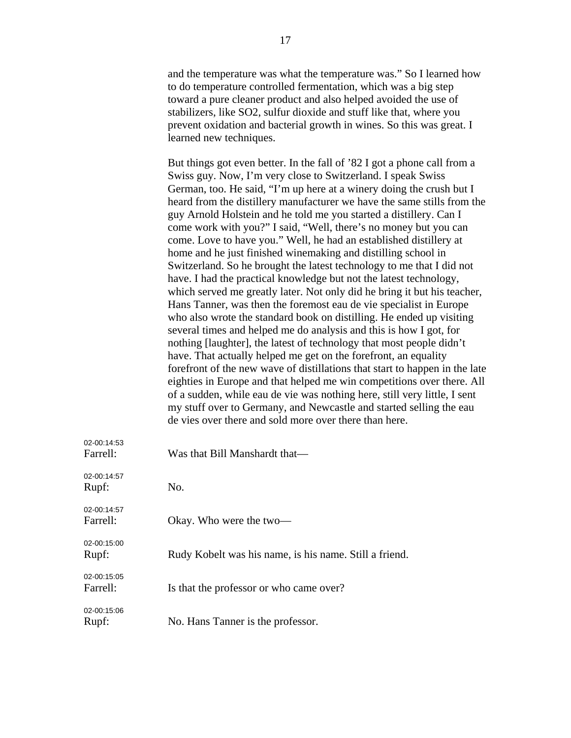and the temperature was what the temperature was." So I learned how to do temperature controlled fermentation, which was a big step toward a pure cleaner product and also helped avoided the use of stabilizers, like SO2, sulfur dioxide and stuff like that, where you prevent oxidation and bacterial growth in wines. So this was great. I learned new techniques.

But things got even better. In the fall of '82 I got a phone call from a Swiss guy. Now, I'm very close to Switzerland. I speak Swiss German, too. He said, "I'm up here at a winery doing the crush but I heard from the distillery manufacturer we have the same stills from the guy Arnold Holstein and he told me you started a distillery. Can I come work with you?" I said, "Well, there's no money but you can come. Love to have you." Well, he had an established distillery at home and he just finished winemaking and distilling school in Switzerland. So he brought the latest technology to me that I did not have. I had the practical knowledge but not the latest technology, which served me greatly later. Not only did he bring it but his teacher, Hans Tanner, was then the foremost eau de vie specialist in Europe who also wrote the standard book on distilling. He ended up visiting several times and helped me do analysis and this is how I got, for nothing [laughter], the latest of technology that most people didn't have. That actually helped me get on the forefront, an equality forefront of the new wave of distillations that start to happen in the late eighties in Europe and that helped me win competitions over there. All of a sudden, while eau de vie was nothing here, still very little, I sent my stuff over to Germany, and Newcastle and started selling the eau de vies over there and sold more over there than here.

| 02-00:14:53<br>Farrell: | Was that Bill Manshardt that—                          |
|-------------------------|--------------------------------------------------------|
| 02-00:14:57<br>Rupf:    | No.                                                    |
| 02-00:14:57<br>Farrell: | Okay. Who were the two-                                |
| 02-00:15:00<br>Rupf:    | Rudy Kobelt was his name, is his name. Still a friend. |
| 02-00:15:05<br>Farrell: | Is that the professor or who came over?                |
| 02-00:15:06<br>Rupf:    | No. Hans Tanner is the professor.                      |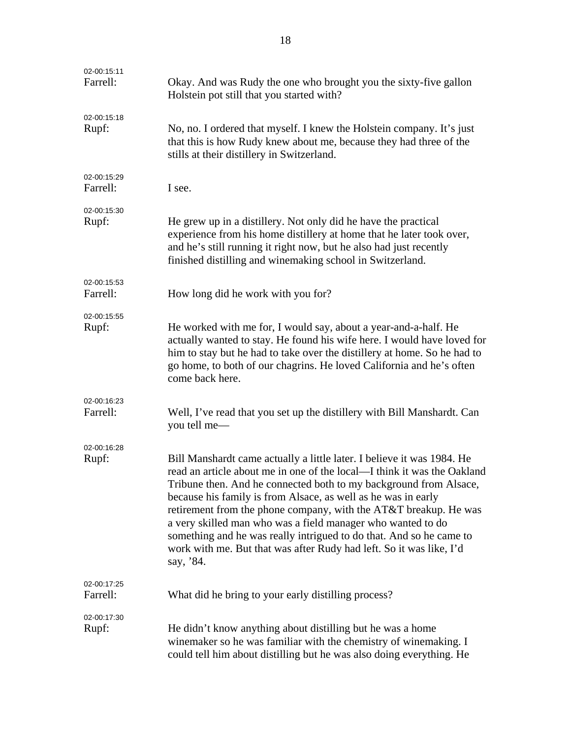| 02-00:15:11<br>Farrell: | Okay. And was Rudy the one who brought you the sixty-five gallon<br>Holstein pot still that you started with?                                                                                                                                                                                                                                                                                                                                                                                                                                                                         |
|-------------------------|---------------------------------------------------------------------------------------------------------------------------------------------------------------------------------------------------------------------------------------------------------------------------------------------------------------------------------------------------------------------------------------------------------------------------------------------------------------------------------------------------------------------------------------------------------------------------------------|
| 02-00:15:18<br>Rupf:    | No, no. I ordered that myself. I knew the Holstein company. It's just<br>that this is how Rudy knew about me, because they had three of the<br>stills at their distillery in Switzerland.                                                                                                                                                                                                                                                                                                                                                                                             |
| 02-00:15:29<br>Farrell: | I see.                                                                                                                                                                                                                                                                                                                                                                                                                                                                                                                                                                                |
| 02-00:15:30<br>Rupf:    | He grew up in a distillery. Not only did he have the practical<br>experience from his home distillery at home that he later took over,<br>and he's still running it right now, but he also had just recently<br>finished distilling and winemaking school in Switzerland.                                                                                                                                                                                                                                                                                                             |
| 02-00:15:53<br>Farrell: | How long did he work with you for?                                                                                                                                                                                                                                                                                                                                                                                                                                                                                                                                                    |
| 02-00:15:55<br>Rupf:    | He worked with me for, I would say, about a year-and-a-half. He<br>actually wanted to stay. He found his wife here. I would have loved for<br>him to stay but he had to take over the distillery at home. So he had to<br>go home, to both of our chagrins. He loved California and he's often<br>come back here.                                                                                                                                                                                                                                                                     |
| 02-00:16:23<br>Farrell: | Well, I've read that you set up the distillery with Bill Manshardt. Can<br>you tell me—                                                                                                                                                                                                                                                                                                                                                                                                                                                                                               |
| 02-00:16:28<br>Rupf:    | Bill Manshardt came actually a little later. I believe it was 1984. He<br>read an article about me in one of the local—I think it was the Oakland<br>Tribune then. And he connected both to my background from Alsace,<br>because his family is from Alsace, as well as he was in early<br>retirement from the phone company, with the AT&T breakup. He was<br>a very skilled man who was a field manager who wanted to do<br>something and he was really intrigued to do that. And so he came to<br>work with me. But that was after Rudy had left. So it was like, I'd<br>say, '84. |
| 02-00:17:25<br>Farrell: | What did he bring to your early distilling process?                                                                                                                                                                                                                                                                                                                                                                                                                                                                                                                                   |
| 02-00:17:30<br>Rupf:    | He didn't know anything about distilling but he was a home<br>winemaker so he was familiar with the chemistry of winemaking. I<br>could tell him about distilling but he was also doing everything. He                                                                                                                                                                                                                                                                                                                                                                                |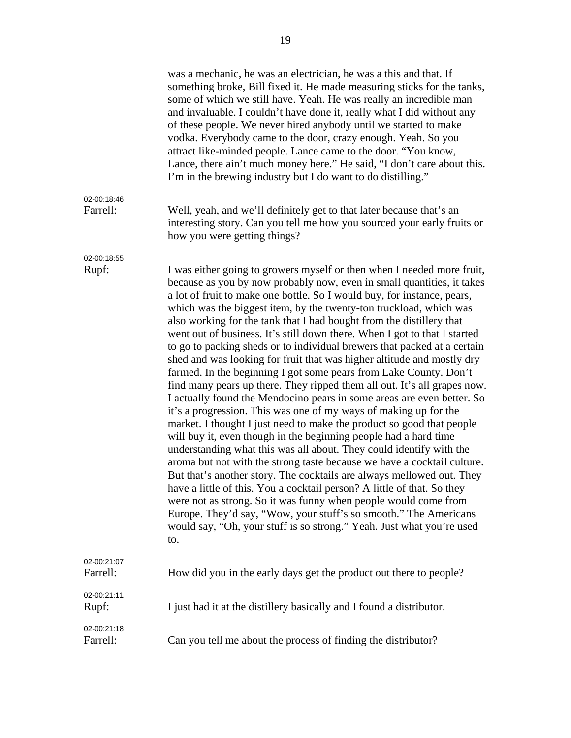|                         | was a mechanic, he was an electrician, he was a this and that. If<br>something broke, Bill fixed it. He made measuring sticks for the tanks,<br>some of which we still have. Yeah. He was really an incredible man<br>and invaluable. I couldn't have done it, really what I did without any<br>of these people. We never hired anybody until we started to make<br>vodka. Everybody came to the door, crazy enough. Yeah. So you<br>attract like-minded people. Lance came to the door. "You know,<br>Lance, there ain't much money here." He said, "I don't care about this.<br>I'm in the brewing industry but I do want to do distilling."                                                                                                                                                                                                                                                                                                                                                                                                                                                                                                                                                                                                                                                                                                                                                                                                                                                                                                                                        |
|-------------------------|---------------------------------------------------------------------------------------------------------------------------------------------------------------------------------------------------------------------------------------------------------------------------------------------------------------------------------------------------------------------------------------------------------------------------------------------------------------------------------------------------------------------------------------------------------------------------------------------------------------------------------------------------------------------------------------------------------------------------------------------------------------------------------------------------------------------------------------------------------------------------------------------------------------------------------------------------------------------------------------------------------------------------------------------------------------------------------------------------------------------------------------------------------------------------------------------------------------------------------------------------------------------------------------------------------------------------------------------------------------------------------------------------------------------------------------------------------------------------------------------------------------------------------------------------------------------------------------|
| 02-00:18:46<br>Farrell: | Well, yeah, and we'll definitely get to that later because that's an<br>interesting story. Can you tell me how you sourced your early fruits or<br>how you were getting things?                                                                                                                                                                                                                                                                                                                                                                                                                                                                                                                                                                                                                                                                                                                                                                                                                                                                                                                                                                                                                                                                                                                                                                                                                                                                                                                                                                                                       |
| 02-00:18:55<br>Rupf:    | I was either going to growers myself or then when I needed more fruit,<br>because as you by now probably now, even in small quantities, it takes<br>a lot of fruit to make one bottle. So I would buy, for instance, pears,<br>which was the biggest item, by the twenty-ton truckload, which was<br>also working for the tank that I had bought from the distillery that<br>went out of business. It's still down there. When I got to that I started<br>to go to packing sheds or to individual brewers that packed at a certain<br>shed and was looking for fruit that was higher altitude and mostly dry<br>farmed. In the beginning I got some pears from Lake County. Don't<br>find many pears up there. They ripped them all out. It's all grapes now.<br>I actually found the Mendocino pears in some areas are even better. So<br>it's a progression. This was one of my ways of making up for the<br>market. I thought I just need to make the product so good that people<br>will buy it, even though in the beginning people had a hard time<br>understanding what this was all about. They could identify with the<br>aroma but not with the strong taste because we have a cocktail culture.<br>But that's another story. The cocktails are always mellowed out. They<br>have a little of this. You a cocktail person? A little of that. So they<br>were not as strong. So it was funny when people would come from<br>Europe. They'd say, "Wow, your stuff's so smooth." The Americans<br>would say, "Oh, your stuff is so strong." Yeah. Just what you're used<br>to. |
| 02-00:21:07<br>Farrell: | How did you in the early days get the product out there to people?                                                                                                                                                                                                                                                                                                                                                                                                                                                                                                                                                                                                                                                                                                                                                                                                                                                                                                                                                                                                                                                                                                                                                                                                                                                                                                                                                                                                                                                                                                                    |
| 02-00:21:11<br>Rupf:    | I just had it at the distillery basically and I found a distributor.                                                                                                                                                                                                                                                                                                                                                                                                                                                                                                                                                                                                                                                                                                                                                                                                                                                                                                                                                                                                                                                                                                                                                                                                                                                                                                                                                                                                                                                                                                                  |
| 02-00:21:18<br>Farrell: | Can you tell me about the process of finding the distributor?                                                                                                                                                                                                                                                                                                                                                                                                                                                                                                                                                                                                                                                                                                                                                                                                                                                                                                                                                                                                                                                                                                                                                                                                                                                                                                                                                                                                                                                                                                                         |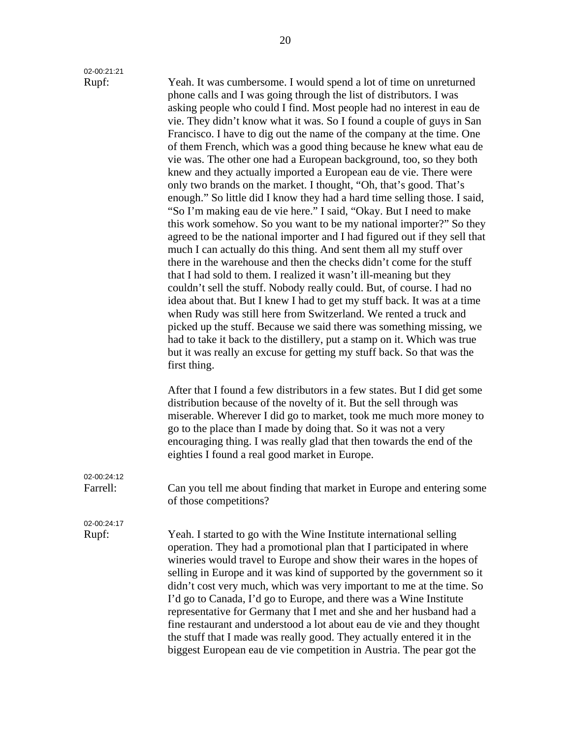02-00:21:21

Rupf: Yeah. It was cumbersome. I would spend a lot of time on unreturned phone calls and I was going through the list of distributors. I was asking people who could I find. Most people had no interest in eau de vie. They didn't know what it was. So I found a couple of guys in San Francisco. I have to dig out the name of the company at the time. One of them French, which was a good thing because he knew what eau de vie was. The other one had a European background, too, so they both knew and they actually imported a European eau de vie. There were only two brands on the market. I thought, "Oh, that's good. That's enough." So little did I know they had a hard time selling those. I said, "So I'm making eau de vie here." I said, "Okay. But I need to make this work somehow. So you want to be my national importer?" So they agreed to be the national importer and I had figured out if they sell that much I can actually do this thing. And sent them all my stuff over there in the warehouse and then the checks didn't come for the stuff that I had sold to them. I realized it wasn't ill-meaning but they couldn't sell the stuff. Nobody really could. But, of course. I had no idea about that. But I knew I had to get my stuff back. It was at a time when Rudy was still here from Switzerland. We rented a truck and picked up the stuff. Because we said there was something missing, we had to take it back to the distillery, put a stamp on it. Which was true but it was really an excuse for getting my stuff back. So that was the first thing.

> After that I found a few distributors in a few states. But I did get some distribution because of the novelty of it. But the sell through was miserable. Wherever I did go to market, took me much more money to go to the place than I made by doing that. So it was not a very encouraging thing. I was really glad that then towards the end of the eighties I found a real good market in Europe.

Farrell: Can you tell me about finding that market in Europe and entering some of those competitions?

02-00:24:17

02-00:24:12

Rupf: Yeah. I started to go with the Wine Institute international selling operation. They had a promotional plan that I participated in where wineries would travel to Europe and show their wares in the hopes of selling in Europe and it was kind of supported by the government so it didn't cost very much, which was very important to me at the time. So I'd go to Canada, I'd go to Europe, and there was a Wine Institute representative for Germany that I met and she and her husband had a fine restaurant and understood a lot about eau de vie and they thought the stuff that I made was really good. They actually entered it in the biggest European eau de vie competition in Austria. The pear got the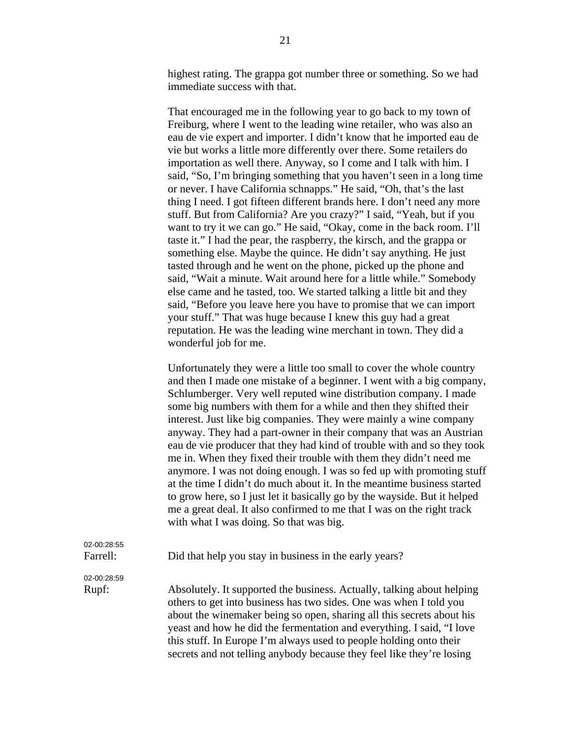highest rating. The grappa got number three or something. So we had immediate success with that.

That encouraged me in the following year to go back to my town of Freiburg, where I went to the leading wine retailer, who was also an eau de vie expert and importer. I didn't know that he imported eau de vie but works a little more differently over there. Some retailers do importation as well there. Anyway, so I come and I talk with him. I said, "So, I'm bringing something that you haven't seen in a long time or never. I have California schnapps." He said, "Oh, that's the last thing I need. I got fifteen different brands here. I don't need any more stuff. But from California? Are you crazy?" I said, "Yeah, but if you want to try it we can go." He said, "Okay, come in the back room. I'll taste it." I had the pear, the raspberry, the kirsch, and the grappa or something else. Maybe the quince. He didn't say anything. He just tasted through and he went on the phone, picked up the phone and said, "Wait a minute. Wait around here for a little while." Somebody else came and he tasted, too. We started talking a little bit and they said, "Before you leave here you have to promise that we can import your stuff." That was huge because I knew this guy had a great reputation. He was the leading wine merchant in town. They did a wonderful job for me.

Unfortunately they were a little too small to cover the whole country and then I made one mistake of a beginner. I went with a big company, Schlumberger. Very well reputed wine distribution company. I made some big numbers with them for a while and then they shifted their interest. Just like big companies. They were mainly a wine company anyway. They had a part-owner in their company that was an Austrian eau de vie producer that they had kind of trouble with and so they took me in. When they fixed their trouble with them they didn't need me anymore. I was not doing enough. I was so fed up with promoting stuff at the time I didn't do much about it. In the meantime business started to grow here, so I just let it basically go by the wayside. But it helped me a great deal. It also confirmed to me that I was on the right track with what I was doing. So that was big.

secrets and not telling anybody because they feel like they're losing

| Farrell:    | Did that help you stay in business in the early years?                                                                                                                                                                                                                                                                                                               |
|-------------|----------------------------------------------------------------------------------------------------------------------------------------------------------------------------------------------------------------------------------------------------------------------------------------------------------------------------------------------------------------------|
| 02-00:28:59 |                                                                                                                                                                                                                                                                                                                                                                      |
| Rupf:       | Absolutely. It supported the business. Actually, talking about helping<br>others to get into business has two sides. One was when I told you<br>about the winemaker being so open, sharing all this secrets about his<br>yeast and how he did the fermentation and everything. I said, "I love<br>this stuff. In Europe I'm always used to people holding onto their |

02-00:28:55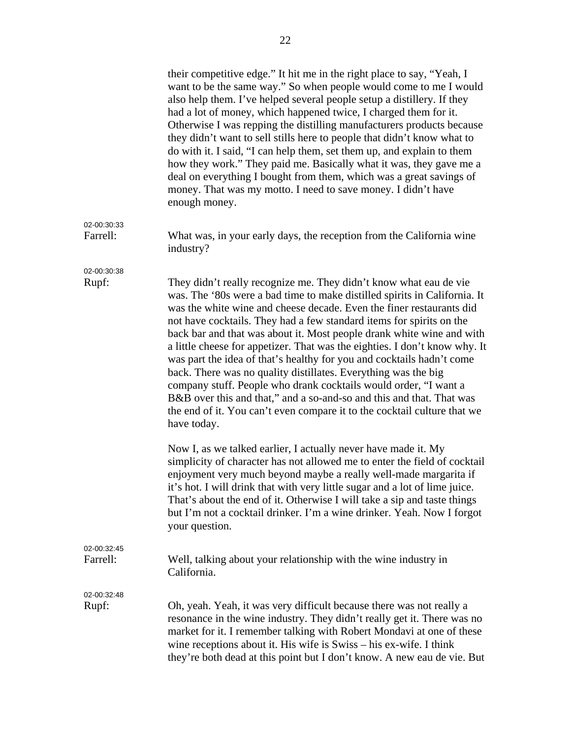|                         | their competitive edge." It hit me in the right place to say, "Yeah, I<br>want to be the same way." So when people would come to me I would<br>also help them. I've helped several people setup a distillery. If they<br>had a lot of money, which happened twice, I charged them for it.<br>Otherwise I was repping the distilling manufacturers products because<br>they didn't want to sell stills here to people that didn't know what to<br>do with it. I said, "I can help them, set them up, and explain to them<br>how they work." They paid me. Basically what it was, they gave me a<br>deal on everything I bought from them, which was a great savings of<br>money. That was my motto. I need to save money. I didn't have<br>enough money.                                                                                 |
|-------------------------|-----------------------------------------------------------------------------------------------------------------------------------------------------------------------------------------------------------------------------------------------------------------------------------------------------------------------------------------------------------------------------------------------------------------------------------------------------------------------------------------------------------------------------------------------------------------------------------------------------------------------------------------------------------------------------------------------------------------------------------------------------------------------------------------------------------------------------------------|
| 02-00:30:33<br>Farrell: | What was, in your early days, the reception from the California wine<br>industry?                                                                                                                                                                                                                                                                                                                                                                                                                                                                                                                                                                                                                                                                                                                                                       |
| 02-00:30:38<br>Rupf:    | They didn't really recognize me. They didn't know what eau de vie<br>was. The '80s were a bad time to make distilled spirits in California. It<br>was the white wine and cheese decade. Even the finer restaurants did<br>not have cocktails. They had a few standard items for spirits on the<br>back bar and that was about it. Most people drank white wine and with<br>a little cheese for appetizer. That was the eighties. I don't know why. It<br>was part the idea of that's healthy for you and cocktails hadn't come<br>back. There was no quality distillates. Everything was the big<br>company stuff. People who drank cocktails would order, "I want a<br>B&B over this and that," and a so-and-so and this and that. That was<br>the end of it. You can't even compare it to the cocktail culture that we<br>have today. |
|                         | Now I, as we talked earlier, I actually never have made it. My<br>simplicity of character has not allowed me to enter the field of cocktail<br>enjoyment very much beyond maybe a really well-made margarita if<br>it's hot. I will drink that with very little sugar and a lot of lime juice.<br>That's about the end of it. Otherwise I will take a sip and taste things<br>but I'm not a cocktail drinker. I'm a wine drinker. Yeah. Now I forgot<br>your question.                                                                                                                                                                                                                                                                                                                                                                  |
| 02-00:32:45<br>Farrell: | Well, talking about your relationship with the wine industry in<br>California.                                                                                                                                                                                                                                                                                                                                                                                                                                                                                                                                                                                                                                                                                                                                                          |
| 02-00:32:48<br>Rupf:    | Oh, yeah. Yeah, it was very difficult because there was not really a<br>resonance in the wine industry. They didn't really get it. There was no<br>market for it. I remember talking with Robert Mondavi at one of these<br>wine receptions about it. His wife is Swiss – his ex-wife. I think<br>they're both dead at this point but I don't know. A new eau de vie. But                                                                                                                                                                                                                                                                                                                                                                                                                                                               |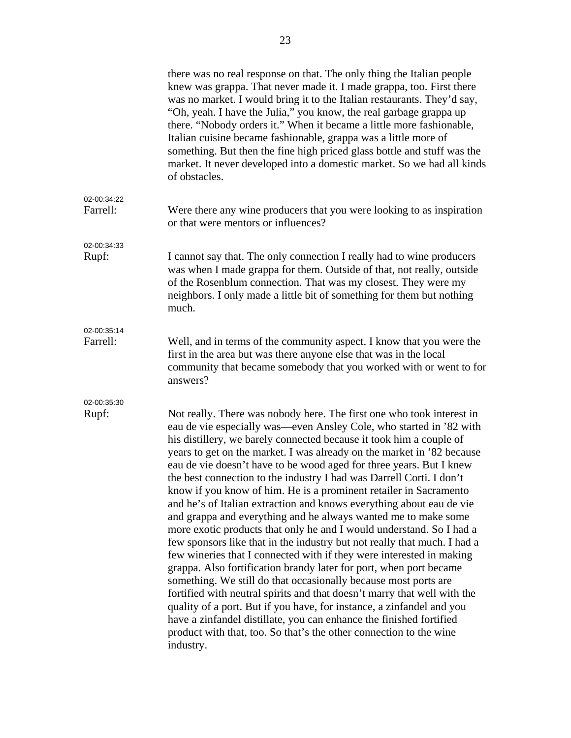|                         | there was no real response on that. The only thing the Italian people<br>knew was grappa. That never made it. I made grappa, too. First there<br>was no market. I would bring it to the Italian restaurants. They'd say,<br>"Oh, yeah. I have the Julia," you know, the real garbage grappa up<br>there. "Nobody orders it." When it became a little more fashionable,<br>Italian cuisine became fashionable, grappa was a little more of<br>something. But then the fine high priced glass bottle and stuff was the<br>market. It never developed into a domestic market. So we had all kinds<br>of obstacles.                                                                                                                                                                                                                                                                                                                                                                                                                                                                                                                                                                                                                                                                                                                                 |
|-------------------------|-------------------------------------------------------------------------------------------------------------------------------------------------------------------------------------------------------------------------------------------------------------------------------------------------------------------------------------------------------------------------------------------------------------------------------------------------------------------------------------------------------------------------------------------------------------------------------------------------------------------------------------------------------------------------------------------------------------------------------------------------------------------------------------------------------------------------------------------------------------------------------------------------------------------------------------------------------------------------------------------------------------------------------------------------------------------------------------------------------------------------------------------------------------------------------------------------------------------------------------------------------------------------------------------------------------------------------------------------|
| 02-00:34:22<br>Farrell: | Were there any wine producers that you were looking to as inspiration<br>or that were mentors or influences?                                                                                                                                                                                                                                                                                                                                                                                                                                                                                                                                                                                                                                                                                                                                                                                                                                                                                                                                                                                                                                                                                                                                                                                                                                    |
| 02-00:34:33<br>Rupf:    | I cannot say that. The only connection I really had to wine producers<br>was when I made grappa for them. Outside of that, not really, outside<br>of the Rosenblum connection. That was my closest. They were my<br>neighbors. I only made a little bit of something for them but nothing<br>much.                                                                                                                                                                                                                                                                                                                                                                                                                                                                                                                                                                                                                                                                                                                                                                                                                                                                                                                                                                                                                                              |
| 02-00:35:14<br>Farrell: | Well, and in terms of the community aspect. I know that you were the<br>first in the area but was there anyone else that was in the local<br>community that became somebody that you worked with or went to for<br>answers?                                                                                                                                                                                                                                                                                                                                                                                                                                                                                                                                                                                                                                                                                                                                                                                                                                                                                                                                                                                                                                                                                                                     |
| 02-00:35:30<br>Rupf:    | Not really. There was nobody here. The first one who took interest in<br>eau de vie especially was—even Ansley Cole, who started in '82 with<br>his distillery, we barely connected because it took him a couple of<br>years to get on the market. I was already on the market in '82 because<br>eau de vie doesn't have to be wood aged for three years. But I knew<br>the best connection to the industry I had was Darrell Corti. I don't<br>know if you know of him. He is a prominent retailer in Sacramento<br>and he's of Italian extraction and knows everything about eau de vie<br>and grappa and everything and he always wanted me to make some<br>more exotic products that only he and I would understand. So I had a<br>few sponsors like that in the industry but not really that much. I had a<br>few wineries that I connected with if they were interested in making<br>grappa. Also fortification brandy later for port, when port became<br>something. We still do that occasionally because most ports are<br>fortified with neutral spirits and that doesn't marry that well with the<br>quality of a port. But if you have, for instance, a zinfandel and you<br>have a zinfandel distillate, you can enhance the finished fortified<br>product with that, too. So that's the other connection to the wine<br>industry. |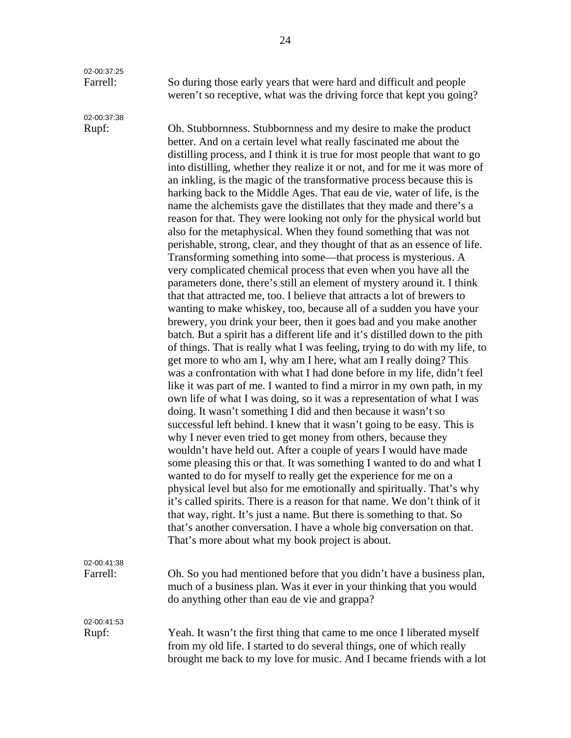02-00:37:25

02-00:37:38

Farrell: So during those early years that were hard and difficult and people weren't so receptive, what was the driving force that kept you going?

Rupf: Oh. Stubbornness. Stubbornness and my desire to make the product better. And on a certain level what really fascinated me about the distilling process, and I think it is true for most people that want to go into distilling, whether they realize it or not, and for me it was more of an inkling, is the magic of the transformative process because this is harking back to the Middle Ages. That eau de vie, water of life, is the name the alchemists gave the distillates that they made and there's a reason for that. They were looking not only for the physical world but also for the metaphysical. When they found something that was not perishable, strong, clear, and they thought of that as an essence of life. Transforming something into some—that process is mysterious. A very complicated chemical process that even when you have all the parameters done, there's still an element of mystery around it. I think that that attracted me, too. I believe that attracts a lot of brewers to wanting to make whiskey, too, because all of a sudden you have your brewery, you drink your beer, then it goes bad and you make another batch. But a spirit has a different life and it's distilled down to the pith of things. That is really what I was feeling, trying to do with my life, to get more to who am I, why am I here, what am I really doing? This was a confrontation with what I had done before in my life, didn't feel like it was part of me. I wanted to find a mirror in my own path, in my own life of what I was doing, so it was a representation of what I was doing. It wasn't something I did and then because it wasn't so successful left behind. I knew that it wasn't going to be easy. This is why I never even tried to get money from others, because they wouldn't have held out. After a couple of years I would have made some pleasing this or that. It was something I wanted to do and what I wanted to do for myself to really get the experience for me on a physical level but also for me emotionally and spiritually. That's why it's called spirits. There is a reason for that name. We don't think of it that way, right. It's just a name. But there is something to that. So that's another conversation. I have a whole big conversation on that. That's more about what my book project is about.

02-00:41:38 Farrell: Oh. So you had mentioned before that you didn't have a business plan,

02-00:41:53

Rupf: Yeah. It wasn't the first thing that came to me once I liberated myself from my old life. I started to do several things, one of which really brought me back to my love for music. And I became friends with a lot

much of a business plan. Was it ever in your thinking that you would

do anything other than eau de vie and grappa?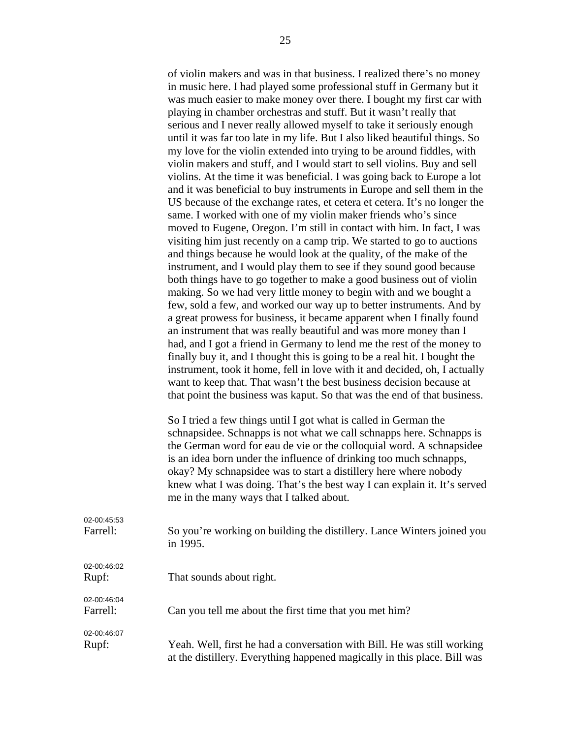of violin makers and was in that business. I realized there's no money in music here. I had played some professional stuff in Germany but it was much easier to make money over there. I bought my first car with playing in chamber orchestras and stuff. But it wasn't really that serious and I never really allowed myself to take it seriously enough until it was far too late in my life. But I also liked beautiful things. So my love for the violin extended into trying to be around fiddles, with violin makers and stuff, and I would start to sell violins. Buy and sell violins. At the time it was beneficial. I was going back to Europe a lot and it was beneficial to buy instruments in Europe and sell them in the US because of the exchange rates, et cetera et cetera. It's no longer the same. I worked with one of my violin maker friends who's since moved to Eugene, Oregon. I'm still in contact with him. In fact, I was visiting him just recently on a camp trip. We started to go to auctions and things because he would look at the quality, of the make of the instrument, and I would play them to see if they sound good because both things have to go together to make a good business out of violin making. So we had very little money to begin with and we bought a few, sold a few, and worked our way up to better instruments. And by a great prowess for business, it became apparent when I finally found an instrument that was really beautiful and was more money than I had, and I got a friend in Germany to lend me the rest of the money to finally buy it, and I thought this is going to be a real hit. I bought the instrument, took it home, fell in love with it and decided, oh, I actually want to keep that. That wasn't the best business decision because at that point the business was kaput. So that was the end of that business.

 So I tried a few things until I got what is called in German the schnapsidee. Schnapps is not what we call schnapps here. Schnapps is the German word for eau de vie or the colloquial word. A schnapsidee is an idea born under the influence of drinking too much schnapps, okay? My schnapsidee was to start a distillery here where nobody knew what I was doing. That's the best way I can explain it. It's served me in the many ways that I talked about.

| 02-00:45:53             | So you're working on building the distillery. Lance Winters joined you   |
|-------------------------|--------------------------------------------------------------------------|
| Farrell:                | in 1995.                                                                 |
| 02-00:46:02<br>Rupf:    | That sounds about right.                                                 |
| 02-00:46:04<br>Farrell: | Can you tell me about the first time that you met him?                   |
| 02-00:46:07             | Yeah. Well, first he had a conversation with Bill. He was still working  |
| Rupf:                   | at the distillery. Everything happened magically in this place. Bill was |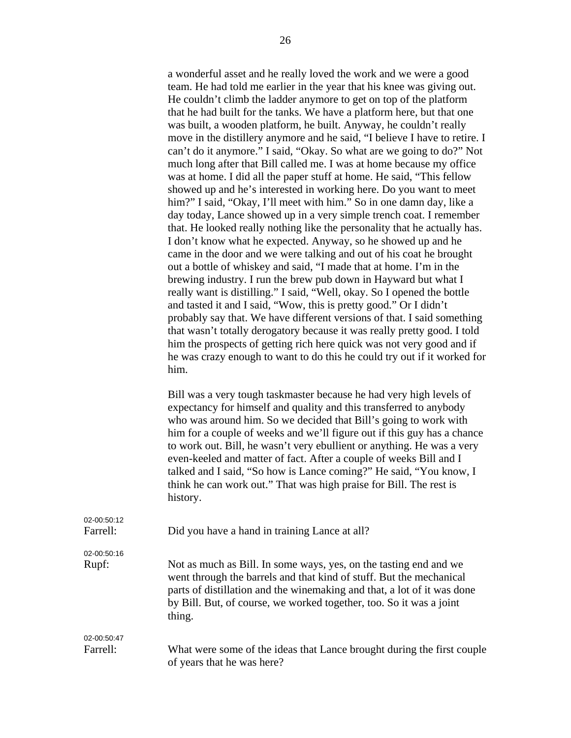a wonderful asset and he really loved the work and we were a good team. He had told me earlier in the year that his knee was giving out. He couldn't climb the ladder anymore to get on top of the platform that he had built for the tanks. We have a platform here, but that one was built, a wooden platform, he built. Anyway, he couldn't really move in the distillery anymore and he said, "I believe I have to retire. I can't do it anymore." I said, "Okay. So what are we going to do?" Not much long after that Bill called me. I was at home because my office was at home. I did all the paper stuff at home. He said, "This fellow showed up and he's interested in working here. Do you want to meet him?" I said, "Okay, I'll meet with him." So in one damn day, like a day today, Lance showed up in a very simple trench coat. I remember that. He looked really nothing like the personality that he actually has. I don't know what he expected. Anyway, so he showed up and he came in the door and we were talking and out of his coat he brought out a bottle of whiskey and said, "I made that at home. I'm in the brewing industry. I run the brew pub down in Hayward but what I really want is distilling." I said, "Well, okay. So I opened the bottle and tasted it and I said, "Wow, this is pretty good." Or I didn't probably say that. We have different versions of that. I said something that wasn't totally derogatory because it was really pretty good. I told him the prospects of getting rich here quick was not very good and if he was crazy enough to want to do this he could try out if it worked for him.

Bill was a very tough taskmaster because he had very high levels of expectancy for himself and quality and this transferred to anybody who was around him. So we decided that Bill's going to work with him for a couple of weeks and we'll figure out if this guy has a chance to work out. Bill, he wasn't very ebullient or anything. He was a very even-keeled and matter of fact. After a couple of weeks Bill and I talked and I said, "So how is Lance coming?" He said, "You know, I think he can work out." That was high praise for Bill. The rest is history.

| 02-00:50:12<br>Farrell: | Did you have a hand in training Lance at all?                                                                                                                                                                                                                                                        |
|-------------------------|------------------------------------------------------------------------------------------------------------------------------------------------------------------------------------------------------------------------------------------------------------------------------------------------------|
| 02-00:50:16             |                                                                                                                                                                                                                                                                                                      |
| Rupf:                   | Not as much as Bill. In some ways, yes, on the tasting end and we<br>went through the barrels and that kind of stuff. But the mechanical<br>parts of distillation and the winemaking and that, a lot of it was done<br>by Bill. But, of course, we worked together, too. So it was a joint<br>thing. |
| 02-00:50:47             |                                                                                                                                                                                                                                                                                                      |
| Farrell:                | What were some of the ideas that Lance brought during the first couple<br>of years that he was here?                                                                                                                                                                                                 |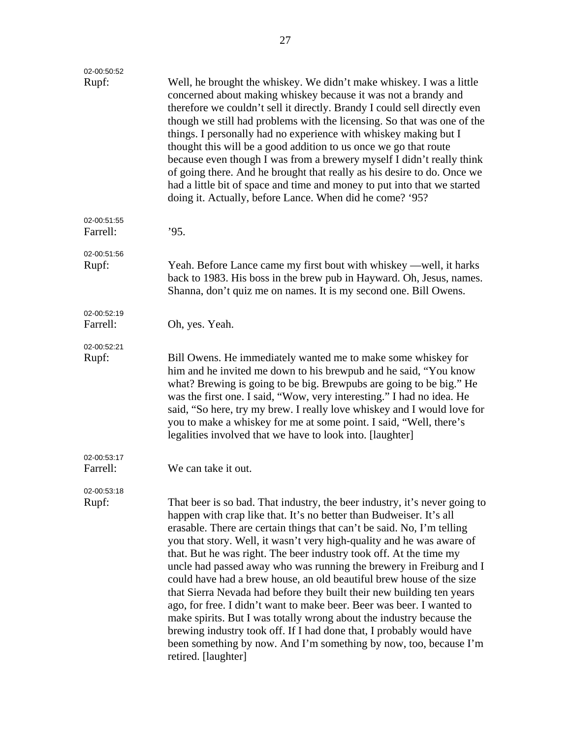| 02-00:50:52<br>Rupf:    | Well, he brought the whiskey. We didn't make whiskey. I was a little<br>concerned about making whiskey because it was not a brandy and<br>therefore we couldn't sell it directly. Brandy I could sell directly even<br>though we still had problems with the licensing. So that was one of the<br>things. I personally had no experience with whiskey making but I<br>thought this will be a good addition to us once we go that route<br>because even though I was from a brewery myself I didn't really think<br>of going there. And he brought that really as his desire to do. Once we<br>had a little bit of space and time and money to put into that we started<br>doing it. Actually, before Lance. When did he come? '95?                                                                                                                                                                                      |
|-------------------------|-------------------------------------------------------------------------------------------------------------------------------------------------------------------------------------------------------------------------------------------------------------------------------------------------------------------------------------------------------------------------------------------------------------------------------------------------------------------------------------------------------------------------------------------------------------------------------------------------------------------------------------------------------------------------------------------------------------------------------------------------------------------------------------------------------------------------------------------------------------------------------------------------------------------------|
| 02-00:51:55<br>Farrell: | '95.                                                                                                                                                                                                                                                                                                                                                                                                                                                                                                                                                                                                                                                                                                                                                                                                                                                                                                                    |
| 02-00:51:56<br>Rupf:    | Yeah. Before Lance came my first bout with whiskey —well, it harks<br>back to 1983. His boss in the brew pub in Hayward. Oh, Jesus, names.<br>Shanna, don't quiz me on names. It is my second one. Bill Owens.                                                                                                                                                                                                                                                                                                                                                                                                                                                                                                                                                                                                                                                                                                          |
| 02-00:52:19<br>Farrell: | Oh, yes. Yeah.                                                                                                                                                                                                                                                                                                                                                                                                                                                                                                                                                                                                                                                                                                                                                                                                                                                                                                          |
| 02-00:52:21<br>Rupf:    | Bill Owens. He immediately wanted me to make some whiskey for<br>him and he invited me down to his brewpub and he said, "You know<br>what? Brewing is going to be big. Brewpubs are going to be big." He<br>was the first one. I said, "Wow, very interesting." I had no idea. He<br>said, "So here, try my brew. I really love whiskey and I would love for<br>you to make a whiskey for me at some point. I said, "Well, there's<br>legalities involved that we have to look into. [laughter]                                                                                                                                                                                                                                                                                                                                                                                                                         |
| 02-00:53:17<br>Farrell: | We can take it out.                                                                                                                                                                                                                                                                                                                                                                                                                                                                                                                                                                                                                                                                                                                                                                                                                                                                                                     |
| 02-00:53:18<br>Rupf:    | That beer is so bad. That industry, the beer industry, it's never going to<br>happen with crap like that. It's no better than Budweiser. It's all<br>erasable. There are certain things that can't be said. No, I'm telling<br>you that story. Well, it wasn't very high-quality and he was aware of<br>that. But he was right. The beer industry took off. At the time my<br>uncle had passed away who was running the brewery in Freiburg and I<br>could have had a brew house, an old beautiful brew house of the size<br>that Sierra Nevada had before they built their new building ten years<br>ago, for free. I didn't want to make beer. Beer was beer. I wanted to<br>make spirits. But I was totally wrong about the industry because the<br>brewing industry took off. If I had done that, I probably would have<br>been something by now. And I'm something by now, too, because I'm<br>retired. [laughter] |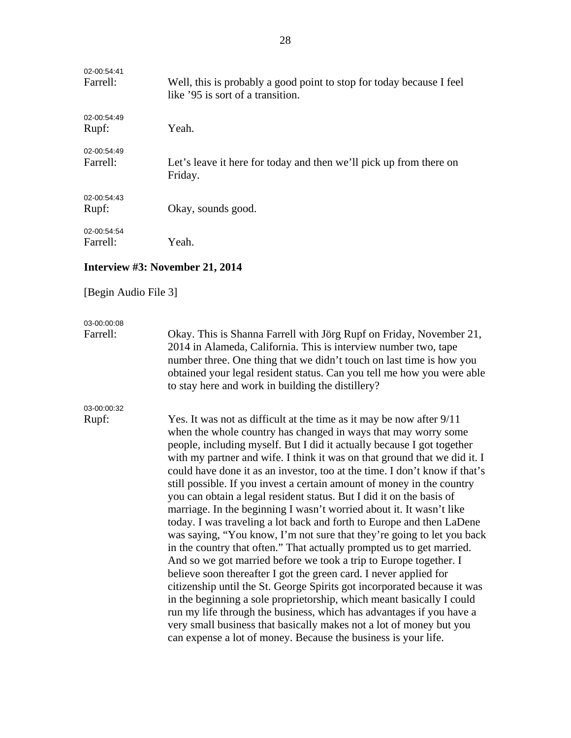| 02-00:54:41<br>Farrell: | Well, this is probably a good point to stop for today because I feel<br>like '95 is sort of a transition. |
|-------------------------|-----------------------------------------------------------------------------------------------------------|
| 02-00:54:49<br>Rupf:    | Yeah.                                                                                                     |
| 02-00:54:49<br>Farrell: | Let's leave it here for today and then we'll pick up from there on<br>Friday.                             |
| 02-00:54:43<br>Rupf:    | Okay, sounds good.                                                                                        |
| 02-00:54:54<br>Farrell: | Yeah.                                                                                                     |

#### **Interview #3: November 21, 2014**

#### [Begin Audio File 3]

### 03-00:00:08

Farrell: Okay. This is Shanna Farrell with Jörg Rupf on Friday, November 21, 2014 in Alameda, California. This is interview number two, tape number three. One thing that we didn't touch on last time is how you obtained your legal resident status. Can you tell me how you were able to stay here and work in building the distillery?

## 03-00:00:32

Rupf: Yes. It was not as difficult at the time as it may be now after 9/11 when the whole country has changed in ways that may worry some people, including myself. But I did it actually because I got together with my partner and wife. I think it was on that ground that we did it. I could have done it as an investor, too at the time. I don't know if that's still possible. If you invest a certain amount of money in the country you can obtain a legal resident status. But I did it on the basis of marriage. In the beginning I wasn't worried about it. It wasn't like today. I was traveling a lot back and forth to Europe and then LaDene was saying, "You know, I'm not sure that they're going to let you back in the country that often." That actually prompted us to get married. And so we got married before we took a trip to Europe together. I believe soon thereafter I got the green card. I never applied for citizenship until the St. George Spirits got incorporated because it was in the beginning a sole proprietorship, which meant basically I could run my life through the business, which has advantages if you have a very small business that basically makes not a lot of money but you can expense a lot of money. Because the business is your life.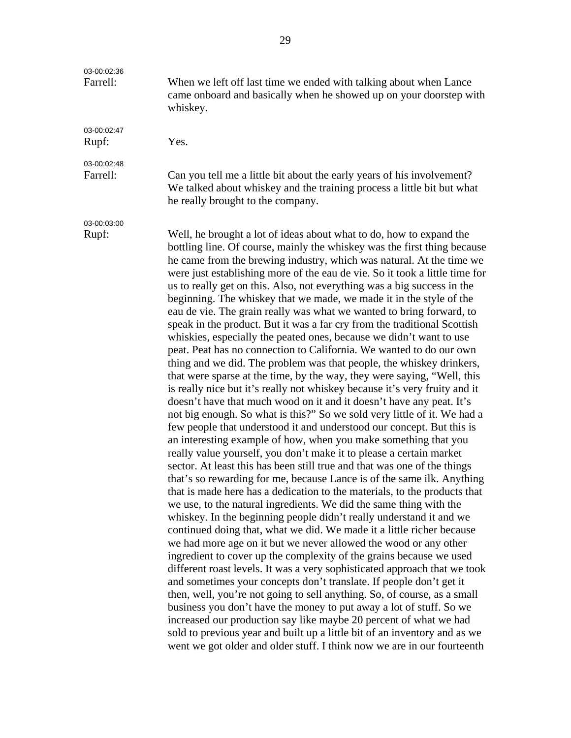| 03-00:02:36<br>Farrell: | When we left off last time we ended with talking about when Lance<br>came onboard and basically when he showed up on your doorstep with<br>whiskey.                                                                                                                                                                                                                                                                                                                                                                                                                                                                                                                                                                                                                                                                                                                                                                                                                                                                                                                                                                                                                                                                                                                                                                                                                                                                                                                                                                                                                                                                                                                                                                                                                                                                                                                                                                                                                                                                                                                                                                                                                                                                                                                                                                                                                                                                                                                                                        |
|-------------------------|------------------------------------------------------------------------------------------------------------------------------------------------------------------------------------------------------------------------------------------------------------------------------------------------------------------------------------------------------------------------------------------------------------------------------------------------------------------------------------------------------------------------------------------------------------------------------------------------------------------------------------------------------------------------------------------------------------------------------------------------------------------------------------------------------------------------------------------------------------------------------------------------------------------------------------------------------------------------------------------------------------------------------------------------------------------------------------------------------------------------------------------------------------------------------------------------------------------------------------------------------------------------------------------------------------------------------------------------------------------------------------------------------------------------------------------------------------------------------------------------------------------------------------------------------------------------------------------------------------------------------------------------------------------------------------------------------------------------------------------------------------------------------------------------------------------------------------------------------------------------------------------------------------------------------------------------------------------------------------------------------------------------------------------------------------------------------------------------------------------------------------------------------------------------------------------------------------------------------------------------------------------------------------------------------------------------------------------------------------------------------------------------------------------------------------------------------------------------------------------------------------|
| 03-00:02:47<br>Rupf:    | Yes.                                                                                                                                                                                                                                                                                                                                                                                                                                                                                                                                                                                                                                                                                                                                                                                                                                                                                                                                                                                                                                                                                                                                                                                                                                                                                                                                                                                                                                                                                                                                                                                                                                                                                                                                                                                                                                                                                                                                                                                                                                                                                                                                                                                                                                                                                                                                                                                                                                                                                                       |
| 03-00:02:48<br>Farrell: | Can you tell me a little bit about the early years of his involvement?<br>We talked about whiskey and the training process a little bit but what<br>he really brought to the company.                                                                                                                                                                                                                                                                                                                                                                                                                                                                                                                                                                                                                                                                                                                                                                                                                                                                                                                                                                                                                                                                                                                                                                                                                                                                                                                                                                                                                                                                                                                                                                                                                                                                                                                                                                                                                                                                                                                                                                                                                                                                                                                                                                                                                                                                                                                      |
| 03-00:03:00<br>Rupf:    | Well, he brought a lot of ideas about what to do, how to expand the<br>bottling line. Of course, mainly the whiskey was the first thing because<br>he came from the brewing industry, which was natural. At the time we<br>were just establishing more of the eau de vie. So it took a little time for<br>us to really get on this. Also, not everything was a big success in the<br>beginning. The whiskey that we made, we made it in the style of the<br>eau de vie. The grain really was what we wanted to bring forward, to<br>speak in the product. But it was a far cry from the traditional Scottish<br>whiskies, especially the peated ones, because we didn't want to use<br>peat. Peat has no connection to California. We wanted to do our own<br>thing and we did. The problem was that people, the whiskey drinkers,<br>that were sparse at the time, by the way, they were saying, "Well, this<br>is really nice but it's really not whiskey because it's very fruity and it<br>doesn't have that much wood on it and it doesn't have any peat. It's<br>not big enough. So what is this?" So we sold very little of it. We had a<br>few people that understood it and understood our concept. But this is<br>an interesting example of how, when you make something that you<br>really value yourself, you don't make it to please a certain market<br>sector. At least this has been still true and that was one of the things<br>that's so rewarding for me, because Lance is of the same ilk. Anything<br>that is made here has a dedication to the materials, to the products that<br>we use, to the natural ingredients. We did the same thing with the<br>whiskey. In the beginning people didn't really understand it and we<br>continued doing that, what we did. We made it a little richer because<br>we had more age on it but we never allowed the wood or any other<br>ingredient to cover up the complexity of the grains because we used<br>different roast levels. It was a very sophisticated approach that we took<br>and sometimes your concepts don't translate. If people don't get it<br>then, well, you're not going to sell anything. So, of course, as a small<br>business you don't have the money to put away a lot of stuff. So we<br>increased our production say like maybe 20 percent of what we had<br>sold to previous year and built up a little bit of an inventory and as we<br>went we got older and older stuff. I think now we are in our fourteenth |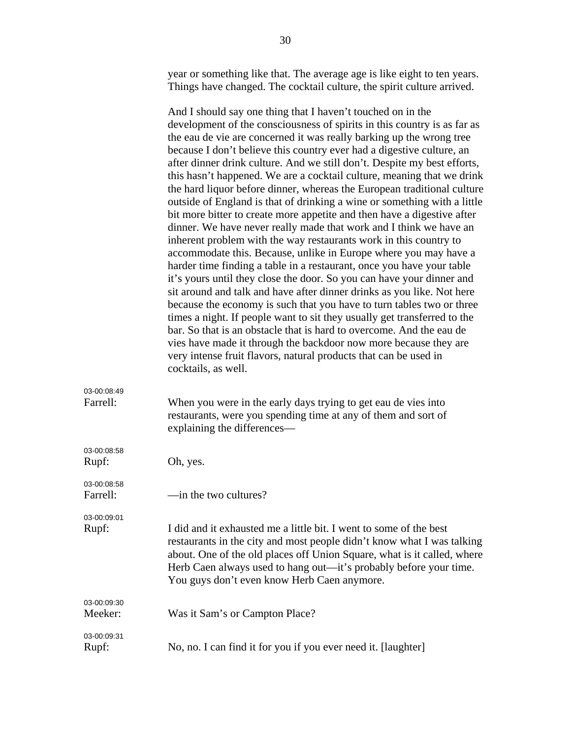year or something like that. The average age is like eight to ten years. Things have changed. The cocktail culture, the spirit culture arrived.

And I should say one thing that I haven't touched on in the development of the consciousness of spirits in this country is as far as the eau de vie are concerned it was really barking up the wrong tree because I don't believe this country ever had a digestive culture, an after dinner drink culture. And we still don't. Despite my best efforts, this hasn't happened. We are a cocktail culture, meaning that we drink the hard liquor before dinner, whereas the European traditional culture outside of England is that of drinking a wine or something with a little bit more bitter to create more appetite and then have a digestive after dinner. We have never really made that work and I think we have an inherent problem with the way restaurants work in this country to accommodate this. Because, unlike in Europe where you may have a harder time finding a table in a restaurant, once you have your table it's yours until they close the door. So you can have your dinner and sit around and talk and have after dinner drinks as you like. Not here because the economy is such that you have to turn tables two or three times a night. If people want to sit they usually get transferred to the bar. So that is an obstacle that is hard to overcome. And the eau de vies have made it through the backdoor now more because they are very intense fruit flavors, natural products that can be used in cocktails, as well. 03-00:08:49 Farrell: When you were in the early days trying to get eau de vies into restaurants, were you spending time at any of them and sort of explaining the differences— 03-00:08:58 Rupf: Oh, yes. 03-00:08:58 Farrell: — —in the two cultures? 03-00:09:01 Rupf: I did and it exhausted me a little bit. I went to some of the best restaurants in the city and most people didn't know what I was talking about. One of the old places off Union Square, what is it called, where Herb Caen always used to hang out—it's probably before your time. You guys don't even know Herb Caen anymore. 03-00:09:30 Meeker: Was it Sam's or Campton Place? 03-00:09:31 Rupf: No, no. I can find it for you if you ever need it. [laughter]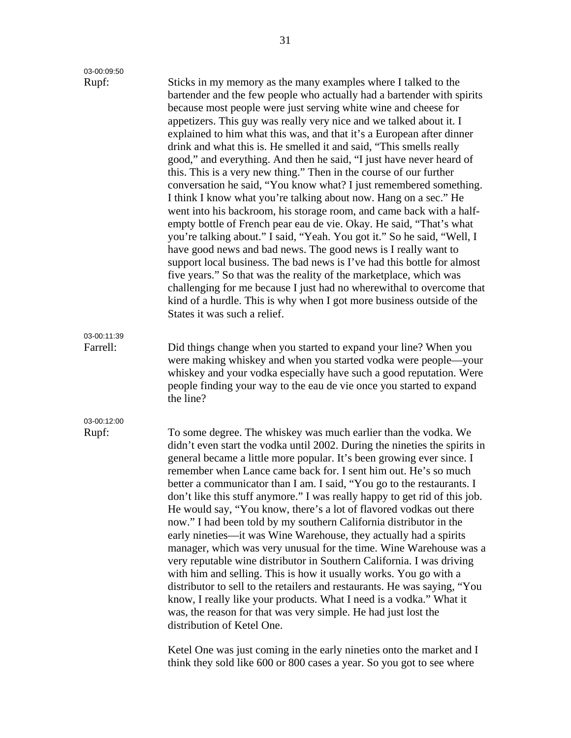| 03-00:09:50             |                                                                                                                                                                                                                                                                                                                                                                                                                                                                                                                                                                                                                                                                                                                                                                                                                                                                                                                                                                                                                                                                                                                                                                                                                                                                                                                                                           |
|-------------------------|-----------------------------------------------------------------------------------------------------------------------------------------------------------------------------------------------------------------------------------------------------------------------------------------------------------------------------------------------------------------------------------------------------------------------------------------------------------------------------------------------------------------------------------------------------------------------------------------------------------------------------------------------------------------------------------------------------------------------------------------------------------------------------------------------------------------------------------------------------------------------------------------------------------------------------------------------------------------------------------------------------------------------------------------------------------------------------------------------------------------------------------------------------------------------------------------------------------------------------------------------------------------------------------------------------------------------------------------------------------|
| Rupf:                   | Sticks in my memory as the many examples where I talked to the<br>bartender and the few people who actually had a bartender with spirits<br>because most people were just serving white wine and cheese for<br>appetizers. This guy was really very nice and we talked about it. I<br>explained to him what this was, and that it's a European after dinner<br>drink and what this is. He smelled it and said, "This smells really<br>good," and everything. And then he said, "I just have never heard of<br>this. This is a very new thing." Then in the course of our further<br>conversation he said, "You know what? I just remembered something.<br>I think I know what you're talking about now. Hang on a sec." He<br>went into his backroom, his storage room, and came back with a half-<br>empty bottle of French pear eau de vie. Okay. He said, "That's what<br>you're talking about." I said, "Yeah. You got it." So he said, "Well, I<br>have good news and bad news. The good news is I really want to<br>support local business. The bad news is I've had this bottle for almost<br>five years." So that was the reality of the marketplace, which was<br>challenging for me because I just had no wherewithal to overcome that<br>kind of a hurdle. This is why when I got more business outside of the<br>States it was such a relief. |
| 03-00:11:39<br>Farrell: | Did things change when you started to expand your line? When you<br>were making whiskey and when you started vodka were people—your<br>whiskey and your vodka especially have such a good reputation. Were<br>people finding your way to the eau de vie once you started to expand<br>the line?                                                                                                                                                                                                                                                                                                                                                                                                                                                                                                                                                                                                                                                                                                                                                                                                                                                                                                                                                                                                                                                           |
| 03-00:12:00<br>Rupf:    | To some degree. The whiskey was much earlier than the vodka. We<br>didn't even start the vodka until 2002. During the nineties the spirits in<br>general became a little more popular. It's been growing ever since. I<br>remember when Lance came back for. I sent him out. He's so much<br>better a communicator than I am. I said, "You go to the restaurants. I<br>don't like this stuff anymore." I was really happy to get rid of this job.<br>He would say, "You know, there's a lot of flavored vodkas out there<br>now." I had been told by my southern California distributor in the<br>early nineties—it was Wine Warehouse, they actually had a spirits<br>manager, which was very unusual for the time. Wine Warehouse was a<br>very reputable wine distributor in Southern California. I was driving<br>with him and selling. This is how it usually works. You go with a<br>distributor to sell to the retailers and restaurants. He was saying, "You<br>know, I really like your products. What I need is a vodka." What it<br>was, the reason for that was very simple. He had just lost the<br>distribution of Ketel One.                                                                                                                                                                                                               |

Ketel One was just coming in the early nineties onto the market and I think they sold like 600 or 800 cases a year. So you got to see where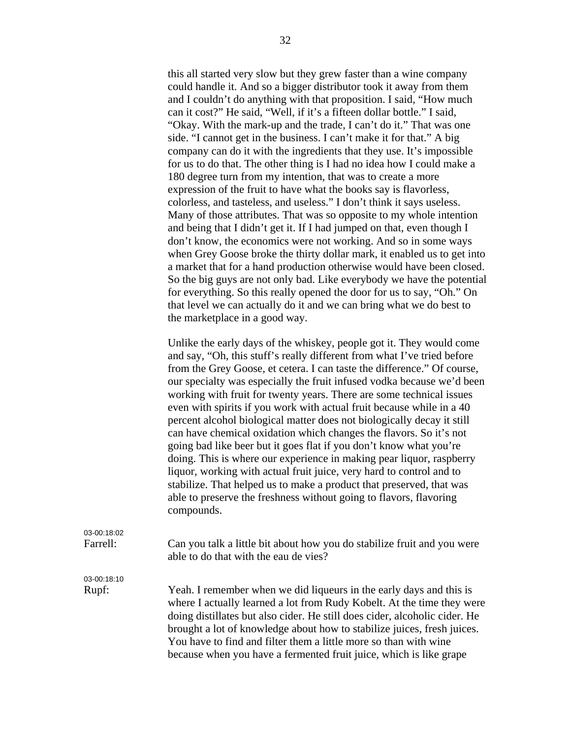this all started very slow but they grew faster than a wine company could handle it. And so a bigger distributor took it away from them and I couldn't do anything with that proposition. I said, "How much can it cost?" He said, "Well, if it's a fifteen dollar bottle." I said, "Okay. With the mark-up and the trade, I can't do it." That was one side. "I cannot get in the business. I can't make it for that." A big company can do it with the ingredients that they use. It's impossible for us to do that. The other thing is I had no idea how I could make a 180 degree turn from my intention, that was to create a more expression of the fruit to have what the books say is flavorless, colorless, and tasteless, and useless." I don't think it says useless. Many of those attributes. That was so opposite to my whole intention and being that I didn't get it. If I had jumped on that, even though I don't know, the economics were not working. And so in some ways when Grey Goose broke the thirty dollar mark, it enabled us to get into a market that for a hand production otherwise would have been closed. So the big guys are not only bad. Like everybody we have the potential for everything. So this really opened the door for us to say, "Oh." On that level we can actually do it and we can bring what we do best to the marketplace in a good way.

Unlike the early days of the whiskey, people got it. They would come and say, "Oh, this stuff's really different from what I've tried before from the Grey Goose, et cetera. I can taste the difference." Of course, our specialty was especially the fruit infused vodka because we'd been working with fruit for twenty years. There are some technical issues even with spirits if you work with actual fruit because while in a 40 percent alcohol biological matter does not biologically decay it still can have chemical oxidation which changes the flavors. So it's not going bad like beer but it goes flat if you don't know what you're doing. This is where our experience in making pear liquor, raspberry liquor, working with actual fruit juice, very hard to control and to stabilize. That helped us to make a product that preserved, that was able to preserve the freshness without going to flavors, flavoring compounds.

### 03-00:18:02 Farrell: Can you talk a little bit about how you do stabilize fruit and you were able to do that with the eau de vies? 03-00:18:10 Rupf: Yeah. I remember when we did liqueurs in the early days and this is where I actually learned a lot from Rudy Kobelt. At the time they were doing distillates but also cider. He still does cider, alcoholic cider. He brought a lot of knowledge about how to stabilize juices, fresh juices. You have to find and filter them a little more so than with wine because when you have a fermented fruit juice, which is like grape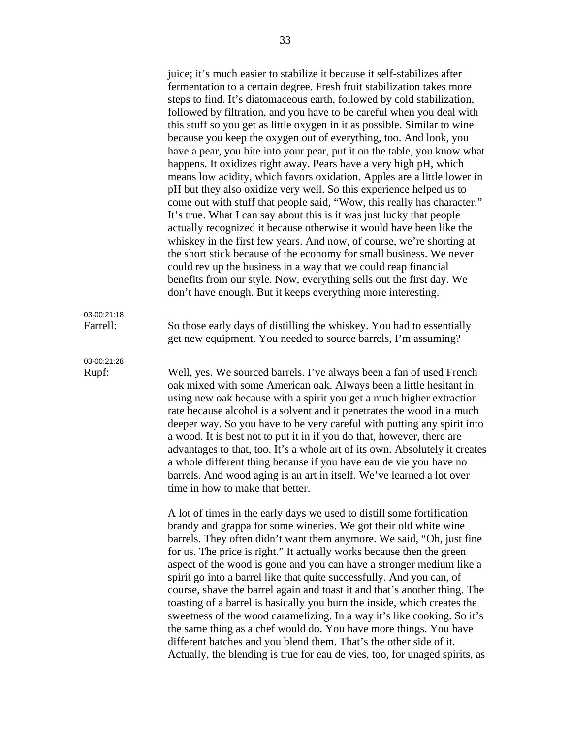juice; it's much easier to stabilize it because it self-stabilizes after fermentation to a certain degree. Fresh fruit stabilization takes more steps to find. It's diatomaceous earth, followed by cold stabilization, followed by filtration, and you have to be careful when you deal with this stuff so you get as little oxygen in it as possible. Similar to wine because you keep the oxygen out of everything, too. And look, you have a pear, you bite into your pear, put it on the table, you know what happens. It oxidizes right away. Pears have a very high pH, which means low acidity, which favors oxidation. Apples are a little lower in pH but they also oxidize very well. So this experience helped us to come out with stuff that people said, "Wow, this really has character." It's true. What I can say about this is it was just lucky that people actually recognized it because otherwise it would have been like the whiskey in the first few years. And now, of course, we're shorting at the short stick because of the economy for small business. We never could rev up the business in a way that we could reap financial benefits from our style. Now, everything sells out the first day. We don't have enough. But it keeps everything more interesting.

Farrell: So those early days of distilling the whiskey. You had to essentially get new equipment. You needed to source barrels, I'm assuming?

03-00:21:18

03-00:21:28

Rupf: Well, yes. We sourced barrels. I've always been a fan of used French oak mixed with some American oak. Always been a little hesitant in using new oak because with a spirit you get a much higher extraction rate because alcohol is a solvent and it penetrates the wood in a much deeper way. So you have to be very careful with putting any spirit into a wood. It is best not to put it in if you do that, however, there are advantages to that, too. It's a whole art of its own. Absolutely it creates a whole different thing because if you have eau de vie you have no barrels. And wood aging is an art in itself. We've learned a lot over time in how to make that better.

> A lot of times in the early days we used to distill some fortification brandy and grappa for some wineries. We got their old white wine barrels. They often didn't want them anymore. We said, "Oh, just fine for us. The price is right." It actually works because then the green aspect of the wood is gone and you can have a stronger medium like a spirit go into a barrel like that quite successfully. And you can, of course, shave the barrel again and toast it and that's another thing. The toasting of a barrel is basically you burn the inside, which creates the sweetness of the wood caramelizing. In a way it's like cooking. So it's the same thing as a chef would do. You have more things. You have different batches and you blend them. That's the other side of it. Actually, the blending is true for eau de vies, too, for unaged spirits, as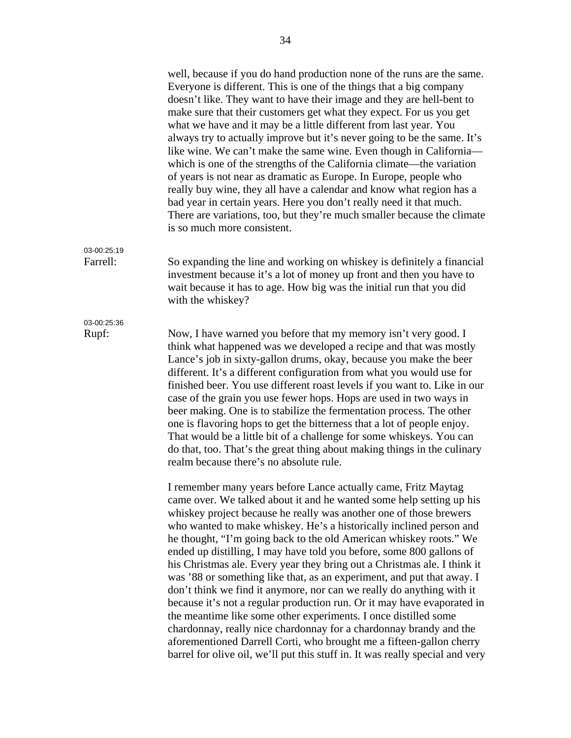well, because if you do hand production none of the runs are the same. Everyone is different. This is one of the things that a big company doesn't like. They want to have their image and they are hell-bent to make sure that their customers get what they expect. For us you get what we have and it may be a little different from last year. You always try to actually improve but it's never going to be the same. It's like wine. We can't make the same wine. Even though in California which is one of the strengths of the California climate—the variation of years is not near as dramatic as Europe. In Europe, people who really buy wine, they all have a calendar and know what region has a bad year in certain years. Here you don't really need it that much. There are variations, too, but they're much smaller because the climate is so much more consistent. 03-00:25:19 Farrell: So expanding the line and working on whiskey is definitely a financial investment because it's a lot of money up front and then you have to wait because it has to age. How big was the initial run that you did with the whiskey? 03-00:25:36 Rupf: Now, I have warned you before that my memory isn't very good. I think what happened was we developed a recipe and that was mostly Lance's job in sixty-gallon drums, okay, because you make the beer different. It's a different configuration from what you would use for finished beer. You use different roast levels if you want to. Like in our case of the grain you use fewer hops. Hops are used in two ways in beer making. One is to stabilize the fermentation process. The other one is flavoring hops to get the bitterness that a lot of people enjoy. That would be a little bit of a challenge for some whiskeys. You can do that, too. That's the great thing about making things in the culinary realm because there's no absolute rule. I remember many years before Lance actually came, Fritz Maytag came over. We talked about it and he wanted some help setting up his whiskey project because he really was another one of those brewers who wanted to make whiskey. He's a historically inclined person and he thought, "I'm going back to the old American whiskey roots." We ended up distilling, I may have told you before, some 800 gallons of his Christmas ale. Every year they bring out a Christmas ale. I think it was '88 or something like that, as an experiment, and put that away. I don't think we find it anymore, nor can we really do anything with it because it's not a regular production run. Or it may have evaporated in the meantime like some other experiments. I once distilled some chardonnay, really nice chardonnay for a chardonnay brandy and the aforementioned Darrell Corti, who brought me a fifteen-gallon cherry barrel for olive oil, we'll put this stuff in. It was really special and very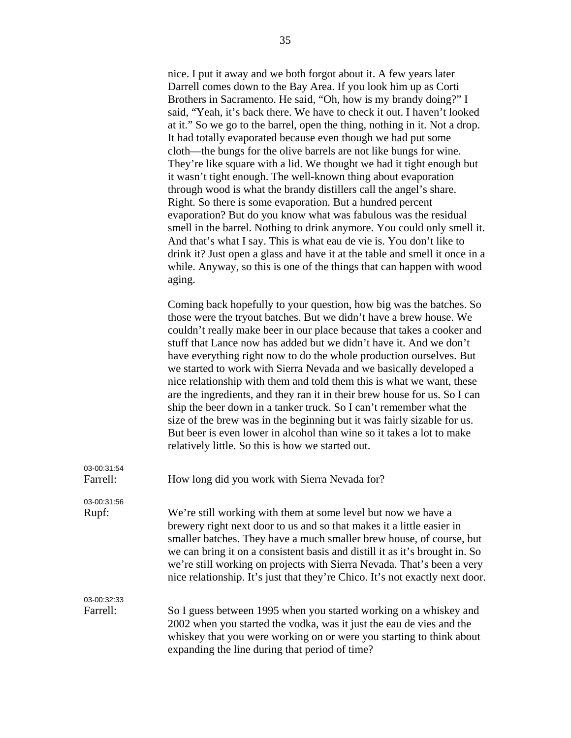|                         | nice. I put it away and we both forgot about it. A few years later<br>Darrell comes down to the Bay Area. If you look him up as Corti<br>Brothers in Sacramento. He said, "Oh, how is my brandy doing?" I<br>said, "Yeah, it's back there. We have to check it out. I haven't looked<br>at it." So we go to the barrel, open the thing, nothing in it. Not a drop.<br>It had totally evaporated because even though we had put some<br>cloth—the bungs for the olive barrels are not like bungs for wine.<br>They're like square with a lid. We thought we had it tight enough but<br>it wasn't tight enough. The well-known thing about evaporation<br>through wood is what the brandy distillers call the angel's share.<br>Right. So there is some evaporation. But a hundred percent<br>evaporation? But do you know what was fabulous was the residual<br>smell in the barrel. Nothing to drink anymore. You could only smell it.<br>And that's what I say. This is what eau de vie is. You don't like to<br>drink it? Just open a glass and have it at the table and smell it once in a<br>while. Anyway, so this is one of the things that can happen with wood<br>aging. |
|-------------------------|----------------------------------------------------------------------------------------------------------------------------------------------------------------------------------------------------------------------------------------------------------------------------------------------------------------------------------------------------------------------------------------------------------------------------------------------------------------------------------------------------------------------------------------------------------------------------------------------------------------------------------------------------------------------------------------------------------------------------------------------------------------------------------------------------------------------------------------------------------------------------------------------------------------------------------------------------------------------------------------------------------------------------------------------------------------------------------------------------------------------------------------------------------------------------------|
|                         | Coming back hopefully to your question, how big was the batches. So<br>those were the tryout batches. But we didn't have a brew house. We<br>couldn't really make beer in our place because that takes a cooker and<br>stuff that Lance now has added but we didn't have it. And we don't<br>have everything right now to do the whole production ourselves. But<br>we started to work with Sierra Nevada and we basically developed a<br>nice relationship with them and told them this is what we want, these<br>are the ingredients, and they ran it in their brew house for us. So I can<br>ship the beer down in a tanker truck. So I can't remember what the<br>size of the brew was in the beginning but it was fairly sizable for us.<br>But beer is even lower in alcohol than wine so it takes a lot to make<br>relatively little. So this is how we started out.                                                                                                                                                                                                                                                                                                      |
| 03-00:31:54<br>Farrell: | How long did you work with Sierra Nevada for?                                                                                                                                                                                                                                                                                                                                                                                                                                                                                                                                                                                                                                                                                                                                                                                                                                                                                                                                                                                                                                                                                                                                    |
| 03-00:31:56<br>Rupf:    | We're still working with them at some level but now we have a<br>brewery right next door to us and so that makes it a little easier in<br>smaller batches. They have a much smaller brew house, of course, but<br>we can bring it on a consistent basis and distill it as it's brought in. So<br>we're still working on projects with Sierra Nevada. That's been a very<br>nice relationship. It's just that they're Chico. It's not exactly next door.                                                                                                                                                                                                                                                                                                                                                                                                                                                                                                                                                                                                                                                                                                                          |
| 03-00:32:33<br>Farrell: | So I guess between 1995 when you started working on a whiskey and<br>2002 when you started the vodka, was it just the eau de vies and the<br>whiskey that you were working on or were you starting to think about                                                                                                                                                                                                                                                                                                                                                                                                                                                                                                                                                                                                                                                                                                                                                                                                                                                                                                                                                                |

expanding the line during that period of time?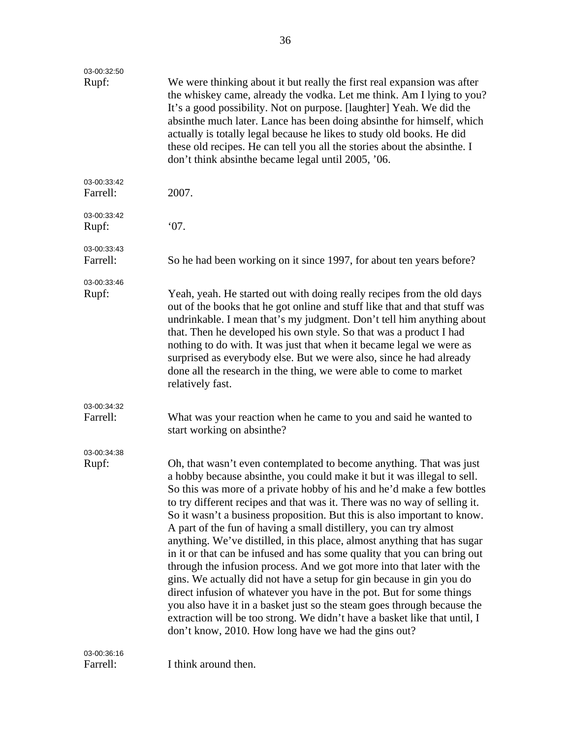| 03-00:32:50             |                                                                                                                                                                                                                                                                                                                                                                                                                                                                                                                                                                                                                                                                                                                                                                                                                                                                                                                                                                                                                                                           |
|-------------------------|-----------------------------------------------------------------------------------------------------------------------------------------------------------------------------------------------------------------------------------------------------------------------------------------------------------------------------------------------------------------------------------------------------------------------------------------------------------------------------------------------------------------------------------------------------------------------------------------------------------------------------------------------------------------------------------------------------------------------------------------------------------------------------------------------------------------------------------------------------------------------------------------------------------------------------------------------------------------------------------------------------------------------------------------------------------|
| Rupf:                   | We were thinking about it but really the first real expansion was after<br>the whiskey came, already the vodka. Let me think. Am I lying to you?<br>It's a good possibility. Not on purpose. [laughter] Yeah. We did the<br>absinthe much later. Lance has been doing absinthe for himself, which<br>actually is totally legal because he likes to study old books. He did<br>these old recipes. He can tell you all the stories about the absinthe. I<br>don't think absinthe became legal until 2005, '06.                                                                                                                                                                                                                                                                                                                                                                                                                                                                                                                                              |
| 03-00:33:42<br>Farrell: | 2007.                                                                                                                                                                                                                                                                                                                                                                                                                                                                                                                                                                                                                                                                                                                                                                                                                                                                                                                                                                                                                                                     |
| 03-00:33:42<br>Rupf:    | 07.                                                                                                                                                                                                                                                                                                                                                                                                                                                                                                                                                                                                                                                                                                                                                                                                                                                                                                                                                                                                                                                       |
| 03-00:33:43<br>Farrell: | So he had been working on it since 1997, for about ten years before?                                                                                                                                                                                                                                                                                                                                                                                                                                                                                                                                                                                                                                                                                                                                                                                                                                                                                                                                                                                      |
| 03-00:33:46<br>Rupf:    | Yeah, yeah. He started out with doing really recipes from the old days<br>out of the books that he got online and stuff like that and that stuff was<br>undrinkable. I mean that's my judgment. Don't tell him anything about<br>that. Then he developed his own style. So that was a product I had<br>nothing to do with. It was just that when it became legal we were as<br>surprised as everybody else. But we were also, since he had already<br>done all the research in the thing, we were able to come to market<br>relatively fast.                                                                                                                                                                                                                                                                                                                                                                                                                                                                                                              |
| 03-00:34:32<br>Farrell: | What was your reaction when he came to you and said he wanted to<br>start working on absinthe?                                                                                                                                                                                                                                                                                                                                                                                                                                                                                                                                                                                                                                                                                                                                                                                                                                                                                                                                                            |
| 03-00:34:38<br>Rupf:    | Oh, that wasn't even contemplated to become anything. That was just<br>a hobby because absinthe, you could make it but it was illegal to sell.<br>So this was more of a private hobby of his and he'd make a few bottles<br>to try different recipes and that was it. There was no way of selling it.<br>So it wasn't a business proposition. But this is also important to know.<br>A part of the fun of having a small distillery, you can try almost<br>anything. We've distilled, in this place, almost anything that has sugar<br>in it or that can be infused and has some quality that you can bring out<br>through the infusion process. And we got more into that later with the<br>gins. We actually did not have a setup for gin because in gin you do<br>direct infusion of whatever you have in the pot. But for some things<br>you also have it in a basket just so the steam goes through because the<br>extraction will be too strong. We didn't have a basket like that until, I<br>don't know, 2010. How long have we had the gins out? |
| 03-00:36:16<br>Farrell: | I think around then.                                                                                                                                                                                                                                                                                                                                                                                                                                                                                                                                                                                                                                                                                                                                                                                                                                                                                                                                                                                                                                      |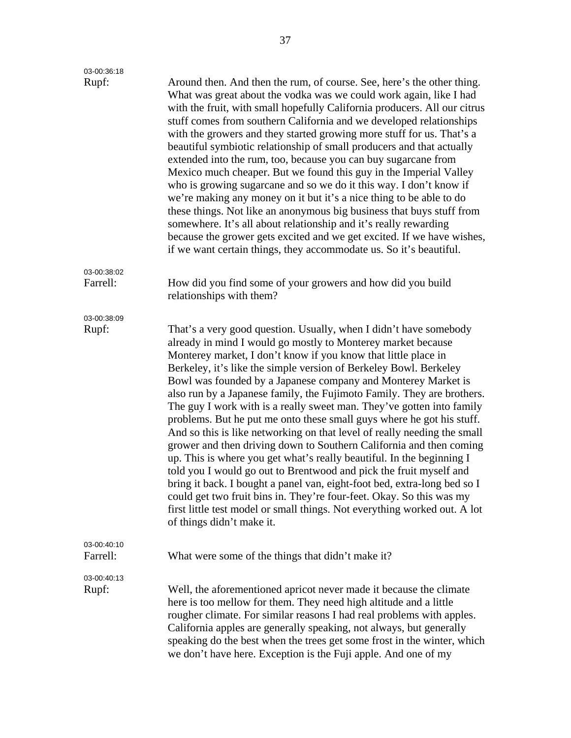| 03-00:36:18             |                                                                                                                                                                                                                                                                                                                                                                                                                                                                                                                                                                                                                                                                                                                                                                                                                                                                                                                                                                                                                                                                                                                                       |
|-------------------------|---------------------------------------------------------------------------------------------------------------------------------------------------------------------------------------------------------------------------------------------------------------------------------------------------------------------------------------------------------------------------------------------------------------------------------------------------------------------------------------------------------------------------------------------------------------------------------------------------------------------------------------------------------------------------------------------------------------------------------------------------------------------------------------------------------------------------------------------------------------------------------------------------------------------------------------------------------------------------------------------------------------------------------------------------------------------------------------------------------------------------------------|
| Rupf:                   | Around then. And then the rum, of course. See, here's the other thing.<br>What was great about the vodka was we could work again, like I had<br>with the fruit, with small hopefully California producers. All our citrus<br>stuff comes from southern California and we developed relationships<br>with the growers and they started growing more stuff for us. That's a<br>beautiful symbiotic relationship of small producers and that actually<br>extended into the rum, too, because you can buy sugarcane from<br>Mexico much cheaper. But we found this guy in the Imperial Valley<br>who is growing sugarcane and so we do it this way. I don't know if<br>we're making any money on it but it's a nice thing to be able to do<br>these things. Not like an anonymous big business that buys stuff from<br>somewhere. It's all about relationship and it's really rewarding<br>because the grower gets excited and we get excited. If we have wishes,<br>if we want certain things, they accommodate us. So it's beautiful.                                                                                                   |
| 03-00:38:02             |                                                                                                                                                                                                                                                                                                                                                                                                                                                                                                                                                                                                                                                                                                                                                                                                                                                                                                                                                                                                                                                                                                                                       |
| Farrell:                | How did you find some of your growers and how did you build<br>relationships with them?                                                                                                                                                                                                                                                                                                                                                                                                                                                                                                                                                                                                                                                                                                                                                                                                                                                                                                                                                                                                                                               |
| 03-00:38:09             |                                                                                                                                                                                                                                                                                                                                                                                                                                                                                                                                                                                                                                                                                                                                                                                                                                                                                                                                                                                                                                                                                                                                       |
| Rupf:                   | That's a very good question. Usually, when I didn't have somebody<br>already in mind I would go mostly to Monterey market because<br>Monterey market, I don't know if you know that little place in<br>Berkeley, it's like the simple version of Berkeley Bowl. Berkeley<br>Bowl was founded by a Japanese company and Monterey Market is<br>also run by a Japanese family, the Fujimoto Family. They are brothers.<br>The guy I work with is a really sweet man. They've gotten into family<br>problems. But he put me onto these small guys where he got his stuff.<br>And so this is like networking on that level of really needing the small<br>grower and then driving down to Southern California and then coming<br>up. This is where you get what's really beautiful. In the beginning I<br>told you I would go out to Brentwood and pick the fruit myself and<br>bring it back. I bought a panel van, eight-foot bed, extra-long bed so I<br>could get two fruit bins in. They're four-feet. Okay. So this was my<br>first little test model or small things. Not everything worked out. A lot<br>of things didn't make it. |
| 03-00:40:10<br>Farrell: | What were some of the things that didn't make it?                                                                                                                                                                                                                                                                                                                                                                                                                                                                                                                                                                                                                                                                                                                                                                                                                                                                                                                                                                                                                                                                                     |
| 03-00:40:13<br>Rupf:    | Well, the aforementioned apricot never made it because the climate<br>here is too mellow for them. They need high altitude and a little<br>rougher climate. For similar reasons I had real problems with apples.<br>California apples are generally speaking, not always, but generally<br>speaking do the best when the trees get some frost in the winter, which<br>we don't have here. Exception is the Fuji apple. And one of my                                                                                                                                                                                                                                                                                                                                                                                                                                                                                                                                                                                                                                                                                                  |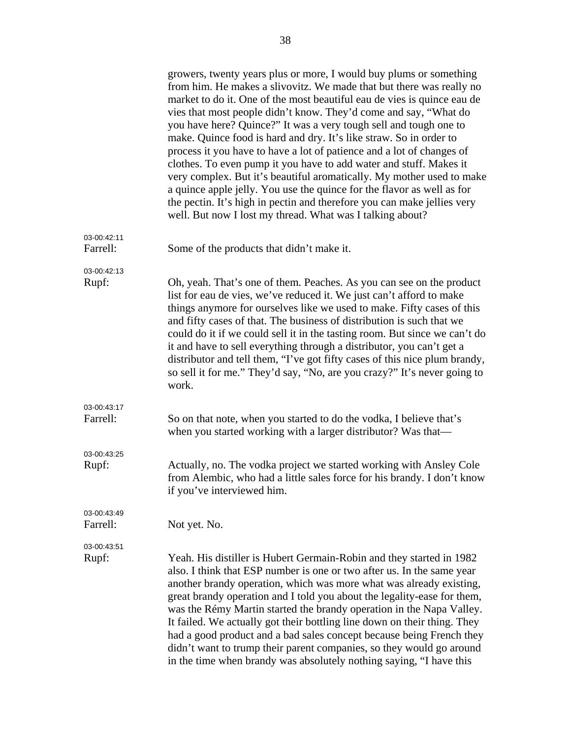|                         | growers, twenty years plus or more, I would buy plums or something<br>from him. He makes a slivovitz. We made that but there was really no<br>market to do it. One of the most beautiful eau de vies is quince eau de<br>vies that most people didn't know. They'd come and say, "What do<br>you have here? Quince?" It was a very tough sell and tough one to<br>make. Quince food is hard and dry. It's like straw. So in order to<br>process it you have to have a lot of patience and a lot of changes of<br>clothes. To even pump it you have to add water and stuff. Makes it<br>very complex. But it's beautiful aromatically. My mother used to make<br>a quince apple jelly. You use the quince for the flavor as well as for<br>the pectin. It's high in pectin and therefore you can make jellies very<br>well. But now I lost my thread. What was I talking about? |
|-------------------------|--------------------------------------------------------------------------------------------------------------------------------------------------------------------------------------------------------------------------------------------------------------------------------------------------------------------------------------------------------------------------------------------------------------------------------------------------------------------------------------------------------------------------------------------------------------------------------------------------------------------------------------------------------------------------------------------------------------------------------------------------------------------------------------------------------------------------------------------------------------------------------|
| 03-00:42:11<br>Farrell: | Some of the products that didn't make it.                                                                                                                                                                                                                                                                                                                                                                                                                                                                                                                                                                                                                                                                                                                                                                                                                                      |
| 03-00:42:13<br>Rupf:    | Oh, yeah. That's one of them. Peaches. As you can see on the product<br>list for eau de vies, we've reduced it. We just can't afford to make<br>things anymore for ourselves like we used to make. Fifty cases of this<br>and fifty cases of that. The business of distribution is such that we<br>could do it if we could sell it in the tasting room. But since we can't do<br>it and have to sell everything through a distributor, you can't get a<br>distributor and tell them, "I've got fifty cases of this nice plum brandy,<br>so sell it for me." They'd say, "No, are you crazy?" It's never going to<br>work.                                                                                                                                                                                                                                                      |
| 03-00:43:17<br>Farrell: | So on that note, when you started to do the vodka, I believe that's<br>when you started working with a larger distributor? Was that-                                                                                                                                                                                                                                                                                                                                                                                                                                                                                                                                                                                                                                                                                                                                           |
| 03-00:43:25<br>Rupf:    | Actually, no. The vodka project we started working with Ansley Cole<br>from Alembic, who had a little sales force for his brandy. I don't know<br>if you've interviewed him.                                                                                                                                                                                                                                                                                                                                                                                                                                                                                                                                                                                                                                                                                                   |
| 03-00:43:49<br>Farrell: | Not yet. No.                                                                                                                                                                                                                                                                                                                                                                                                                                                                                                                                                                                                                                                                                                                                                                                                                                                                   |
| 03-00:43:51<br>Rupf:    | Yeah. His distiller is Hubert Germain-Robin and they started in 1982<br>also. I think that ESP number is one or two after us. In the same year<br>another brandy operation, which was more what was already existing,<br>great brandy operation and I told you about the legality-ease for them,<br>was the Rémy Martin started the brandy operation in the Napa Valley.<br>It failed. We actually got their bottling line down on their thing. They<br>had a good product and a bad sales concept because being French they<br>didn't want to trump their parent companies, so they would go around<br>in the time when brandy was absolutely nothing saying, "I have this                                                                                                                                                                                                    |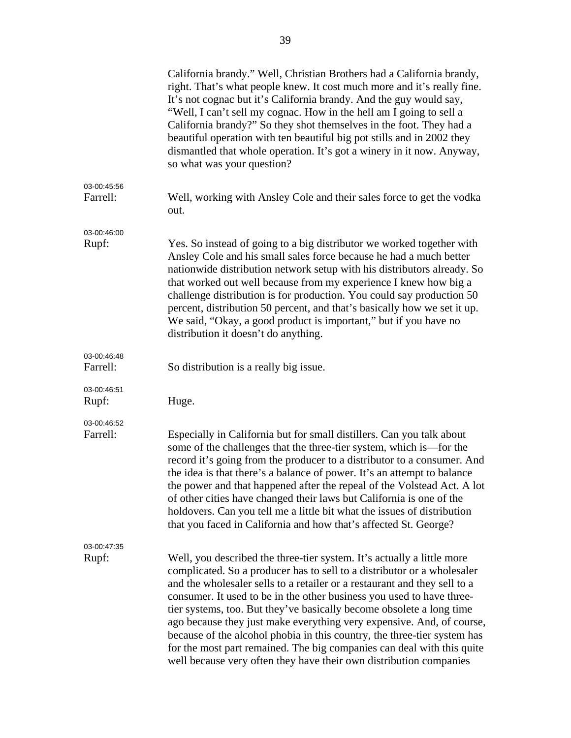|                         | California brandy." Well, Christian Brothers had a California brandy,<br>right. That's what people knew. It cost much more and it's really fine.<br>It's not cognac but it's California brandy. And the guy would say,<br>"Well, I can't sell my cognac. How in the hell am I going to sell a<br>California brandy?" So they shot themselves in the foot. They had a<br>beautiful operation with ten beautiful big pot stills and in 2002 they<br>dismantled that whole operation. It's got a winery in it now. Anyway,<br>so what was your question?                                                                                                                                |
|-------------------------|--------------------------------------------------------------------------------------------------------------------------------------------------------------------------------------------------------------------------------------------------------------------------------------------------------------------------------------------------------------------------------------------------------------------------------------------------------------------------------------------------------------------------------------------------------------------------------------------------------------------------------------------------------------------------------------|
| 03-00:45:56<br>Farrell: | Well, working with Ansley Cole and their sales force to get the vodka<br>out.                                                                                                                                                                                                                                                                                                                                                                                                                                                                                                                                                                                                        |
| 03-00:46:00<br>Rupf:    | Yes. So instead of going to a big distributor we worked together with<br>Ansley Cole and his small sales force because he had a much better<br>nationwide distribution network setup with his distributors already. So<br>that worked out well because from my experience I knew how big a<br>challenge distribution is for production. You could say production 50<br>percent, distribution 50 percent, and that's basically how we set it up.<br>We said, "Okay, a good product is important," but if you have no<br>distribution it doesn't do anything.                                                                                                                          |
| 03-00:46:48<br>Farrell: | So distribution is a really big issue.                                                                                                                                                                                                                                                                                                                                                                                                                                                                                                                                                                                                                                               |
| 03-00:46:51<br>Rupf:    | Huge.                                                                                                                                                                                                                                                                                                                                                                                                                                                                                                                                                                                                                                                                                |
| 03-00:46:52<br>Farrell: | Especially in California but for small distillers. Can you talk about<br>some of the challenges that the three-tier system, which is—for the<br>record it's going from the producer to a distributor to a consumer. And<br>the idea is that there's a balance of power. It's an attempt to balance<br>the power and that happened after the repeal of the Volstead Act. A lot<br>of other cities have changed their laws but California is one of the<br>holdovers. Can you tell me a little bit what the issues of distribution<br>that you faced in California and how that's affected St. George?                                                                                 |
| 03-00:47:35<br>Rupf:    | Well, you described the three-tier system. It's actually a little more<br>complicated. So a producer has to sell to a distributor or a wholesaler<br>and the wholesaler sells to a retailer or a restaurant and they sell to a<br>consumer. It used to be in the other business you used to have three-<br>tier systems, too. But they've basically become obsolete a long time<br>ago because they just make everything very expensive. And, of course,<br>because of the alcohol phobia in this country, the three-tier system has<br>for the most part remained. The big companies can deal with this quite<br>well because very often they have their own distribution companies |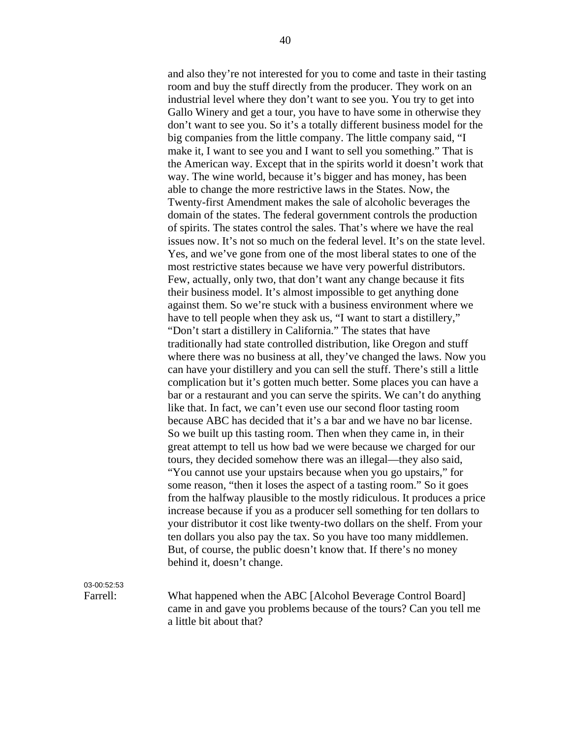and also they're not interested for you to come and taste in their tasting room and buy the stuff directly from the producer. They work on an industrial level where they don't want to see you. You try to get into Gallo Winery and get a tour, you have to have some in otherwise they don't want to see you. So it's a totally different business model for the big companies from the little company. The little company said, "I make it, I want to see you and I want to sell you something." That is the American way. Except that in the spirits world it doesn't work that way. The wine world, because it's bigger and has money, has been able to change the more restrictive laws in the States. Now, the Twenty-first Amendment makes the sale of alcoholic beverages the domain of the states. The federal government controls the production of spirits. The states control the sales. That's where we have the real issues now. It's not so much on the federal level. It's on the state level. Yes, and we've gone from one of the most liberal states to one of the most restrictive states because we have very powerful distributors. Few, actually, only two, that don't want any change because it fits their business model. It's almost impossible to get anything done against them. So we're stuck with a business environment where we have to tell people when they ask us, "I want to start a distillery," "Don't start a distillery in California." The states that have traditionally had state controlled distribution, like Oregon and stuff where there was no business at all, they've changed the laws. Now you can have your distillery and you can sell the stuff. There's still a little complication but it's gotten much better. Some places you can have a bar or a restaurant and you can serve the spirits. We can't do anything like that. In fact, we can't even use our second floor tasting room because ABC has decided that it's a bar and we have no bar license. So we built up this tasting room. Then when they came in, in their great attempt to tell us how bad we were because we charged for our tours, they decided somehow there was an illegal—they also said, "You cannot use your upstairs because when you go upstairs," for some reason, "then it loses the aspect of a tasting room." So it goes from the halfway plausible to the mostly ridiculous. It produces a price increase because if you as a producer sell something for ten dollars to your distributor it cost like twenty-two dollars on the shelf. From your ten dollars you also pay the tax. So you have too many middlemen. But, of course, the public doesn't know that. If there's no money behind it, doesn't change.

03-00:52:53

Farrell: What happened when the ABC [Alcohol Beverage Control Board] came in and gave you problems because of the tours? Can you tell me a little bit about that?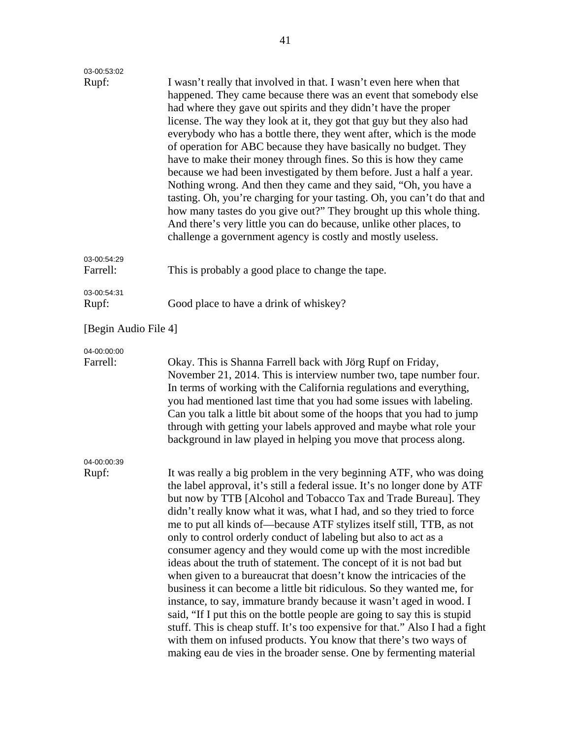| 03-00:53:02             |                                                                                                                                                                                                                                                                                                                                                                                                                                                                                                                                                                                                                                                                                                                                                                                                                                                                                                                                                                                                                                                                                                                         |
|-------------------------|-------------------------------------------------------------------------------------------------------------------------------------------------------------------------------------------------------------------------------------------------------------------------------------------------------------------------------------------------------------------------------------------------------------------------------------------------------------------------------------------------------------------------------------------------------------------------------------------------------------------------------------------------------------------------------------------------------------------------------------------------------------------------------------------------------------------------------------------------------------------------------------------------------------------------------------------------------------------------------------------------------------------------------------------------------------------------------------------------------------------------|
| Rupf:                   | I wasn't really that involved in that. I wasn't even here when that<br>happened. They came because there was an event that somebody else<br>had where they gave out spirits and they didn't have the proper<br>license. The way they look at it, they got that guy but they also had<br>everybody who has a bottle there, they went after, which is the mode<br>of operation for ABC because they have basically no budget. They<br>have to make their money through fines. So this is how they came<br>because we had been investigated by them before. Just a half a year.<br>Nothing wrong. And then they came and they said, "Oh, you have a<br>tasting. Oh, you're charging for your tasting. Oh, you can't do that and<br>how many tastes do you give out?" They brought up this whole thing.<br>And there's very little you can do because, unlike other places, to<br>challenge a government agency is costly and mostly useless.                                                                                                                                                                               |
| 03-00:54:29<br>Farrell: | This is probably a good place to change the tape.                                                                                                                                                                                                                                                                                                                                                                                                                                                                                                                                                                                                                                                                                                                                                                                                                                                                                                                                                                                                                                                                       |
| 03-00:54:31<br>Rupf:    | Good place to have a drink of whiskey?                                                                                                                                                                                                                                                                                                                                                                                                                                                                                                                                                                                                                                                                                                                                                                                                                                                                                                                                                                                                                                                                                  |
| [Begin Audio File 4]    |                                                                                                                                                                                                                                                                                                                                                                                                                                                                                                                                                                                                                                                                                                                                                                                                                                                                                                                                                                                                                                                                                                                         |
| 04-00:00:00<br>Farrell: | Okay. This is Shanna Farrell back with Jörg Rupf on Friday,<br>November 21, 2014. This is interview number two, tape number four.<br>In terms of working with the California regulations and everything,<br>you had mentioned last time that you had some issues with labeling.<br>Can you talk a little bit about some of the hoops that you had to jump<br>through with getting your labels approved and maybe what role your<br>background in law played in helping you move that process along.                                                                                                                                                                                                                                                                                                                                                                                                                                                                                                                                                                                                                     |
| 04-00:00:39<br>Rupf:    | It was really a big problem in the very beginning ATF, who was doing<br>the label approval, it's still a federal issue. It's no longer done by ATF<br>but now by TTB [Alcohol and Tobacco Tax and Trade Bureau]. They<br>didn't really know what it was, what I had, and so they tried to force<br>me to put all kinds of—because ATF stylizes itself still, TTB, as not<br>only to control orderly conduct of labeling but also to act as a<br>consumer agency and they would come up with the most incredible<br>ideas about the truth of statement. The concept of it is not bad but<br>when given to a bureaucrat that doesn't know the intricacies of the<br>business it can become a little bit ridiculous. So they wanted me, for<br>instance, to say, immature brandy because it wasn't aged in wood. I<br>said, "If I put this on the bottle people are going to say this is stupid<br>stuff. This is cheap stuff. It's too expensive for that." Also I had a fight<br>with them on infused products. You know that there's two ways of<br>making eau de vies in the broader sense. One by fermenting material |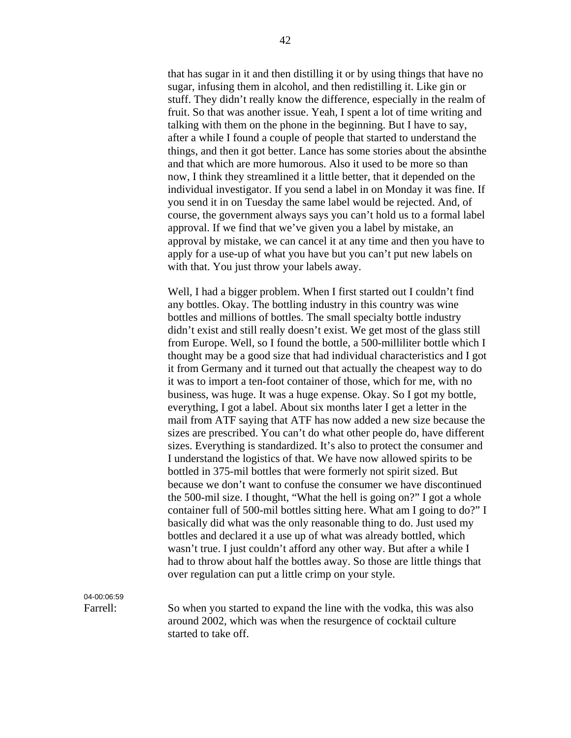that has sugar in it and then distilling it or by using things that have no sugar, infusing them in alcohol, and then redistilling it. Like gin or stuff. They didn't really know the difference, especially in the realm of fruit. So that was another issue. Yeah, I spent a lot of time writing and talking with them on the phone in the beginning. But I have to say, after a while I found a couple of people that started to understand the things, and then it got better. Lance has some stories about the absinthe and that which are more humorous. Also it used to be more so than now, I think they streamlined it a little better, that it depended on the individual investigator. If you send a label in on Monday it was fine. If you send it in on Tuesday the same label would be rejected. And, of course, the government always says you can't hold us to a formal label approval. If we find that we've given you a label by mistake, an approval by mistake, we can cancel it at any time and then you have to apply for a use-up of what you have but you can't put new labels on with that. You just throw your labels away.

 Well, I had a bigger problem. When I first started out I couldn't find any bottles. Okay. The bottling industry in this country was wine bottles and millions of bottles. The small specialty bottle industry didn't exist and still really doesn't exist. We get most of the glass still from Europe. Well, so I found the bottle, a 500-milliliter bottle which I thought may be a good size that had individual characteristics and I got it from Germany and it turned out that actually the cheapest way to do it was to import a ten-foot container of those, which for me, with no business, was huge. It was a huge expense. Okay. So I got my bottle, everything, I got a label. About six months later I get a letter in the mail from ATF saying that ATF has now added a new size because the sizes are prescribed. You can't do what other people do, have different sizes. Everything is standardized. It's also to protect the consumer and I understand the logistics of that. We have now allowed spirits to be bottled in 375-mil bottles that were formerly not spirit sized. But because we don't want to confuse the consumer we have discontinued the 500-mil size. I thought, "What the hell is going on?" I got a whole container full of 500-mil bottles sitting here. What am I going to do?" I basically did what was the only reasonable thing to do. Just used my bottles and declared it a use up of what was already bottled, which wasn't true. I just couldn't afford any other way. But after a while I had to throw about half the bottles away. So those are little things that over regulation can put a little crimp on your style.

04-00:06:59

Farrell: So when you started to expand the line with the vodka, this was also around 2002, which was when the resurgence of cocktail culture started to take off.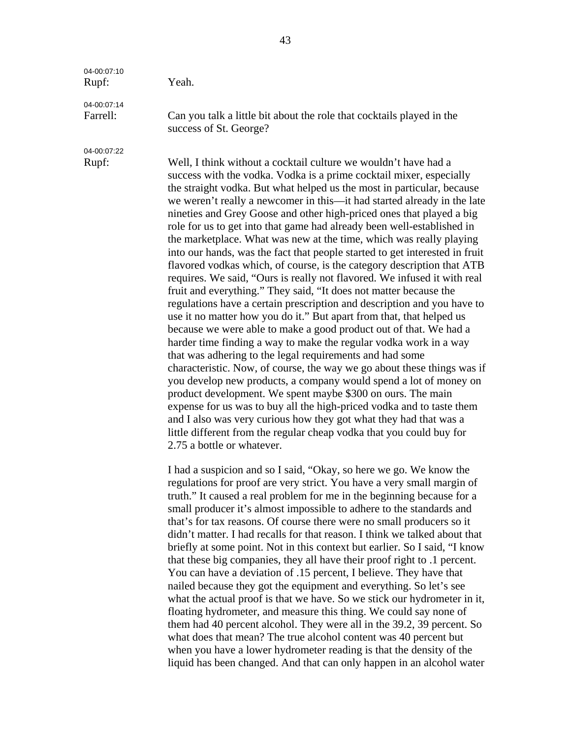| 04-00:07:10<br>Rupf:    | Yeah.                                                                                                                                                                                                                                                                                                                                                                                                                                                                                                                                                                                                                                                                                                                                                                                                                                                                                                                                                                                                                                                                                                                                                                                                                                                                                                                                                                                                                                                                                                                                                                                                                        |
|-------------------------|------------------------------------------------------------------------------------------------------------------------------------------------------------------------------------------------------------------------------------------------------------------------------------------------------------------------------------------------------------------------------------------------------------------------------------------------------------------------------------------------------------------------------------------------------------------------------------------------------------------------------------------------------------------------------------------------------------------------------------------------------------------------------------------------------------------------------------------------------------------------------------------------------------------------------------------------------------------------------------------------------------------------------------------------------------------------------------------------------------------------------------------------------------------------------------------------------------------------------------------------------------------------------------------------------------------------------------------------------------------------------------------------------------------------------------------------------------------------------------------------------------------------------------------------------------------------------------------------------------------------------|
| 04-00:07:14<br>Farrell: | Can you talk a little bit about the role that cocktails played in the<br>success of St. George?                                                                                                                                                                                                                                                                                                                                                                                                                                                                                                                                                                                                                                                                                                                                                                                                                                                                                                                                                                                                                                                                                                                                                                                                                                                                                                                                                                                                                                                                                                                              |
| 04-00:07:22             |                                                                                                                                                                                                                                                                                                                                                                                                                                                                                                                                                                                                                                                                                                                                                                                                                                                                                                                                                                                                                                                                                                                                                                                                                                                                                                                                                                                                                                                                                                                                                                                                                              |
| Rupf:                   | Well, I think without a cocktail culture we wouldn't have had a<br>success with the vodka. Vodka is a prime cocktail mixer, especially<br>the straight vodka. But what helped us the most in particular, because<br>we weren't really a newcomer in this—it had started already in the late<br>nineties and Grey Goose and other high-priced ones that played a big<br>role for us to get into that game had already been well-established in<br>the marketplace. What was new at the time, which was really playing<br>into our hands, was the fact that people started to get interested in fruit<br>flavored vodkas which, of course, is the category description that ATB<br>requires. We said, "Ours is really not flavored. We infused it with real<br>fruit and everything." They said, "It does not matter because the<br>regulations have a certain prescription and description and you have to<br>use it no matter how you do it." But apart from that, that helped us<br>because we were able to make a good product out of that. We had a<br>harder time finding a way to make the regular vodka work in a way<br>that was adhering to the legal requirements and had some<br>characteristic. Now, of course, the way we go about these things was if<br>you develop new products, a company would spend a lot of money on<br>product development. We spent maybe \$300 on ours. The main<br>expense for us was to buy all the high-priced vodka and to taste them<br>and I also was very curious how they got what they had that was a<br>little different from the regular cheap vodka that you could buy for |

2.75 a bottle or whatever.

I had a suspicion and so I said, "Okay, so here we go. We know the regulations for proof are very strict. You have a very small margin of truth." It caused a real problem for me in the beginning because for a small producer it's almost impossible to adhere to the standards and that's for tax reasons. Of course there were no small producers so it didn't matter. I had recalls for that reason. I think we talked about that briefly at some point. Not in this context but earlier. So I said, "I know that these big companies, they all have their proof right to .1 percent. You can have a deviation of .15 percent, I believe. They have that nailed because they got the equipment and everything. So let's see what the actual proof is that we have. So we stick our hydrometer in it, floating hydrometer, and measure this thing. We could say none of them had 40 percent alcohol. They were all in the 39.2, 39 percent. So what does that mean? The true alcohol content was 40 percent but when you have a lower hydrometer reading is that the density of the liquid has been changed. And that can only happen in an alcohol water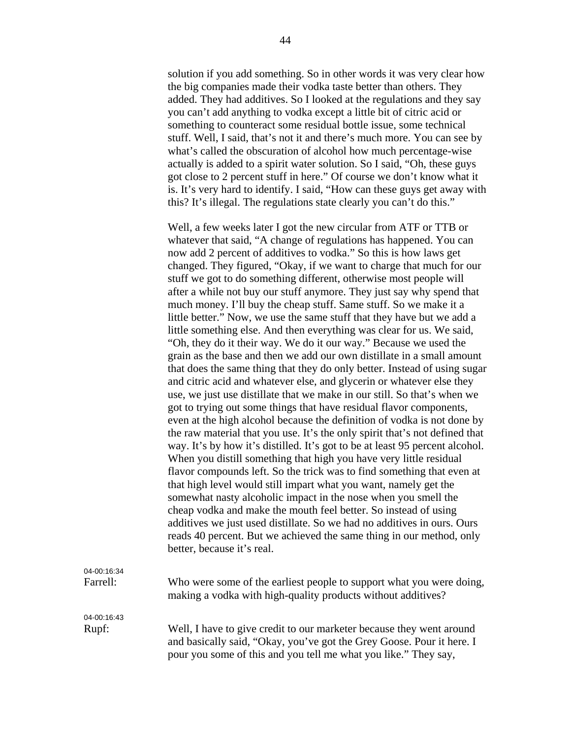solution if you add something. So in other words it was very clear how the big companies made their vodka taste better than others. They added. They had additives. So I looked at the regulations and they say you can't add anything to vodka except a little bit of citric acid or something to counteract some residual bottle issue, some technical stuff. Well, I said, that's not it and there's much more. You can see by what's called the obscuration of alcohol how much percentage-wise actually is added to a spirit water solution. So I said, "Oh, these guys got close to 2 percent stuff in here." Of course we don't know what it is. It's very hard to identify. I said, "How can these guys get away with this? It's illegal. The regulations state clearly you can't do this."

Well, a few weeks later I got the new circular from ATF or TTB or whatever that said, "A change of regulations has happened. You can now add 2 percent of additives to vodka." So this is how laws get changed. They figured, "Okay, if we want to charge that much for our stuff we got to do something different, otherwise most people will after a while not buy our stuff anymore. They just say why spend that much money. I'll buy the cheap stuff. Same stuff. So we make it a little better." Now, we use the same stuff that they have but we add a little something else. And then everything was clear for us. We said, "Oh, they do it their way. We do it our way." Because we used the grain as the base and then we add our own distillate in a small amount that does the same thing that they do only better. Instead of using sugar and citric acid and whatever else, and glycerin or whatever else they use, we just use distillate that we make in our still. So that's when we got to trying out some things that have residual flavor components, even at the high alcohol because the definition of vodka is not done by the raw material that you use. It's the only spirit that's not defined that way. It's by how it's distilled. It's got to be at least 95 percent alcohol. When you distill something that high you have very little residual flavor compounds left. So the trick was to find something that even at that high level would still impart what you want, namely get the somewhat nasty alcoholic impact in the nose when you smell the cheap vodka and make the mouth feel better. So instead of using additives we just used distillate. So we had no additives in ours. Ours reads 40 percent. But we achieved the same thing in our method, only better, because it's real.

| 04-00:16:34 |                                                                                                                                      |
|-------------|--------------------------------------------------------------------------------------------------------------------------------------|
| Farrell:    | Who were some of the earliest people to support what you were doing,<br>making a vodka with high-quality products without additives? |
| 04-00:16:43 |                                                                                                                                      |
| Rupf:       | Well, I have to give credit to our marketer because they went around                                                                 |
|             | and basically said, "Okay, you've got the Grey Goose. Pour it here. I                                                                |

Rupf: Well, I have to give credit to our marketer because they went around "Okay, you've got the Grey Goose. Pour it here. I pour you some of this and you tell me what you like." They say,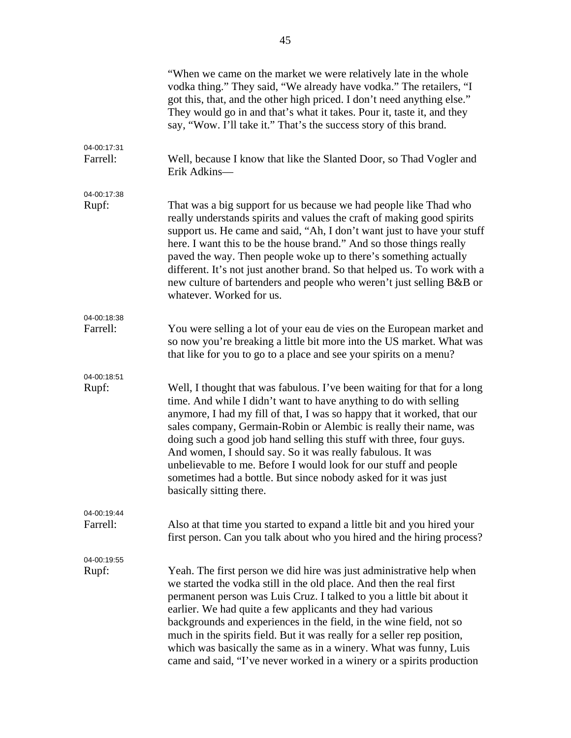|                         | "When we came on the market we were relatively late in the whole<br>vodka thing." They said, "We already have vodka." The retailers, "I<br>got this, that, and the other high priced. I don't need anything else."<br>They would go in and that's what it takes. Pour it, taste it, and they<br>say, "Wow. I'll take it." That's the success story of this brand.                                                                                                                                                                                                                                     |
|-------------------------|-------------------------------------------------------------------------------------------------------------------------------------------------------------------------------------------------------------------------------------------------------------------------------------------------------------------------------------------------------------------------------------------------------------------------------------------------------------------------------------------------------------------------------------------------------------------------------------------------------|
| 04-00:17:31<br>Farrell: | Well, because I know that like the Slanted Door, so Thad Vogler and<br>Erik Adkins-                                                                                                                                                                                                                                                                                                                                                                                                                                                                                                                   |
| 04-00:17:38<br>Rupf:    | That was a big support for us because we had people like Thad who<br>really understands spirits and values the craft of making good spirits<br>support us. He came and said, "Ah, I don't want just to have your stuff<br>here. I want this to be the house brand." And so those things really<br>paved the way. Then people woke up to there's something actually<br>different. It's not just another brand. So that helped us. To work with a<br>new culture of bartenders and people who weren't just selling B&B or<br>whatever. Worked for us.                                                   |
| 04-00:18:38<br>Farrell: | You were selling a lot of your eau de vies on the European market and<br>so now you're breaking a little bit more into the US market. What was<br>that like for you to go to a place and see your spirits on a menu?                                                                                                                                                                                                                                                                                                                                                                                  |
| 04-00:18:51<br>Rupf:    | Well, I thought that was fabulous. I've been waiting for that for a long<br>time. And while I didn't want to have anything to do with selling<br>anymore, I had my fill of that, I was so happy that it worked, that our<br>sales company, Germain-Robin or Alembic is really their name, was<br>doing such a good job hand selling this stuff with three, four guys.<br>And women, I should say. So it was really fabulous. It was<br>unbelievable to me. Before I would look for our stuff and people<br>sometimes had a bottle. But since nobody asked for it was just<br>basically sitting there. |
| 04-00:19:44<br>Farrell: | Also at that time you started to expand a little bit and you hired your<br>first person. Can you talk about who you hired and the hiring process?                                                                                                                                                                                                                                                                                                                                                                                                                                                     |
| 04-00:19:55<br>Rupf:    | Yeah. The first person we did hire was just administrative help when<br>we started the vodka still in the old place. And then the real first<br>permanent person was Luis Cruz. I talked to you a little bit about it<br>earlier. We had quite a few applicants and they had various<br>backgrounds and experiences in the field, in the wine field, not so<br>much in the spirits field. But it was really for a seller rep position,<br>which was basically the same as in a winery. What was funny, Luis<br>came and said, "I've never worked in a winery or a spirits production                  |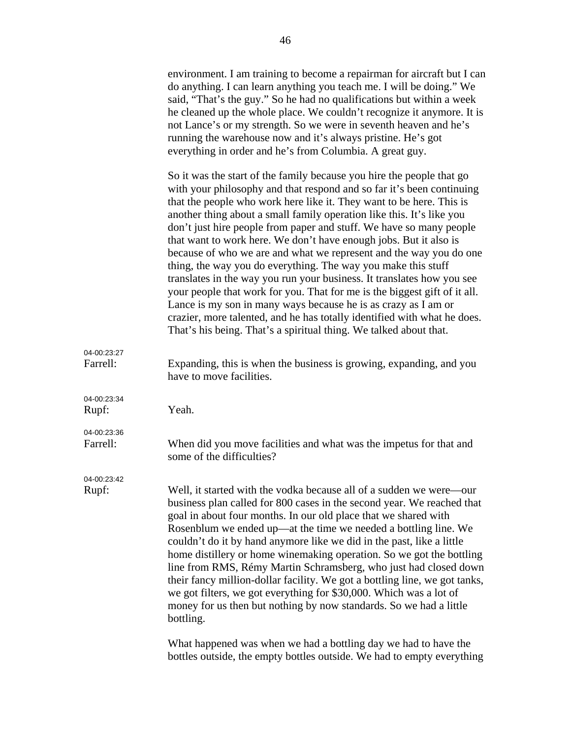|                         | environment. I am training to become a repairman for aircraft but I can<br>do anything. I can learn anything you teach me. I will be doing." We<br>said, "That's the guy." So he had no qualifications but within a week<br>he cleaned up the whole place. We couldn't recognize it anymore. It is<br>not Lance's or my strength. So we were in seventh heaven and he's<br>running the warehouse now and it's always pristine. He's got<br>everything in order and he's from Columbia. A great guy.                                                                                                                                                                                                                                                                                                                                                                                                                                                          |
|-------------------------|--------------------------------------------------------------------------------------------------------------------------------------------------------------------------------------------------------------------------------------------------------------------------------------------------------------------------------------------------------------------------------------------------------------------------------------------------------------------------------------------------------------------------------------------------------------------------------------------------------------------------------------------------------------------------------------------------------------------------------------------------------------------------------------------------------------------------------------------------------------------------------------------------------------------------------------------------------------|
|                         | So it was the start of the family because you hire the people that go<br>with your philosophy and that respond and so far it's been continuing<br>that the people who work here like it. They want to be here. This is<br>another thing about a small family operation like this. It's like you<br>don't just hire people from paper and stuff. We have so many people<br>that want to work here. We don't have enough jobs. But it also is<br>because of who we are and what we represent and the way you do one<br>thing, the way you do everything. The way you make this stuff<br>translates in the way you run your business. It translates how you see<br>your people that work for you. That for me is the biggest gift of it all.<br>Lance is my son in many ways because he is as crazy as I am or<br>crazier, more talented, and he has totally identified with what he does.<br>That's his being. That's a spiritual thing. We talked about that. |
| 04-00:23:27<br>Farrell: | Expanding, this is when the business is growing, expanding, and you<br>have to move facilities.                                                                                                                                                                                                                                                                                                                                                                                                                                                                                                                                                                                                                                                                                                                                                                                                                                                              |
| 04-00:23:34<br>Rupf:    | Yeah.                                                                                                                                                                                                                                                                                                                                                                                                                                                                                                                                                                                                                                                                                                                                                                                                                                                                                                                                                        |
| 04-00:23:36<br>Farrell: | When did you move facilities and what was the impetus for that and<br>some of the difficulties?                                                                                                                                                                                                                                                                                                                                                                                                                                                                                                                                                                                                                                                                                                                                                                                                                                                              |
| 04-00:23:42<br>Rupf:    | Well, it started with the vodka because all of a sudden we were—our<br>business plan called for 800 cases in the second year. We reached that<br>goal in about four months. In our old place that we shared with<br>Rosenblum we ended up—at the time we needed a bottling line. We<br>couldn't do it by hand anymore like we did in the past, like a little<br>home distillery or home winemaking operation. So we got the bottling<br>line from RMS, Rémy Martin Schramsberg, who just had closed down<br>their fancy million-dollar facility. We got a bottling line, we got tanks,<br>we got filters, we got everything for \$30,000. Which was a lot of<br>money for us then but nothing by now standards. So we had a little<br>bottling.                                                                                                                                                                                                              |
|                         | What happened was when we had a bottling day we had to have the                                                                                                                                                                                                                                                                                                                                                                                                                                                                                                                                                                                                                                                                                                                                                                                                                                                                                              |

bottles outside, the empty bottles outside. We had to empty everything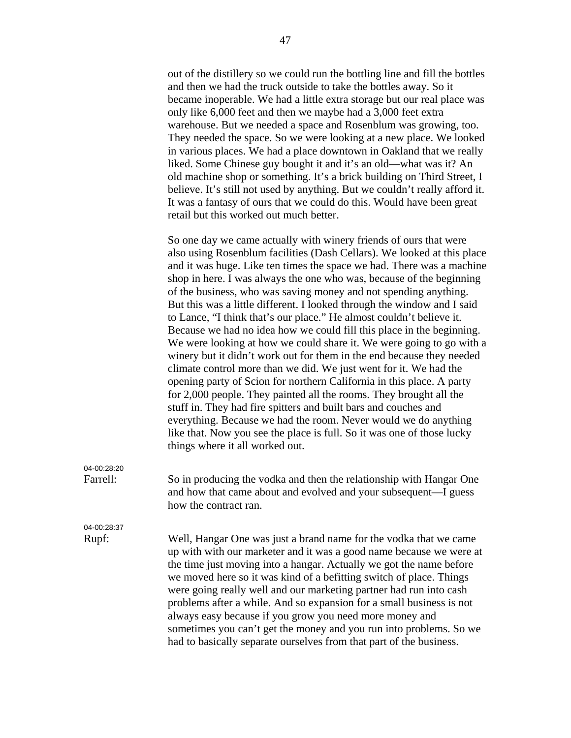out of the distillery so we could run the bottling line and fill the bottles and then we had the truck outside to take the bottles away. So it became inoperable. We had a little extra storage but our real place was only like 6,000 feet and then we maybe had a 3,000 feet extra warehouse. But we needed a space and Rosenblum was growing, too. They needed the space. So we were looking at a new place. We looked in various places. We had a place downtown in Oakland that we really liked. Some Chinese guy bought it and it's an old—what was it? An old machine shop or something. It's a brick building on Third Street, I believe. It's still not used by anything. But we couldn't really afford it. It was a fantasy of ours that we could do this. Would have been great retail but this worked out much better.

So one day we came actually with winery friends of ours that were also using Rosenblum facilities (Dash Cellars). We looked at this place and it was huge. Like ten times the space we had. There was a machine shop in here. I was always the one who was, because of the beginning of the business, who was saving money and not spending anything. But this was a little different. I looked through the window and I said to Lance, "I think that's our place." He almost couldn't believe it. Because we had no idea how we could fill this place in the beginning. We were looking at how we could share it. We were going to go with a winery but it didn't work out for them in the end because they needed climate control more than we did. We just went for it. We had the opening party of Scion for northern California in this place. A party for 2,000 people. They painted all the rooms. They brought all the stuff in. They had fire spitters and built bars and couches and everything. Because we had the room. Never would we do anything like that. Now you see the place is full. So it was one of those lucky things where it all worked out.

04-00:28:20

Farrell: So in producing the vodka and then the relationship with Hangar One and how that came about and evolved and your subsequent—I guess how the contract ran.

04-00:28:37

Rupf: Well, Hangar One was just a brand name for the vodka that we came up with with our marketer and it was a good name because we were at the time just moving into a hangar. Actually we got the name before we moved here so it was kind of a befitting switch of place. Things were going really well and our marketing partner had run into cash problems after a while. And so expansion for a small business is not always easy because if you grow you need more money and sometimes you can't get the money and you run into problems. So we had to basically separate ourselves from that part of the business.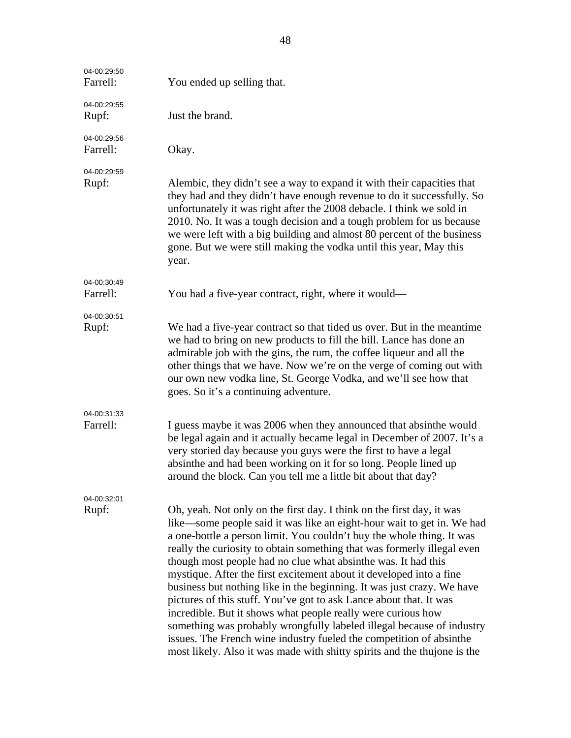| 04-00:29:50<br>Farrell: | You ended up selling that.                                                                                                                                                                                                                                                                                                                                                                                                                                                                                                                                                                                                                                                                                                                                                                                                                                                              |
|-------------------------|-----------------------------------------------------------------------------------------------------------------------------------------------------------------------------------------------------------------------------------------------------------------------------------------------------------------------------------------------------------------------------------------------------------------------------------------------------------------------------------------------------------------------------------------------------------------------------------------------------------------------------------------------------------------------------------------------------------------------------------------------------------------------------------------------------------------------------------------------------------------------------------------|
| 04-00:29:55<br>Rupf:    | Just the brand.                                                                                                                                                                                                                                                                                                                                                                                                                                                                                                                                                                                                                                                                                                                                                                                                                                                                         |
| 04-00:29:56<br>Farrell: | Okay.                                                                                                                                                                                                                                                                                                                                                                                                                                                                                                                                                                                                                                                                                                                                                                                                                                                                                   |
| 04-00:29:59<br>Rupf:    | Alembic, they didn't see a way to expand it with their capacities that<br>they had and they didn't have enough revenue to do it successfully. So<br>unfortunately it was right after the 2008 debacle. I think we sold in<br>2010. No. It was a tough decision and a tough problem for us because<br>we were left with a big building and almost 80 percent of the business<br>gone. But we were still making the vodka until this year, May this<br>year.                                                                                                                                                                                                                                                                                                                                                                                                                              |
| 04-00:30:49<br>Farrell: | You had a five-year contract, right, where it would—                                                                                                                                                                                                                                                                                                                                                                                                                                                                                                                                                                                                                                                                                                                                                                                                                                    |
| 04-00:30:51<br>Rupf:    | We had a five-year contract so that tided us over. But in the meantime<br>we had to bring on new products to fill the bill. Lance has done an<br>admirable job with the gins, the rum, the coffee liqueur and all the<br>other things that we have. Now we're on the verge of coming out with<br>our own new vodka line, St. George Vodka, and we'll see how that<br>goes. So it's a continuing adventure.                                                                                                                                                                                                                                                                                                                                                                                                                                                                              |
| 04-00:31:33<br>Farrell: | I guess maybe it was 2006 when they announced that absinthe would<br>be legal again and it actually became legal in December of 2007. It's a<br>very storied day because you guys were the first to have a legal<br>absinthe and had been working on it for so long. People lined up<br>around the block. Can you tell me a little bit about that day?                                                                                                                                                                                                                                                                                                                                                                                                                                                                                                                                  |
| 04-00:32:01<br>Rupf:    | Oh, yeah. Not only on the first day. I think on the first day, it was<br>like—some people said it was like an eight-hour wait to get in. We had<br>a one-bottle a person limit. You couldn't buy the whole thing. It was<br>really the curiosity to obtain something that was formerly illegal even<br>though most people had no clue what absinthe was. It had this<br>mystique. After the first excitement about it developed into a fine<br>business but nothing like in the beginning. It was just crazy. We have<br>pictures of this stuff. You've got to ask Lance about that. It was<br>incredible. But it shows what people really were curious how<br>something was probably wrongfully labeled illegal because of industry<br>issues. The French wine industry fueled the competition of absinthe<br>most likely. Also it was made with shitty spirits and the thujone is the |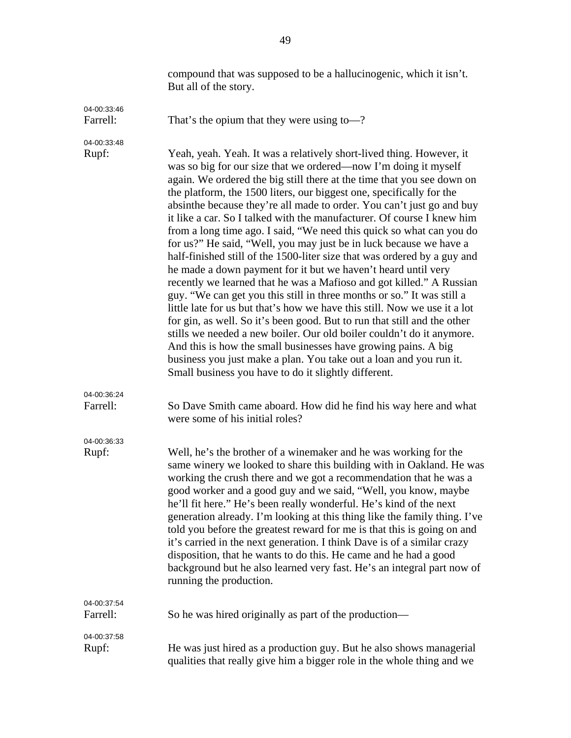|                         | compound that was supposed to be a hallucinogenic, which it isn't.<br>But all of the story.                                                                                                                                                                                                                                                                                                                                                                                                                                                                                                                                                                                                                                                                                                                                                                                                                                                                                                                                                                                                                                                                                                                                                                                                                                 |
|-------------------------|-----------------------------------------------------------------------------------------------------------------------------------------------------------------------------------------------------------------------------------------------------------------------------------------------------------------------------------------------------------------------------------------------------------------------------------------------------------------------------------------------------------------------------------------------------------------------------------------------------------------------------------------------------------------------------------------------------------------------------------------------------------------------------------------------------------------------------------------------------------------------------------------------------------------------------------------------------------------------------------------------------------------------------------------------------------------------------------------------------------------------------------------------------------------------------------------------------------------------------------------------------------------------------------------------------------------------------|
| 04-00:33:46<br>Farrell: | That's the opium that they were using to-?                                                                                                                                                                                                                                                                                                                                                                                                                                                                                                                                                                                                                                                                                                                                                                                                                                                                                                                                                                                                                                                                                                                                                                                                                                                                                  |
| 04-00:33:48<br>Rupf:    | Yeah, yeah. Yeah. It was a relatively short-lived thing. However, it<br>was so big for our size that we ordered—now I'm doing it myself<br>again. We ordered the big still there at the time that you see down on<br>the platform, the 1500 liters, our biggest one, specifically for the<br>absinthe because they're all made to order. You can't just go and buy<br>it like a car. So I talked with the manufacturer. Of course I knew him<br>from a long time ago. I said, "We need this quick so what can you do<br>for us?" He said, "Well, you may just be in luck because we have a<br>half-finished still of the 1500-liter size that was ordered by a guy and<br>he made a down payment for it but we haven't heard until very<br>recently we learned that he was a Mafioso and got killed." A Russian<br>guy. "We can get you this still in three months or so." It was still a<br>little late for us but that's how we have this still. Now we use it a lot<br>for gin, as well. So it's been good. But to run that still and the other<br>stills we needed a new boiler. Our old boiler couldn't do it anymore.<br>And this is how the small businesses have growing pains. A big<br>business you just make a plan. You take out a loan and you run it.<br>Small business you have to do it slightly different. |
| 04-00:36:24<br>Farrell: | So Dave Smith came aboard. How did he find his way here and what<br>were some of his initial roles?                                                                                                                                                                                                                                                                                                                                                                                                                                                                                                                                                                                                                                                                                                                                                                                                                                                                                                                                                                                                                                                                                                                                                                                                                         |
| 04-00:36:33<br>Rupf:    | Well, he's the brother of a winemaker and he was working for the<br>same winery we looked to share this building with in Oakland. He was<br>working the crush there and we got a recommendation that he was a<br>good worker and a good guy and we said, "Well, you know, maybe<br>he'll fit here." He's been really wonderful. He's kind of the next<br>generation already. I'm looking at this thing like the family thing. I've<br>told you before the greatest reward for me is that this is going on and<br>it's carried in the next generation. I think Dave is of a similar crazy<br>disposition, that he wants to do this. He came and he had a good<br>background but he also learned very fast. He's an integral part now of<br>running the production.                                                                                                                                                                                                                                                                                                                                                                                                                                                                                                                                                           |
| 04-00:37:54<br>Farrell: | So he was hired originally as part of the production-                                                                                                                                                                                                                                                                                                                                                                                                                                                                                                                                                                                                                                                                                                                                                                                                                                                                                                                                                                                                                                                                                                                                                                                                                                                                       |
| 04-00:37:58<br>Rupf:    | He was just hired as a production guy. But he also shows managerial<br>qualities that really give him a bigger role in the whole thing and we                                                                                                                                                                                                                                                                                                                                                                                                                                                                                                                                                                                                                                                                                                                                                                                                                                                                                                                                                                                                                                                                                                                                                                               |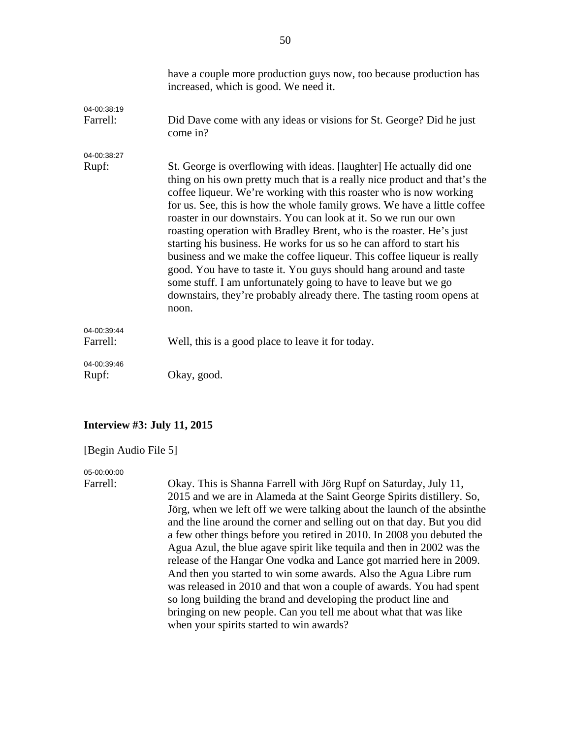|                         | have a couple more production guys now, too because production has<br>increased, which is good. We need it.                                                                                                                                                                                                                                                                                                                                                                                                                                                                                                                                                                                                                                                                                                                 |
|-------------------------|-----------------------------------------------------------------------------------------------------------------------------------------------------------------------------------------------------------------------------------------------------------------------------------------------------------------------------------------------------------------------------------------------------------------------------------------------------------------------------------------------------------------------------------------------------------------------------------------------------------------------------------------------------------------------------------------------------------------------------------------------------------------------------------------------------------------------------|
| 04-00:38:19<br>Farrell: | Did Dave come with any ideas or visions for St. George? Did he just<br>come in?                                                                                                                                                                                                                                                                                                                                                                                                                                                                                                                                                                                                                                                                                                                                             |
| 04-00:38:27             |                                                                                                                                                                                                                                                                                                                                                                                                                                                                                                                                                                                                                                                                                                                                                                                                                             |
| Rupf:                   | St. George is overflowing with ideas. [laughter] He actually did one<br>thing on his own pretty much that is a really nice product and that's the<br>coffee liqueur. We're working with this roaster who is now working<br>for us. See, this is how the whole family grows. We have a little coffee<br>roaster in our downstairs. You can look at it. So we run our own<br>roasting operation with Bradley Brent, who is the roaster. He's just<br>starting his business. He works for us so he can afford to start his<br>business and we make the coffee liqueur. This coffee liqueur is really<br>good. You have to taste it. You guys should hang around and taste<br>some stuff. I am unfortunately going to have to leave but we go<br>downstairs, they're probably already there. The tasting room opens at<br>noon. |
| 04-00:39:44<br>Farrell: | Well, this is a good place to leave it for today.                                                                                                                                                                                                                                                                                                                                                                                                                                                                                                                                                                                                                                                                                                                                                                           |
| 04-00:39:46<br>Rupf:    | Okay, good.                                                                                                                                                                                                                                                                                                                                                                                                                                                                                                                                                                                                                                                                                                                                                                                                                 |

### **Interview #3: July 11, 2015**

#### [Begin Audio File 5]

#### 05-00:00:00

Farrell: Okay. This is Shanna Farrell with Jörg Rupf on Saturday, July 11, 2015 and we are in Alameda at the Saint George Spirits distillery. So, Jörg, when we left off we were talking about the launch of the absinthe and the line around the corner and selling out on that day. But you did a few other things before you retired in 2010. In 2008 you debuted the Agua Azul, the blue agave spirit like tequila and then in 2002 was the release of the Hangar One vodka and Lance got married here in 2009. And then you started to win some awards. Also the Agua Libre rum was released in 2010 and that won a couple of awards. You had spent so long building the brand and developing the product line and bringing on new people. Can you tell me about what that was like when your spirits started to win awards?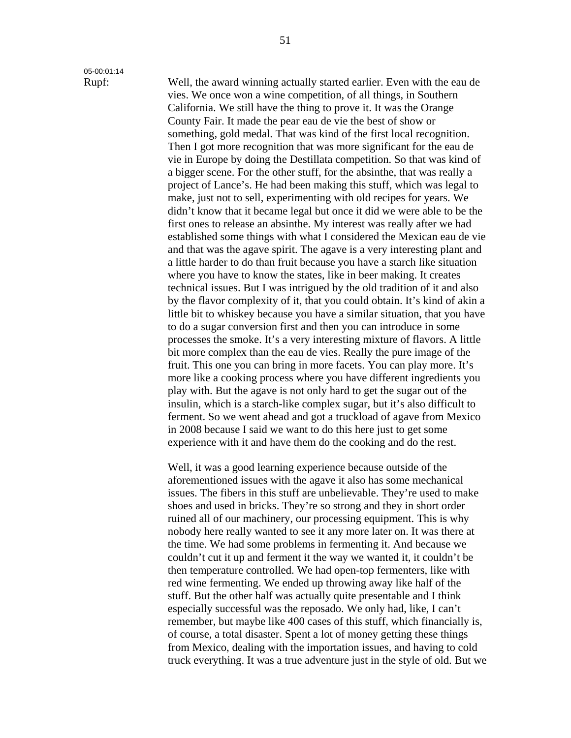## 05-00:01:14

Rupf: Well, the award winning actually started earlier. Even with the eau de vies. We once won a wine competition, of all things, in Southern California. We still have the thing to prove it. It was the Orange County Fair. It made the pear eau de vie the best of show or something, gold medal. That was kind of the first local recognition. Then I got more recognition that was more significant for the eau de vie in Europe by doing the Destillata competition. So that was kind of a bigger scene. For the other stuff, for the absinthe, that was really a project of Lance's. He had been making this stuff, which was legal to make, just not to sell, experimenting with old recipes for years. We didn't know that it became legal but once it did we were able to be the first ones to release an absinthe. My interest was really after we had established some things with what I considered the Mexican eau de vie and that was the agave spirit. The agave is a very interesting plant and a little harder to do than fruit because you have a starch like situation where you have to know the states, like in beer making. It creates technical issues. But I was intrigued by the old tradition of it and also by the flavor complexity of it, that you could obtain. It's kind of akin a little bit to whiskey because you have a similar situation, that you have to do a sugar conversion first and then you can introduce in some processes the smoke. It's a very interesting mixture of flavors. A little bit more complex than the eau de vies. Really the pure image of the fruit. This one you can bring in more facets. You can play more. It's more like a cooking process where you have different ingredients you play with. But the agave is not only hard to get the sugar out of the insulin, which is a starch-like complex sugar, but it's also difficult to ferment. So we went ahead and got a truckload of agave from Mexico in 2008 because I said we want to do this here just to get some experience with it and have them do the cooking and do the rest.

> Well, it was a good learning experience because outside of the aforementioned issues with the agave it also has some mechanical issues. The fibers in this stuff are unbelievable. They're used to make shoes and used in bricks. They're so strong and they in short order ruined all of our machinery, our processing equipment. This is why nobody here really wanted to see it any more later on. It was there at the time. We had some problems in fermenting it. And because we couldn't cut it up and ferment it the way we wanted it, it couldn't be then temperature controlled. We had open-top fermenters, like with red wine fermenting. We ended up throwing away like half of the stuff. But the other half was actually quite presentable and I think especially successful was the reposado. We only had, like, I can't remember, but maybe like 400 cases of this stuff, which financially is, of course, a total disaster. Spent a lot of money getting these things from Mexico, dealing with the importation issues, and having to cold truck everything. It was a true adventure just in the style of old. But we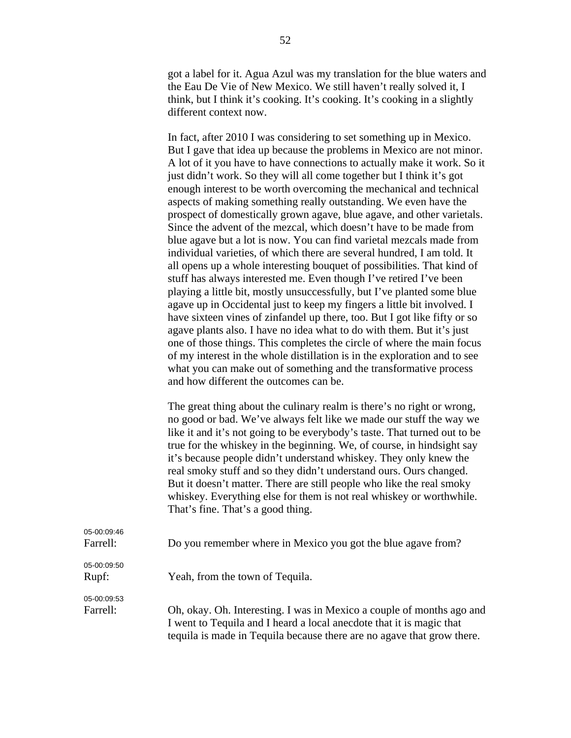got a label for it. Agua Azul was my translation for the blue waters and the Eau De Vie of New Mexico. We still haven't really solved it, I think, but I think it's cooking. It's cooking. It's cooking in a slightly different context now.

In fact, after 2010 I was considering to set something up in Mexico. But I gave that idea up because the problems in Mexico are not minor. A lot of it you have to have connections to actually make it work. So it just didn't work. So they will all come together but I think it's got enough interest to be worth overcoming the mechanical and technical aspects of making something really outstanding. We even have the prospect of domestically grown agave, blue agave, and other varietals. Since the advent of the mezcal, which doesn't have to be made from blue agave but a lot is now. You can find varietal mezcals made from individual varieties, of which there are several hundred, I am told. It all opens up a whole interesting bouquet of possibilities. That kind of stuff has always interested me. Even though I've retired I've been playing a little bit, mostly unsuccessfully, but I've planted some blue agave up in Occidental just to keep my fingers a little bit involved. I have sixteen vines of zinfandel up there, too. But I got like fifty or so agave plants also. I have no idea what to do with them. But it's just one of those things. This completes the circle of where the main focus of my interest in the whole distillation is in the exploration and to see what you can make out of something and the transformative process and how different the outcomes can be.

The great thing about the culinary realm is there's no right or wrong, no good or bad. We've always felt like we made our stuff the way we like it and it's not going to be everybody's taste. That turned out to be true for the whiskey in the beginning. We, of course, in hindsight say it's because people didn't understand whiskey. They only knew the real smoky stuff and so they didn't understand ours. Ours changed. But it doesn't matter. There are still people who like the real smoky whiskey. Everything else for them is not real whiskey or worthwhile. That's fine. That's a good thing.

| <u> vu vu vu <del>v</del>u</u><br>Farrell: | Do you remember where in Mexico you got the blue agave from?           |
|--------------------------------------------|------------------------------------------------------------------------|
| 05-00:09:50<br>Rupf:                       | Yeah, from the town of Tequila.                                        |
| 05-00:09:53<br>Farrell:                    |                                                                        |
|                                            | Oh, okay. Oh. Interesting. I was in Mexico a couple of months ago and  |
|                                            | I went to Tequila and I heard a local anecdote that it is magic that   |
|                                            | tequila is made in Tequila because there are no agave that grow there. |

05-00:09:46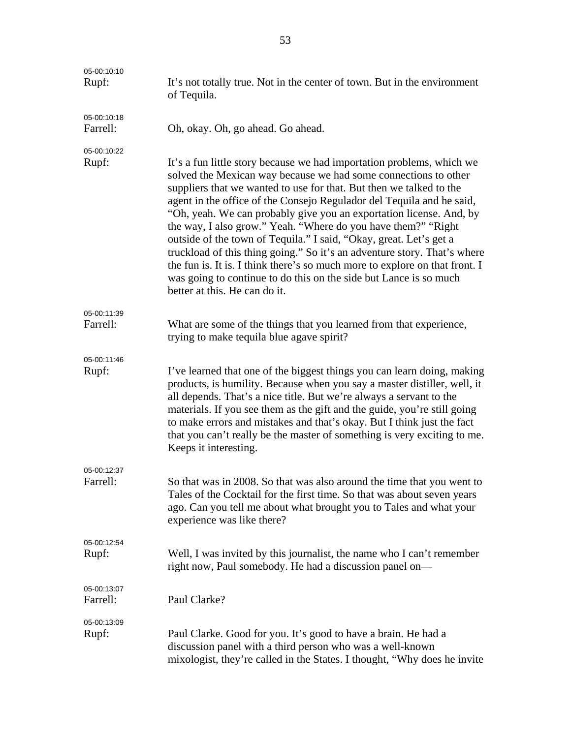| 05-00:10:10<br>Rupf:    | It's not totally true. Not in the center of town. But in the environment<br>of Tequila.                                                                                                                                                                                                                                                                                                                                                                                                                                                                                                                                                                                                                                                                                 |
|-------------------------|-------------------------------------------------------------------------------------------------------------------------------------------------------------------------------------------------------------------------------------------------------------------------------------------------------------------------------------------------------------------------------------------------------------------------------------------------------------------------------------------------------------------------------------------------------------------------------------------------------------------------------------------------------------------------------------------------------------------------------------------------------------------------|
| 05-00:10:18<br>Farrell: | Oh, okay. Oh, go ahead. Go ahead.                                                                                                                                                                                                                                                                                                                                                                                                                                                                                                                                                                                                                                                                                                                                       |
| 05-00:10:22<br>Rupf:    | It's a fun little story because we had importation problems, which we<br>solved the Mexican way because we had some connections to other<br>suppliers that we wanted to use for that. But then we talked to the<br>agent in the office of the Consejo Regulador del Tequila and he said,<br>"Oh, yeah. We can probably give you an exportation license. And, by<br>the way, I also grow." Yeah. "Where do you have them?" "Right<br>outside of the town of Tequila." I said, "Okay, great. Let's get a<br>truckload of this thing going." So it's an adventure story. That's where<br>the fun is. It is. I think there's so much more to explore on that front. I<br>was going to continue to do this on the side but Lance is so much<br>better at this. He can do it. |
| 05-00:11:39<br>Farrell: | What are some of the things that you learned from that experience,                                                                                                                                                                                                                                                                                                                                                                                                                                                                                                                                                                                                                                                                                                      |
|                         | trying to make tequila blue agave spirit?                                                                                                                                                                                                                                                                                                                                                                                                                                                                                                                                                                                                                                                                                                                               |
| 05-00:11:46<br>Rupf:    | I've learned that one of the biggest things you can learn doing, making<br>products, is humility. Because when you say a master distiller, well, it<br>all depends. That's a nice title. But we're always a servant to the<br>materials. If you see them as the gift and the guide, you're still going<br>to make errors and mistakes and that's okay. But I think just the fact<br>that you can't really be the master of something is very exciting to me.<br>Keeps it interesting.                                                                                                                                                                                                                                                                                   |
| 05-00:12:37<br>Farrell: | So that was in 2008. So that was also around the time that you went to<br>Tales of the Cocktail for the first time. So that was about seven years<br>ago. Can you tell me about what brought you to Tales and what your<br>experience was like there?                                                                                                                                                                                                                                                                                                                                                                                                                                                                                                                   |
| 05-00:12:54             |                                                                                                                                                                                                                                                                                                                                                                                                                                                                                                                                                                                                                                                                                                                                                                         |
| Rupf:                   | Well, I was invited by this journalist, the name who I can't remember<br>right now, Paul somebody. He had a discussion panel on—                                                                                                                                                                                                                                                                                                                                                                                                                                                                                                                                                                                                                                        |
| 05-00:13:07<br>Farrell: | Paul Clarke?                                                                                                                                                                                                                                                                                                                                                                                                                                                                                                                                                                                                                                                                                                                                                            |
| 05-00:13:09<br>Rupf:    | Paul Clarke. Good for you. It's good to have a brain. He had a<br>discussion panel with a third person who was a well-known<br>mixologist, they're called in the States. I thought, "Why does he invite                                                                                                                                                                                                                                                                                                                                                                                                                                                                                                                                                                 |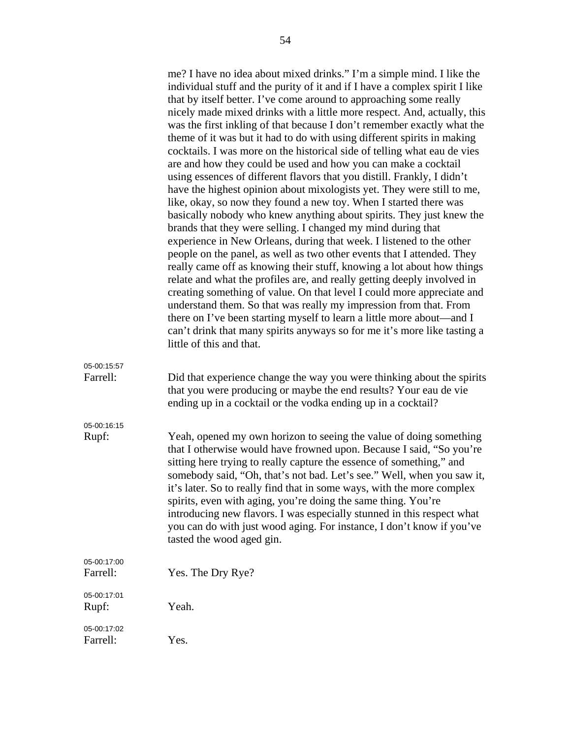|                         | me? I have no idea about mixed drinks." I'm a simple mind. I like the<br>individual stuff and the purity of it and if I have a complex spirit I like<br>that by itself better. I've come around to approaching some really<br>nicely made mixed drinks with a little more respect. And, actually, this<br>was the first inkling of that because I don't remember exactly what the<br>theme of it was but it had to do with using different spirits in making<br>cocktails. I was more on the historical side of telling what eau de vies<br>are and how they could be used and how you can make a cocktail<br>using essences of different flavors that you distill. Frankly, I didn't<br>have the highest opinion about mixologists yet. They were still to me,<br>like, okay, so now they found a new toy. When I started there was<br>basically nobody who knew anything about spirits. They just knew the<br>brands that they were selling. I changed my mind during that<br>experience in New Orleans, during that week. I listened to the other<br>people on the panel, as well as two other events that I attended. They<br>really came off as knowing their stuff, knowing a lot about how things<br>relate and what the profiles are, and really getting deeply involved in<br>creating something of value. On that level I could more appreciate and<br>understand them. So that was really my impression from that. From<br>there on I've been starting myself to learn a little more about—and I<br>can't drink that many spirits anyways so for me it's more like tasting a<br>little of this and that. |
|-------------------------|---------------------------------------------------------------------------------------------------------------------------------------------------------------------------------------------------------------------------------------------------------------------------------------------------------------------------------------------------------------------------------------------------------------------------------------------------------------------------------------------------------------------------------------------------------------------------------------------------------------------------------------------------------------------------------------------------------------------------------------------------------------------------------------------------------------------------------------------------------------------------------------------------------------------------------------------------------------------------------------------------------------------------------------------------------------------------------------------------------------------------------------------------------------------------------------------------------------------------------------------------------------------------------------------------------------------------------------------------------------------------------------------------------------------------------------------------------------------------------------------------------------------------------------------------------------------------------------------------------------------|
| 05-00:15:57<br>Farrell: | Did that experience change the way you were thinking about the spirits<br>that you were producing or maybe the end results? Your eau de vie<br>ending up in a cocktail or the vodka ending up in a cocktail?                                                                                                                                                                                                                                                                                                                                                                                                                                                                                                                                                                                                                                                                                                                                                                                                                                                                                                                                                                                                                                                                                                                                                                                                                                                                                                                                                                                                        |
| 05-00:16:15<br>Rupf:    | Yeah, opened my own horizon to seeing the value of doing something<br>that I otherwise would have frowned upon. Because I said, "So you're<br>sitting here trying to really capture the essence of something," and<br>somebody said, "Oh, that's not bad. Let's see." Well, when you saw it,<br>it's later. So to really find that in some ways, with the more complex<br>spirits, even with aging, you're doing the same thing. You're<br>introducing new flavors. I was especially stunned in this respect what<br>you can do with just wood aging. For instance, I don't know if you've<br>tasted the wood aged gin.                                                                                                                                                                                                                                                                                                                                                                                                                                                                                                                                                                                                                                                                                                                                                                                                                                                                                                                                                                                             |
| 05-00:17:00<br>Farrell: | Yes. The Dry Rye?                                                                                                                                                                                                                                                                                                                                                                                                                                                                                                                                                                                                                                                                                                                                                                                                                                                                                                                                                                                                                                                                                                                                                                                                                                                                                                                                                                                                                                                                                                                                                                                                   |
| 05-00:17:01<br>Rupf:    | Yeah.                                                                                                                                                                                                                                                                                                                                                                                                                                                                                                                                                                                                                                                                                                                                                                                                                                                                                                                                                                                                                                                                                                                                                                                                                                                                                                                                                                                                                                                                                                                                                                                                               |
| 05-00:17:02<br>Farrell: | Yes.                                                                                                                                                                                                                                                                                                                                                                                                                                                                                                                                                                                                                                                                                                                                                                                                                                                                                                                                                                                                                                                                                                                                                                                                                                                                                                                                                                                                                                                                                                                                                                                                                |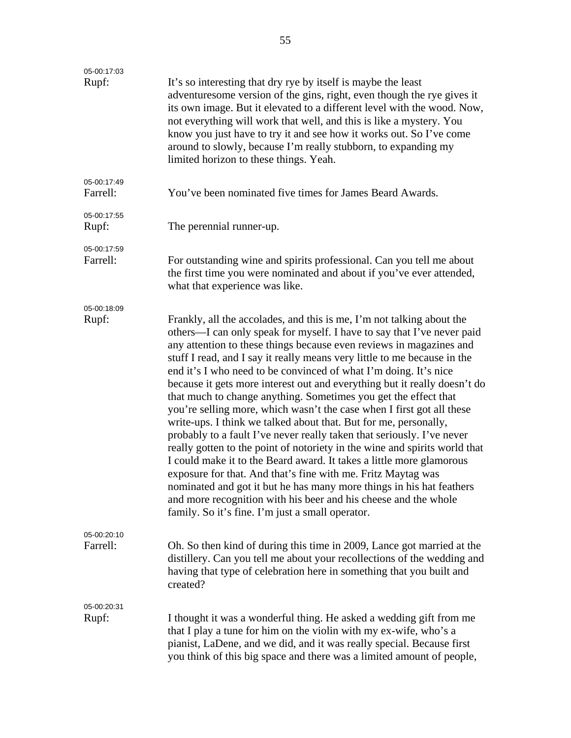| 05-00:17:03<br>Rupf:    | It's so interesting that dry rye by itself is maybe the least<br>adventures ome version of the gins, right, even though the rye gives it<br>its own image. But it elevated to a different level with the wood. Now,<br>not everything will work that well, and this is like a mystery. You<br>know you just have to try it and see how it works out. So I've come<br>around to slowly, because I'm really stubborn, to expanding my<br>limited horizon to these things. Yeah.                                                                                                                                                                                                                                                                                                                                                                                                                                                                                                                                                                                                                                                                                      |
|-------------------------|--------------------------------------------------------------------------------------------------------------------------------------------------------------------------------------------------------------------------------------------------------------------------------------------------------------------------------------------------------------------------------------------------------------------------------------------------------------------------------------------------------------------------------------------------------------------------------------------------------------------------------------------------------------------------------------------------------------------------------------------------------------------------------------------------------------------------------------------------------------------------------------------------------------------------------------------------------------------------------------------------------------------------------------------------------------------------------------------------------------------------------------------------------------------|
| 05-00:17:49<br>Farrell: | You've been nominated five times for James Beard Awards.                                                                                                                                                                                                                                                                                                                                                                                                                                                                                                                                                                                                                                                                                                                                                                                                                                                                                                                                                                                                                                                                                                           |
| 05-00:17:55<br>Rupf:    | The perennial runner-up.                                                                                                                                                                                                                                                                                                                                                                                                                                                                                                                                                                                                                                                                                                                                                                                                                                                                                                                                                                                                                                                                                                                                           |
| 05-00:17:59<br>Farrell: | For outstanding wine and spirits professional. Can you tell me about<br>the first time you were nominated and about if you've ever attended,<br>what that experience was like.                                                                                                                                                                                                                                                                                                                                                                                                                                                                                                                                                                                                                                                                                                                                                                                                                                                                                                                                                                                     |
| 05-00:18:09<br>Rupf:    | Frankly, all the accolades, and this is me, I'm not talking about the<br>others—I can only speak for myself. I have to say that I've never paid<br>any attention to these things because even reviews in magazines and<br>stuff I read, and I say it really means very little to me because in the<br>end it's I who need to be convinced of what I'm doing. It's nice<br>because it gets more interest out and everything but it really doesn't do<br>that much to change anything. Sometimes you get the effect that<br>you're selling more, which wasn't the case when I first got all these<br>write-ups. I think we talked about that. But for me, personally,<br>probably to a fault I've never really taken that seriously. I've never<br>really gotten to the point of notoriety in the wine and spirits world that<br>I could make it to the Beard award. It takes a little more glamorous<br>exposure for that. And that's fine with me. Fritz Maytag was<br>nominated and got it but he has many more things in his hat feathers<br>and more recognition with his beer and his cheese and the whole<br>family. So it's fine. I'm just a small operator. |
| 05-00:20:10<br>Farrell: | Oh. So then kind of during this time in 2009, Lance got married at the<br>distillery. Can you tell me about your recollections of the wedding and<br>having that type of celebration here in something that you built and<br>created?                                                                                                                                                                                                                                                                                                                                                                                                                                                                                                                                                                                                                                                                                                                                                                                                                                                                                                                              |
| 05-00:20:31<br>Rupf:    | I thought it was a wonderful thing. He asked a wedding gift from me<br>that I play a tune for him on the violin with my ex-wife, who's a<br>pianist, LaDene, and we did, and it was really special. Because first<br>you think of this big space and there was a limited amount of people,                                                                                                                                                                                                                                                                                                                                                                                                                                                                                                                                                                                                                                                                                                                                                                                                                                                                         |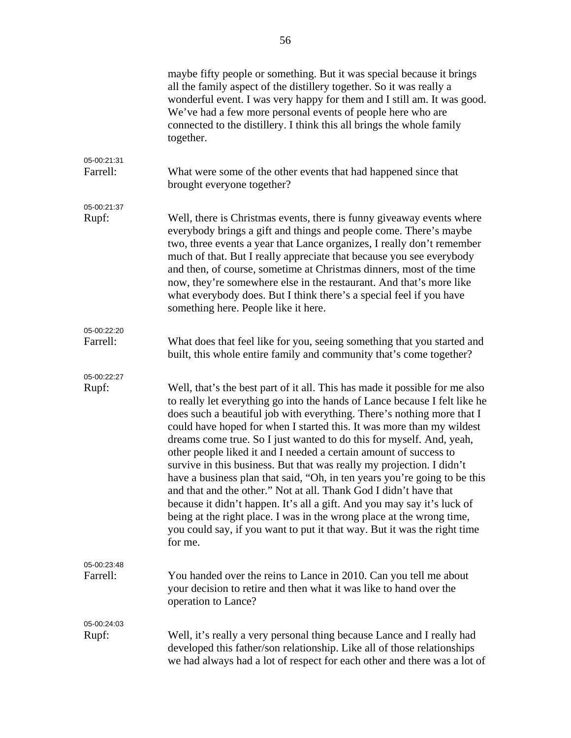|                         | maybe fifty people or something. But it was special because it brings<br>all the family aspect of the distillery together. So it was really a<br>wonderful event. I was very happy for them and I still am. It was good.<br>We've had a few more personal events of people here who are<br>connected to the distillery. I think this all brings the whole family<br>together.                                                                                                                                                                                                                                                                                                                                                                                                                                                                                                                                                   |
|-------------------------|---------------------------------------------------------------------------------------------------------------------------------------------------------------------------------------------------------------------------------------------------------------------------------------------------------------------------------------------------------------------------------------------------------------------------------------------------------------------------------------------------------------------------------------------------------------------------------------------------------------------------------------------------------------------------------------------------------------------------------------------------------------------------------------------------------------------------------------------------------------------------------------------------------------------------------|
|                         |                                                                                                                                                                                                                                                                                                                                                                                                                                                                                                                                                                                                                                                                                                                                                                                                                                                                                                                                 |
| 05-00:21:31<br>Farrell: | What were some of the other events that had happened since that<br>brought everyone together?                                                                                                                                                                                                                                                                                                                                                                                                                                                                                                                                                                                                                                                                                                                                                                                                                                   |
| 05-00:21:37             |                                                                                                                                                                                                                                                                                                                                                                                                                                                                                                                                                                                                                                                                                                                                                                                                                                                                                                                                 |
| Rupf:                   | Well, there is Christmas events, there is funny give away events where<br>everybody brings a gift and things and people come. There's maybe<br>two, three events a year that Lance organizes, I really don't remember<br>much of that. But I really appreciate that because you see everybody<br>and then, of course, sometime at Christmas dinners, most of the time<br>now, they're somewhere else in the restaurant. And that's more like<br>what everybody does. But I think there's a special feel if you have<br>something here. People like it here.                                                                                                                                                                                                                                                                                                                                                                     |
| 05-00:22:20             |                                                                                                                                                                                                                                                                                                                                                                                                                                                                                                                                                                                                                                                                                                                                                                                                                                                                                                                                 |
| Farrell:                | What does that feel like for you, seeing something that you started and<br>built, this whole entire family and community that's come together?                                                                                                                                                                                                                                                                                                                                                                                                                                                                                                                                                                                                                                                                                                                                                                                  |
|                         |                                                                                                                                                                                                                                                                                                                                                                                                                                                                                                                                                                                                                                                                                                                                                                                                                                                                                                                                 |
| 05-00:22:27<br>Rupf:    | Well, that's the best part of it all. This has made it possible for me also<br>to really let everything go into the hands of Lance because I felt like he<br>does such a beautiful job with everything. There's nothing more that I<br>could have hoped for when I started this. It was more than my wildest<br>dreams come true. So I just wanted to do this for myself. And, yeah,<br>other people liked it and I needed a certain amount of success to<br>survive in this business. But that was really my projection. I didn't<br>have a business plan that said, "Oh, in ten years you're going to be this<br>and that and the other." Not at all. Thank God I didn't have that<br>because it didn't happen. It's all a gift. And you may say it's luck of<br>being at the right place. I was in the wrong place at the wrong time,<br>you could say, if you want to put it that way. But it was the right time<br>for me. |
| 05-00:23:48             |                                                                                                                                                                                                                                                                                                                                                                                                                                                                                                                                                                                                                                                                                                                                                                                                                                                                                                                                 |
| Farrell:                | You handed over the reins to Lance in 2010. Can you tell me about<br>your decision to retire and then what it was like to hand over the<br>operation to Lance?                                                                                                                                                                                                                                                                                                                                                                                                                                                                                                                                                                                                                                                                                                                                                                  |
| 05-00:24:03             |                                                                                                                                                                                                                                                                                                                                                                                                                                                                                                                                                                                                                                                                                                                                                                                                                                                                                                                                 |
| Rupf:                   | Well, it's really a very personal thing because Lance and I really had<br>developed this father/son relationship. Like all of those relationships<br>we had always had a lot of respect for each other and there was a lot of                                                                                                                                                                                                                                                                                                                                                                                                                                                                                                                                                                                                                                                                                                   |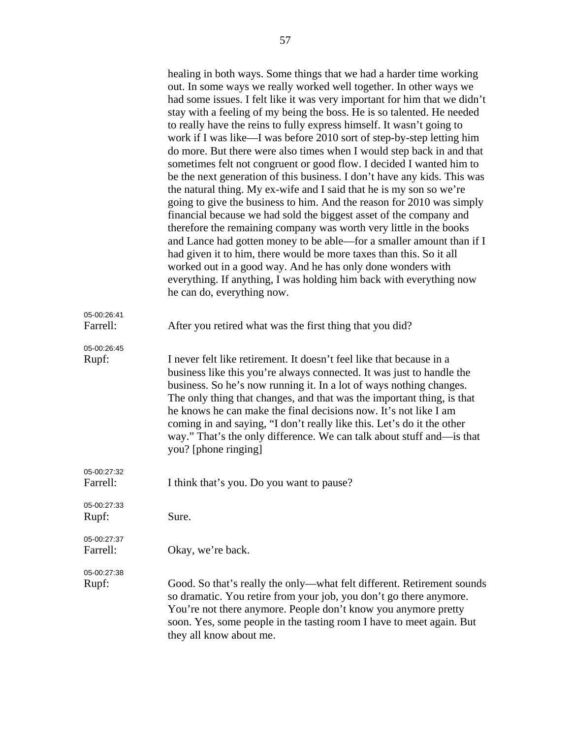|                         | healing in both ways. Some things that we had a harder time working<br>out. In some ways we really worked well together. In other ways we<br>had some issues. I felt like it was very important for him that we didn't<br>stay with a feeling of my being the boss. He is so talented. He needed<br>to really have the reins to fully express himself. It wasn't going to<br>work if I was like—I was before 2010 sort of step-by-step letting him<br>do more. But there were also times when I would step back in and that<br>sometimes felt not congruent or good flow. I decided I wanted him to<br>be the next generation of this business. I don't have any kids. This was<br>the natural thing. My ex-wife and I said that he is my son so we're<br>going to give the business to him. And the reason for 2010 was simply<br>financial because we had sold the biggest asset of the company and<br>therefore the remaining company was worth very little in the books<br>and Lance had gotten money to be able—for a smaller amount than if I<br>had given it to him, there would be more taxes than this. So it all<br>worked out in a good way. And he has only done wonders with<br>everything. If anything, I was holding him back with everything now<br>he can do, everything now. |
|-------------------------|------------------------------------------------------------------------------------------------------------------------------------------------------------------------------------------------------------------------------------------------------------------------------------------------------------------------------------------------------------------------------------------------------------------------------------------------------------------------------------------------------------------------------------------------------------------------------------------------------------------------------------------------------------------------------------------------------------------------------------------------------------------------------------------------------------------------------------------------------------------------------------------------------------------------------------------------------------------------------------------------------------------------------------------------------------------------------------------------------------------------------------------------------------------------------------------------------------------------------------------------------------------------------------------------|
| 05-00:26:41<br>Farrell: | After you retired what was the first thing that you did?                                                                                                                                                                                                                                                                                                                                                                                                                                                                                                                                                                                                                                                                                                                                                                                                                                                                                                                                                                                                                                                                                                                                                                                                                                       |
| 05-00:26:45<br>Rupf:    | I never felt like retirement. It doesn't feel like that because in a<br>business like this you're always connected. It was just to handle the<br>business. So he's now running it. In a lot of ways nothing changes.<br>The only thing that changes, and that was the important thing, is that<br>he knows he can make the final decisions now. It's not like I am<br>coming in and saying, "I don't really like this. Let's do it the other<br>way." That's the only difference. We can talk about stuff and—is that<br>you? [phone ringing]                                                                                                                                                                                                                                                                                                                                                                                                                                                                                                                                                                                                                                                                                                                                                  |
| 05-00:27:32<br>Farrell: | I think that's you. Do you want to pause?                                                                                                                                                                                                                                                                                                                                                                                                                                                                                                                                                                                                                                                                                                                                                                                                                                                                                                                                                                                                                                                                                                                                                                                                                                                      |
| 05-00:27:33<br>Rupf:    | Sure.                                                                                                                                                                                                                                                                                                                                                                                                                                                                                                                                                                                                                                                                                                                                                                                                                                                                                                                                                                                                                                                                                                                                                                                                                                                                                          |
| 05-00:27:37<br>Farrell: | Okay, we're back.                                                                                                                                                                                                                                                                                                                                                                                                                                                                                                                                                                                                                                                                                                                                                                                                                                                                                                                                                                                                                                                                                                                                                                                                                                                                              |
| 05-00:27:38<br>Rupf:    | Good. So that's really the only—what felt different. Retirement sounds<br>so dramatic. You retire from your job, you don't go there anymore.<br>You're not there anymore. People don't know you anymore pretty<br>soon. Yes, some people in the tasting room I have to meet again. But<br>they all know about me.                                                                                                                                                                                                                                                                                                                                                                                                                                                                                                                                                                                                                                                                                                                                                                                                                                                                                                                                                                              |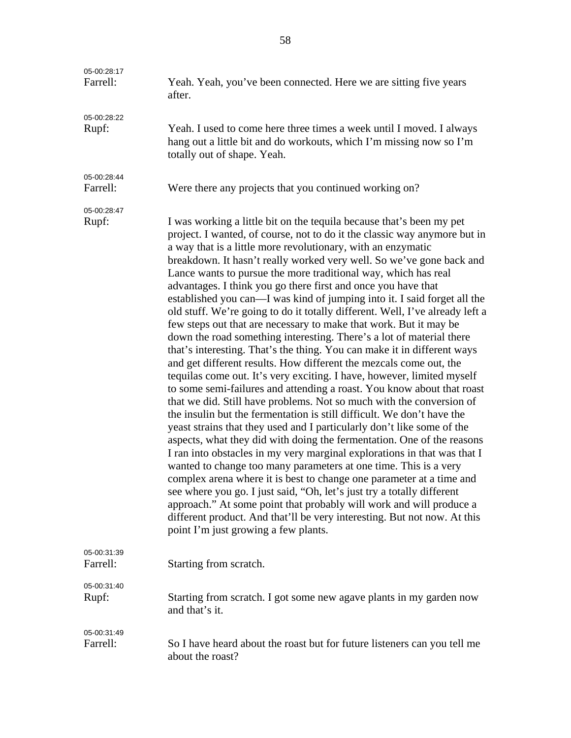| 05-00:28:17<br>Farrell: | Yeah. Yeah, you've been connected. Here we are sitting five years<br>after.                                                                                                                                                                                                                                                                                                                                                                                                                                                                                                                                                                                                                                                                                                                                                                                                                                                                                                                                                                                                                                                                                                                                                                                                                                                                                                                                                                                                                                                                                                                                                                                                                                                                                                                                                                   |
|-------------------------|-----------------------------------------------------------------------------------------------------------------------------------------------------------------------------------------------------------------------------------------------------------------------------------------------------------------------------------------------------------------------------------------------------------------------------------------------------------------------------------------------------------------------------------------------------------------------------------------------------------------------------------------------------------------------------------------------------------------------------------------------------------------------------------------------------------------------------------------------------------------------------------------------------------------------------------------------------------------------------------------------------------------------------------------------------------------------------------------------------------------------------------------------------------------------------------------------------------------------------------------------------------------------------------------------------------------------------------------------------------------------------------------------------------------------------------------------------------------------------------------------------------------------------------------------------------------------------------------------------------------------------------------------------------------------------------------------------------------------------------------------------------------------------------------------------------------------------------------------|
| 05-00:28:22<br>Rupf:    | Yeah. I used to come here three times a week until I moved. I always<br>hang out a little bit and do workouts, which I'm missing now so I'm<br>totally out of shape. Yeah.                                                                                                                                                                                                                                                                                                                                                                                                                                                                                                                                                                                                                                                                                                                                                                                                                                                                                                                                                                                                                                                                                                                                                                                                                                                                                                                                                                                                                                                                                                                                                                                                                                                                    |
| 05-00:28:44<br>Farrell: | Were there any projects that you continued working on?                                                                                                                                                                                                                                                                                                                                                                                                                                                                                                                                                                                                                                                                                                                                                                                                                                                                                                                                                                                                                                                                                                                                                                                                                                                                                                                                                                                                                                                                                                                                                                                                                                                                                                                                                                                        |
| 05-00:28:47<br>Rupf:    | I was working a little bit on the tequila because that's been my pet<br>project. I wanted, of course, not to do it the classic way anymore but in<br>a way that is a little more revolutionary, with an enzymatic<br>breakdown. It hasn't really worked very well. So we've gone back and<br>Lance wants to pursue the more traditional way, which has real<br>advantages. I think you go there first and once you have that<br>established you can—I was kind of jumping into it. I said forget all the<br>old stuff. We're going to do it totally different. Well, I've already left a<br>few steps out that are necessary to make that work. But it may be<br>down the road something interesting. There's a lot of material there<br>that's interesting. That's the thing. You can make it in different ways<br>and get different results. How different the mezcals come out, the<br>tequilas come out. It's very exciting. I have, however, limited myself<br>to some semi-failures and attending a roast. You know about that roast<br>that we did. Still have problems. Not so much with the conversion of<br>the insulin but the fermentation is still difficult. We don't have the<br>yeast strains that they used and I particularly don't like some of the<br>aspects, what they did with doing the fermentation. One of the reasons<br>I ran into obstacles in my very marginal explorations in that was that I<br>wanted to change too many parameters at one time. This is a very<br>complex arena where it is best to change one parameter at a time and<br>see where you go. I just said, "Oh, let's just try a totally different<br>approach." At some point that probably will work and will produce a<br>different product. And that'll be very interesting. But not now. At this<br>point I'm just growing a few plants. |
| 05-00:31:39<br>Farrell: | Starting from scratch.                                                                                                                                                                                                                                                                                                                                                                                                                                                                                                                                                                                                                                                                                                                                                                                                                                                                                                                                                                                                                                                                                                                                                                                                                                                                                                                                                                                                                                                                                                                                                                                                                                                                                                                                                                                                                        |
| 05-00:31:40<br>Rupf:    | Starting from scratch. I got some new agave plants in my garden now<br>and that's it.                                                                                                                                                                                                                                                                                                                                                                                                                                                                                                                                                                                                                                                                                                                                                                                                                                                                                                                                                                                                                                                                                                                                                                                                                                                                                                                                                                                                                                                                                                                                                                                                                                                                                                                                                         |
| 05-00:31:49<br>Farrell: | So I have heard about the roast but for future listeners can you tell me<br>about the roast?                                                                                                                                                                                                                                                                                                                                                                                                                                                                                                                                                                                                                                                                                                                                                                                                                                                                                                                                                                                                                                                                                                                                                                                                                                                                                                                                                                                                                                                                                                                                                                                                                                                                                                                                                  |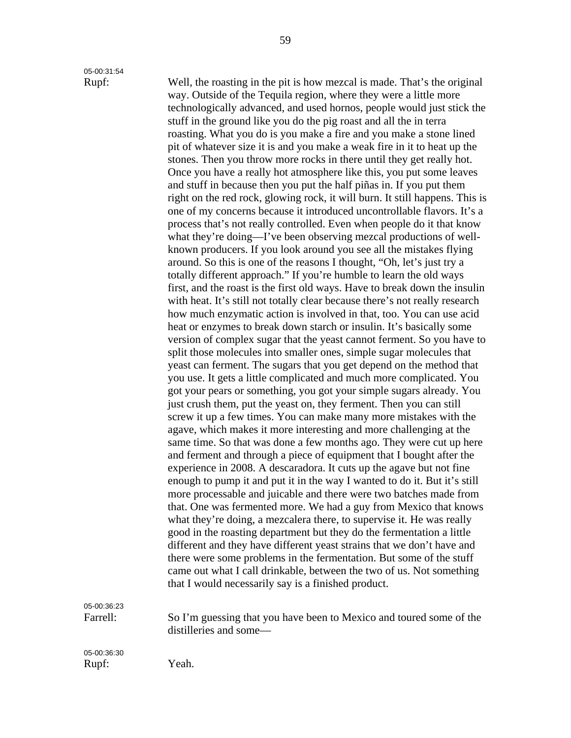# 05-00:31:54

Rupf: Well, the roasting in the pit is how mezcal is made. That's the original way. Outside of the Tequila region, where they were a little more technologically advanced, and used hornos, people would just stick the stuff in the ground like you do the pig roast and all the in terra roasting. What you do is you make a fire and you make a stone lined pit of whatever size it is and you make a weak fire in it to heat up the stones. Then you throw more rocks in there until they get really hot. Once you have a really hot atmosphere like this, you put some leaves and stuff in because then you put the half piñas in. If you put them right on the red rock, glowing rock, it will burn. It still happens. This is one of my concerns because it introduced uncontrollable flavors. It's a process that's not really controlled. Even when people do it that know what they're doing—I've been observing mezcal productions of wellknown producers. If you look around you see all the mistakes flying around. So this is one of the reasons I thought, "Oh, let's just try a totally different approach." If you're humble to learn the old ways first, and the roast is the first old ways. Have to break down the insulin with heat. It's still not totally clear because there's not really research how much enzymatic action is involved in that, too. You can use acid heat or enzymes to break down starch or insulin. It's basically some version of complex sugar that the yeast cannot ferment. So you have to split those molecules into smaller ones, simple sugar molecules that yeast can ferment. The sugars that you get depend on the method that you use. It gets a little complicated and much more complicated. You got your pears or something, you got your simple sugars already. You just crush them, put the yeast on, they ferment. Then you can still screw it up a few times. You can make many more mistakes with the agave, which makes it more interesting and more challenging at the same time. So that was done a few months ago. They were cut up here and ferment and through a piece of equipment that I bought after the experience in 2008. A descaradora. It cuts up the agave but not fine enough to pump it and put it in the way I wanted to do it. But it's still more processable and juicable and there were two batches made from that. One was fermented more. We had a guy from Mexico that knows what they're doing, a mezcalera there, to supervise it. He was really good in the roasting department but they do the fermentation a little different and they have different yeast strains that we don't have and there were some problems in the fermentation. But some of the stuff came out what I call drinkable, between the two of us. Not something that I would necessarily say is a finished product.

05-00:36:23

Farrell: So I'm guessing that you have been to Mexico and toured some of the distilleries and some—

05-00:36:30 Rupf: Yeah.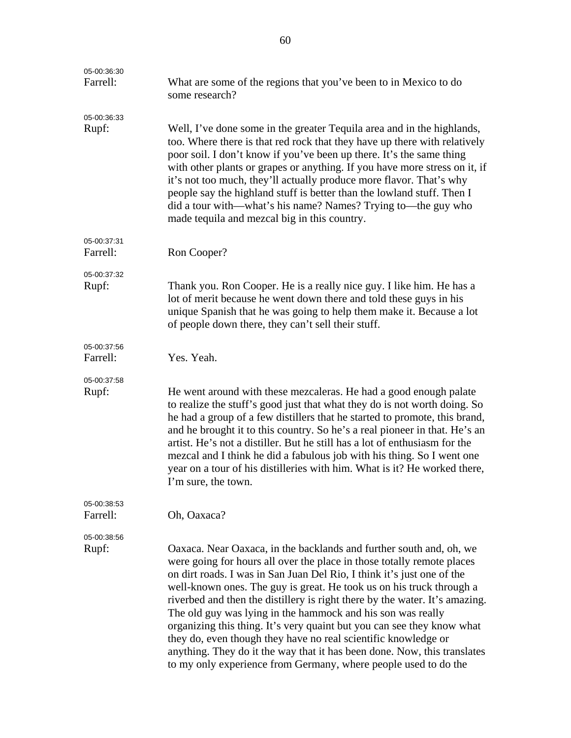| 05-00:36:30<br>Farrell: | What are some of the regions that you've been to in Mexico to do<br>some research?                                                                                                                                                                                                                                                                                                                                                                                                                                                                                                                                                                                                                                                       |
|-------------------------|------------------------------------------------------------------------------------------------------------------------------------------------------------------------------------------------------------------------------------------------------------------------------------------------------------------------------------------------------------------------------------------------------------------------------------------------------------------------------------------------------------------------------------------------------------------------------------------------------------------------------------------------------------------------------------------------------------------------------------------|
| 05-00:36:33<br>Rupf:    | Well, I've done some in the greater Tequila area and in the highlands,<br>too. Where there is that red rock that they have up there with relatively<br>poor soil. I don't know if you've been up there. It's the same thing<br>with other plants or grapes or anything. If you have more stress on it, if<br>it's not too much, they'll actually produce more flavor. That's why<br>people say the highland stuff is better than the lowland stuff. Then I<br>did a tour with—what's his name? Names? Trying to—the guy who<br>made tequila and mezcal big in this country.                                                                                                                                                              |
| 05-00:37:31             |                                                                                                                                                                                                                                                                                                                                                                                                                                                                                                                                                                                                                                                                                                                                          |
| Farrell:                | Ron Cooper?                                                                                                                                                                                                                                                                                                                                                                                                                                                                                                                                                                                                                                                                                                                              |
| 05-00:37:32<br>Rupf:    | Thank you. Ron Cooper. He is a really nice guy. I like him. He has a<br>lot of merit because he went down there and told these guys in his<br>unique Spanish that he was going to help them make it. Because a lot<br>of people down there, they can't sell their stuff.                                                                                                                                                                                                                                                                                                                                                                                                                                                                 |
| 05-00:37:56<br>Farrell: | Yes. Yeah.                                                                                                                                                                                                                                                                                                                                                                                                                                                                                                                                                                                                                                                                                                                               |
| 05-00:37:58<br>Rupf:    | He went around with these mezcaleras. He had a good enough palate<br>to realize the stuff's good just that what they do is not worth doing. So<br>he had a group of a few distillers that he started to promote, this brand,<br>and he brought it to this country. So he's a real pioneer in that. He's an<br>artist. He's not a distiller. But he still has a lot of enthusiasm for the<br>mezcal and I think he did a fabulous job with his thing. So I went one<br>year on a tour of his distilleries with him. What is it? He worked there,<br>I'm sure, the town.                                                                                                                                                                   |
| 05-00:38:53<br>Farrell: | Oh, Oaxaca?                                                                                                                                                                                                                                                                                                                                                                                                                                                                                                                                                                                                                                                                                                                              |
| 05-00:38:56<br>Rupf:    | Oaxaca. Near Oaxaca, in the backlands and further south and, oh, we<br>were going for hours all over the place in those totally remote places<br>on dirt roads. I was in San Juan Del Rio, I think it's just one of the<br>well-known ones. The guy is great. He took us on his truck through a<br>riverbed and then the distillery is right there by the water. It's amazing.<br>The old guy was lying in the hammock and his son was really<br>organizing this thing. It's very quaint but you can see they know what<br>they do, even though they have no real scientific knowledge or<br>anything. They do it the way that it has been done. Now, this translates<br>to my only experience from Germany, where people used to do the |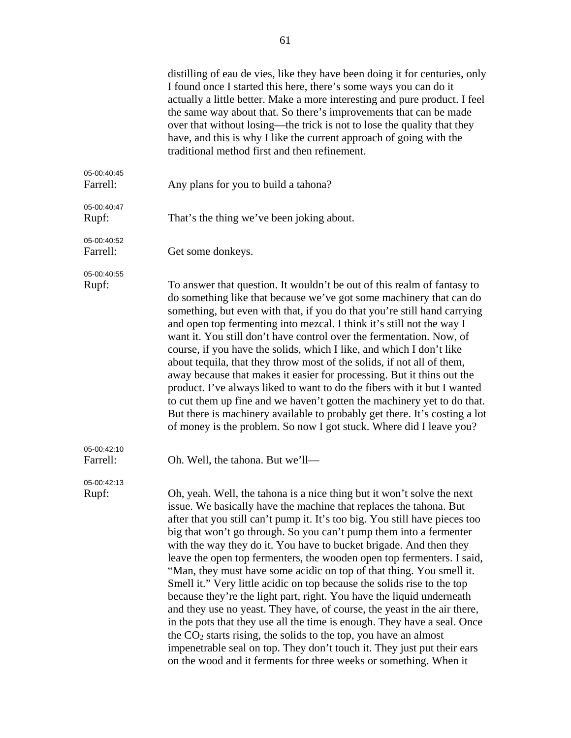|                         | distilling of eau de vies, like they have been doing it for centuries, only<br>I found once I started this here, there's some ways you can do it<br>actually a little better. Make a more interesting and pure product. I feel<br>the same way about that. So there's improvements that can be made<br>over that without losing—the trick is not to lose the quality that they<br>have, and this is why I like the current approach of going with the<br>traditional method first and then refinement.                                                                                                                                                                                                                                                                                                                                                                                                                                                                                                                                                      |
|-------------------------|-------------------------------------------------------------------------------------------------------------------------------------------------------------------------------------------------------------------------------------------------------------------------------------------------------------------------------------------------------------------------------------------------------------------------------------------------------------------------------------------------------------------------------------------------------------------------------------------------------------------------------------------------------------------------------------------------------------------------------------------------------------------------------------------------------------------------------------------------------------------------------------------------------------------------------------------------------------------------------------------------------------------------------------------------------------|
| 05-00:40:45<br>Farrell: | Any plans for you to build a tahona?                                                                                                                                                                                                                                                                                                                                                                                                                                                                                                                                                                                                                                                                                                                                                                                                                                                                                                                                                                                                                        |
| 05-00:40:47<br>Rupf:    | That's the thing we've been joking about.                                                                                                                                                                                                                                                                                                                                                                                                                                                                                                                                                                                                                                                                                                                                                                                                                                                                                                                                                                                                                   |
| 05-00:40:52<br>Farrell: | Get some donkeys.                                                                                                                                                                                                                                                                                                                                                                                                                                                                                                                                                                                                                                                                                                                                                                                                                                                                                                                                                                                                                                           |
| 05-00:40:55<br>Rupf:    | To answer that question. It wouldn't be out of this realm of fantasy to<br>do something like that because we've got some machinery that can do<br>something, but even with that, if you do that you're still hand carrying<br>and open top fermenting into mezcal. I think it's still not the way I<br>want it. You still don't have control over the fermentation. Now, of<br>course, if you have the solids, which I like, and which I don't like<br>about tequila, that they throw most of the solids, if not all of them,<br>away because that makes it easier for processing. But it thins out the<br>product. I've always liked to want to do the fibers with it but I wanted<br>to cut them up fine and we haven't gotten the machinery yet to do that.<br>But there is machinery available to probably get there. It's costing a lot<br>of money is the problem. So now I got stuck. Where did I leave you?                                                                                                                                         |
| 05-00:42:10<br>Farrell: | Oh. Well, the tahona. But we'll-                                                                                                                                                                                                                                                                                                                                                                                                                                                                                                                                                                                                                                                                                                                                                                                                                                                                                                                                                                                                                            |
| 05-00:42:13<br>Rupf:    | Oh, yeah. Well, the tahona is a nice thing but it won't solve the next<br>issue. We basically have the machine that replaces the tahona. But<br>after that you still can't pump it. It's too big. You still have pieces too<br>big that won't go through. So you can't pump them into a fermenter<br>with the way they do it. You have to bucket brigade. And then they<br>leave the open top fermenters, the wooden open top fermenters. I said,<br>"Man, they must have some acidic on top of that thing. You smell it.<br>Smell it." Very little acidic on top because the solids rise to the top<br>because they're the light part, right. You have the liquid underneath<br>and they use no yeast. They have, of course, the yeast in the air there,<br>in the pots that they use all the time is enough. They have a seal. Once<br>the $CO2$ starts rising, the solids to the top, you have an almost<br>impenetrable seal on top. They don't touch it. They just put their ears<br>on the wood and it ferments for three weeks or something. When it |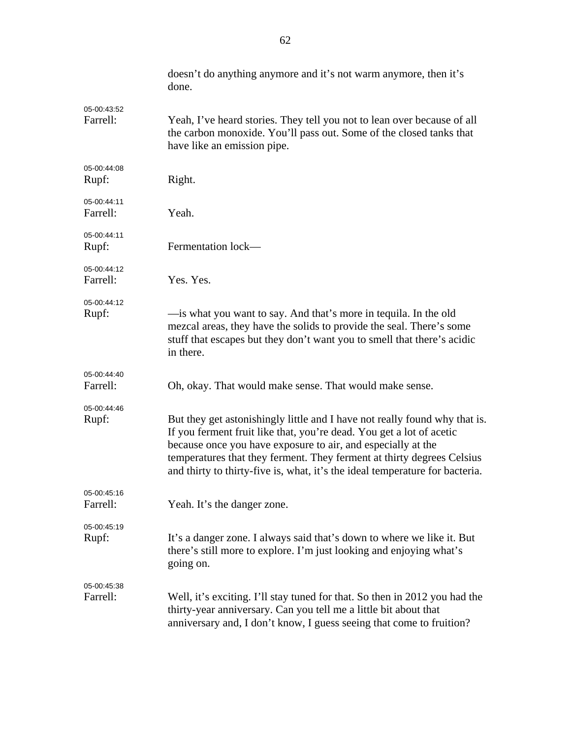|                         | doesn't do anything anymore and it's not warm anymore, then it's<br>done.                                                                                                                                                                                                                                                                                                    |
|-------------------------|------------------------------------------------------------------------------------------------------------------------------------------------------------------------------------------------------------------------------------------------------------------------------------------------------------------------------------------------------------------------------|
| 05-00:43:52<br>Farrell: | Yeah, I've heard stories. They tell you not to lean over because of all<br>the carbon monoxide. You'll pass out. Some of the closed tanks that<br>have like an emission pipe.                                                                                                                                                                                                |
| 05-00:44:08<br>Rupf:    | Right.                                                                                                                                                                                                                                                                                                                                                                       |
| 05-00:44:11<br>Farrell: | Yeah.                                                                                                                                                                                                                                                                                                                                                                        |
| 05-00:44:11<br>Rupf:    | Fermentation lock-                                                                                                                                                                                                                                                                                                                                                           |
| 05-00:44:12<br>Farrell: | Yes. Yes.                                                                                                                                                                                                                                                                                                                                                                    |
| 05-00:44:12<br>Rupf:    | — is what you want to say. And that's more in tequila. In the old<br>mezcal areas, they have the solids to provide the seal. There's some<br>stuff that escapes but they don't want you to smell that there's acidic<br>in there.                                                                                                                                            |
| 05-00:44:40<br>Farrell: | Oh, okay. That would make sense. That would make sense.                                                                                                                                                                                                                                                                                                                      |
| 05-00:44:46<br>Rupf:    | But they get astonishingly little and I have not really found why that is.<br>If you ferment fruit like that, you're dead. You get a lot of acetic<br>because once you have exposure to air, and especially at the<br>temperatures that they ferment. They ferment at thirty degrees Celsius<br>and thirty to thirty-five is, what, it's the ideal temperature for bacteria. |
| 05-00:45:16<br>Farrell: | Yeah. It's the danger zone.                                                                                                                                                                                                                                                                                                                                                  |
| 05-00:45:19<br>Rupf:    | It's a danger zone. I always said that's down to where we like it. But<br>there's still more to explore. I'm just looking and enjoying what's<br>going on.                                                                                                                                                                                                                   |
| 05-00:45:38<br>Farrell: | Well, it's exciting. I'll stay tuned for that. So then in 2012 you had the<br>thirty-year anniversary. Can you tell me a little bit about that<br>anniversary and, I don't know, I guess seeing that come to fruition?                                                                                                                                                       |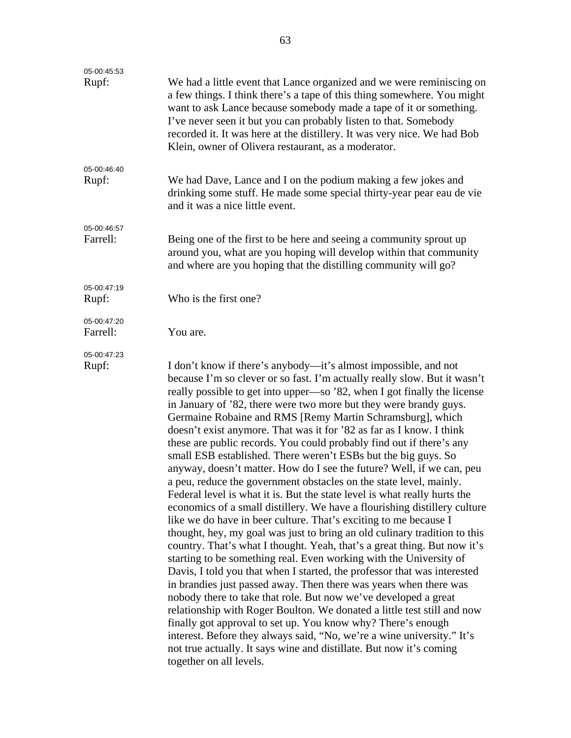| 05-00:45:53             |                                                                                                                                                                                                                                                                                                                                                                                                                                                                                                                                                                                                                                                                                                                                                                                                                                                                                                                                                                                                                                                                                                                                                                                                                                                                                                                                                                                                                                                                                                                                                                                                                                                                                                                                     |
|-------------------------|-------------------------------------------------------------------------------------------------------------------------------------------------------------------------------------------------------------------------------------------------------------------------------------------------------------------------------------------------------------------------------------------------------------------------------------------------------------------------------------------------------------------------------------------------------------------------------------------------------------------------------------------------------------------------------------------------------------------------------------------------------------------------------------------------------------------------------------------------------------------------------------------------------------------------------------------------------------------------------------------------------------------------------------------------------------------------------------------------------------------------------------------------------------------------------------------------------------------------------------------------------------------------------------------------------------------------------------------------------------------------------------------------------------------------------------------------------------------------------------------------------------------------------------------------------------------------------------------------------------------------------------------------------------------------------------------------------------------------------------|
| Rupf:                   | We had a little event that Lance organized and we were reminiscing on<br>a few things. I think there's a tape of this thing somewhere. You might<br>want to ask Lance because somebody made a tape of it or something.<br>I've never seen it but you can probably listen to that. Somebody<br>recorded it. It was here at the distillery. It was very nice. We had Bob<br>Klein, owner of Olivera restaurant, as a moderator.                                                                                                                                                                                                                                                                                                                                                                                                                                                                                                                                                                                                                                                                                                                                                                                                                                                                                                                                                                                                                                                                                                                                                                                                                                                                                                       |
| 05-00:46:40<br>Rupf:    | We had Dave, Lance and I on the podium making a few jokes and<br>drinking some stuff. He made some special thirty-year pear eau de vie<br>and it was a nice little event.                                                                                                                                                                                                                                                                                                                                                                                                                                                                                                                                                                                                                                                                                                                                                                                                                                                                                                                                                                                                                                                                                                                                                                                                                                                                                                                                                                                                                                                                                                                                                           |
| 05-00:46:57<br>Farrell: | Being one of the first to be here and seeing a community sprout up<br>around you, what are you hoping will develop within that community<br>and where are you hoping that the distilling community will go?                                                                                                                                                                                                                                                                                                                                                                                                                                                                                                                                                                                                                                                                                                                                                                                                                                                                                                                                                                                                                                                                                                                                                                                                                                                                                                                                                                                                                                                                                                                         |
| 05-00:47:19<br>Rupf:    | Who is the first one?                                                                                                                                                                                                                                                                                                                                                                                                                                                                                                                                                                                                                                                                                                                                                                                                                                                                                                                                                                                                                                                                                                                                                                                                                                                                                                                                                                                                                                                                                                                                                                                                                                                                                                               |
| 05-00:47:20<br>Farrell: | You are.                                                                                                                                                                                                                                                                                                                                                                                                                                                                                                                                                                                                                                                                                                                                                                                                                                                                                                                                                                                                                                                                                                                                                                                                                                                                                                                                                                                                                                                                                                                                                                                                                                                                                                                            |
| 05-00:47:23<br>Rupf:    | I don't know if there's anybody—it's almost impossible, and not<br>because I'm so clever or so fast. I'm actually really slow. But it wasn't<br>really possible to get into upper—so '82, when I got finally the license<br>in January of '82, there were two more but they were brandy guys.<br>Germaine Robaine and RMS [Remy Martin Schramsburg], which<br>doesn't exist anymore. That was it for '82 as far as I know. I think<br>these are public records. You could probably find out if there's any<br>small ESB established. There weren't ESBs but the big guys. So<br>anyway, doesn't matter. How do I see the future? Well, if we can, peu<br>a peu, reduce the government obstacles on the state level, mainly.<br>Federal level is what it is. But the state level is what really hurts the<br>economics of a small distillery. We have a flourishing distillery culture<br>like we do have in beer culture. That's exciting to me because I<br>thought, hey, my goal was just to bring an old culinary tradition to this<br>country. That's what I thought. Yeah, that's a great thing. But now it's<br>starting to be something real. Even working with the University of<br>Davis, I told you that when I started, the professor that was interested<br>in brandies just passed away. Then there was years when there was<br>nobody there to take that role. But now we've developed a great<br>relationship with Roger Boulton. We donated a little test still and now<br>finally got approval to set up. You know why? There's enough<br>interest. Before they always said, "No, we're a wine university." It's<br>not true actually. It says wine and distillate. But now it's coming<br>together on all levels. |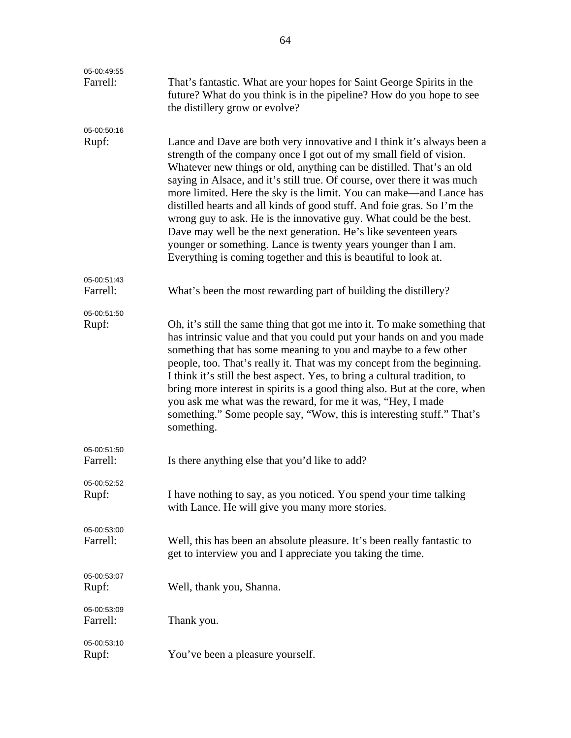| 05-00:49:55             |                                                                                                                                                                                                                                                                                                                                                                                                                                                                                                                                                                                                                                                                                                                                    |
|-------------------------|------------------------------------------------------------------------------------------------------------------------------------------------------------------------------------------------------------------------------------------------------------------------------------------------------------------------------------------------------------------------------------------------------------------------------------------------------------------------------------------------------------------------------------------------------------------------------------------------------------------------------------------------------------------------------------------------------------------------------------|
| Farrell:                | That's fantastic. What are your hopes for Saint George Spirits in the<br>future? What do you think is in the pipeline? How do you hope to see<br>the distillery grow or evolve?                                                                                                                                                                                                                                                                                                                                                                                                                                                                                                                                                    |
| 05-00:50:16<br>Rupf:    | Lance and Dave are both very innovative and I think it's always been a<br>strength of the company once I got out of my small field of vision.<br>Whatever new things or old, anything can be distilled. That's an old<br>saying in Alsace, and it's still true. Of course, over there it was much<br>more limited. Here the sky is the limit. You can make—and Lance has<br>distilled hearts and all kinds of good stuff. And foie gras. So I'm the<br>wrong guy to ask. He is the innovative guy. What could be the best.<br>Dave may well be the next generation. He's like seventeen years<br>younger or something. Lance is twenty years younger than I am.<br>Everything is coming together and this is beautiful to look at. |
| 05-00:51:43<br>Farrell: | What's been the most rewarding part of building the distillery?                                                                                                                                                                                                                                                                                                                                                                                                                                                                                                                                                                                                                                                                    |
| 05-00:51:50<br>Rupf:    | Oh, it's still the same thing that got me into it. To make something that<br>has intrinsic value and that you could put your hands on and you made<br>something that has some meaning to you and maybe to a few other<br>people, too. That's really it. That was my concept from the beginning.<br>I think it's still the best aspect. Yes, to bring a cultural tradition, to<br>bring more interest in spirits is a good thing also. But at the core, when<br>you ask me what was the reward, for me it was, "Hey, I made<br>something." Some people say, "Wow, this is interesting stuff." That's<br>something.                                                                                                                  |
| 05-00:51:50<br>Farrell: | Is there anything else that you'd like to add?                                                                                                                                                                                                                                                                                                                                                                                                                                                                                                                                                                                                                                                                                     |
| 05-00:52:52<br>Rupf:    | I have nothing to say, as you noticed. You spend your time talking<br>with Lance. He will give you many more stories.                                                                                                                                                                                                                                                                                                                                                                                                                                                                                                                                                                                                              |
| 05-00:53:00<br>Farrell: | Well, this has been an absolute pleasure. It's been really fantastic to<br>get to interview you and I appreciate you taking the time.                                                                                                                                                                                                                                                                                                                                                                                                                                                                                                                                                                                              |
| 05-00:53:07<br>Rupf:    | Well, thank you, Shanna.                                                                                                                                                                                                                                                                                                                                                                                                                                                                                                                                                                                                                                                                                                           |
| 05-00:53:09<br>Farrell: | Thank you.                                                                                                                                                                                                                                                                                                                                                                                                                                                                                                                                                                                                                                                                                                                         |
| 05-00:53:10<br>Rupf:    | You've been a pleasure yourself.                                                                                                                                                                                                                                                                                                                                                                                                                                                                                                                                                                                                                                                                                                   |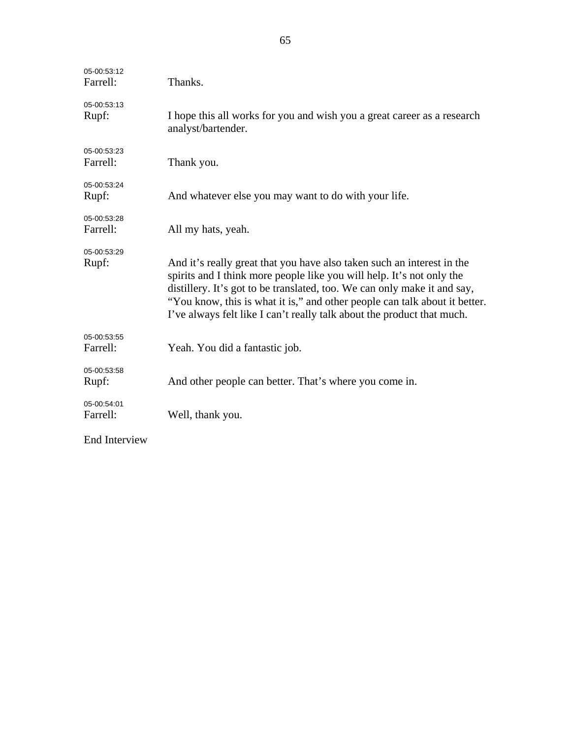| 05-00:53:12<br>Farrell: | Thanks.                                                                                                                                                                                                                                                                                                                                                                             |
|-------------------------|-------------------------------------------------------------------------------------------------------------------------------------------------------------------------------------------------------------------------------------------------------------------------------------------------------------------------------------------------------------------------------------|
| 05-00:53:13<br>Rupf:    | I hope this all works for you and wish you a great career as a research<br>analyst/bartender.                                                                                                                                                                                                                                                                                       |
| 05-00:53:23<br>Farrell: | Thank you.                                                                                                                                                                                                                                                                                                                                                                          |
| 05-00:53:24<br>Rupf:    | And whatever else you may want to do with your life.                                                                                                                                                                                                                                                                                                                                |
| 05-00:53:28<br>Farrell: | All my hats, yeah.                                                                                                                                                                                                                                                                                                                                                                  |
| 05-00:53:29<br>Rupf:    | And it's really great that you have also taken such an interest in the<br>spirits and I think more people like you will help. It's not only the<br>distillery. It's got to be translated, too. We can only make it and say,<br>"You know, this is what it is," and other people can talk about it better.<br>I've always felt like I can't really talk about the product that much. |
| 05-00:53:55<br>Farrell: | Yeah. You did a fantastic job.                                                                                                                                                                                                                                                                                                                                                      |
| 05-00:53:58<br>Rupf:    | And other people can better. That's where you come in.                                                                                                                                                                                                                                                                                                                              |
| 05-00:54:01<br>Farrell: | Well, thank you.                                                                                                                                                                                                                                                                                                                                                                    |
| <b>End Interview</b>    |                                                                                                                                                                                                                                                                                                                                                                                     |